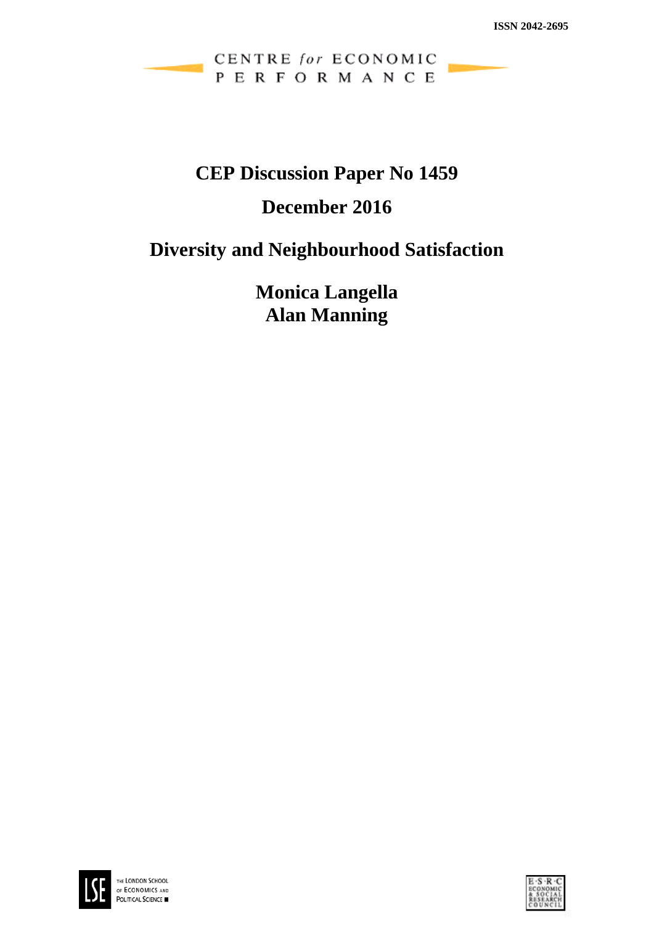# CENTRE for ECONOMIC PERFORMANCE

# **CEP Discussion Paper No 1459**

# **December 2016**

# **Diversity and Neighbourhood Satisfaction**

**Monica Langella Alan Manning**



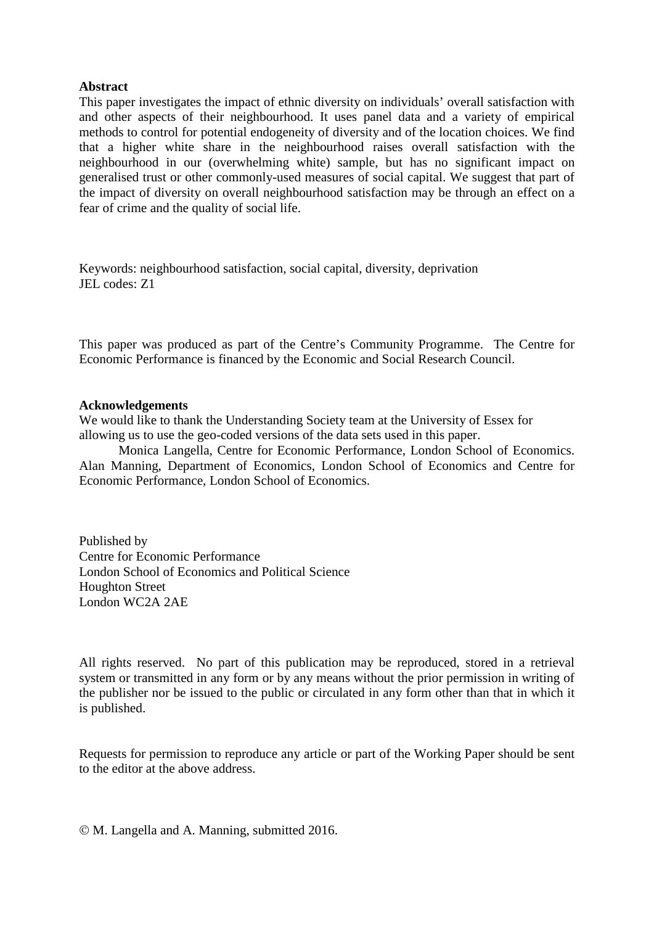#### **Abstract**

This paper investigates the impact of ethnic diversity on individuals' overall satisfaction with and other aspects of their neighbourhood. It uses panel data and a variety of empirical methods to control for potential endogeneity of diversity and of the location choices. We find that a higher white share in the neighbourhood raises overall satisfaction with the neighbourhood in our (overwhelming white) sample, but has no significant impact on generalised trust or other commonly-used measures of social capital. We suggest that part of the impact of diversity on overall neighbourhood satisfaction may be through an effect on a fear of crime and the quality of social life.

Keywords: neighbourhood satisfaction, social capital, diversity, deprivation JEL codes: Z1

This paper was produced as part of the Centre's Community Programme. The Centre for Economic Performance is financed by the Economic and Social Research Council.

#### **Acknowledgements**

We would like to thank the Understanding Society team at the University of Essex for allowing us to use the geo-coded versions of the data sets used in this paper.

Monica Langella, Centre for Economic Performance, London School of Economics. Alan Manning, Department of Economics, London School of Economics and Centre for Economic Performance, London School of Economics.

Published by Centre for Economic Performance London School of Economics and Political Science Houghton Street London WC2A 2AE

All rights reserved. No part of this publication may be reproduced, stored in a retrieval system or transmitted in any form or by any means without the prior permission in writing of the publisher nor be issued to the public or circulated in any form other than that in which it is published.

Requests for permission to reproduce any article or part of the Working Paper should be sent to the editor at the above address.

M. Langella and A. Manning, submitted 2016.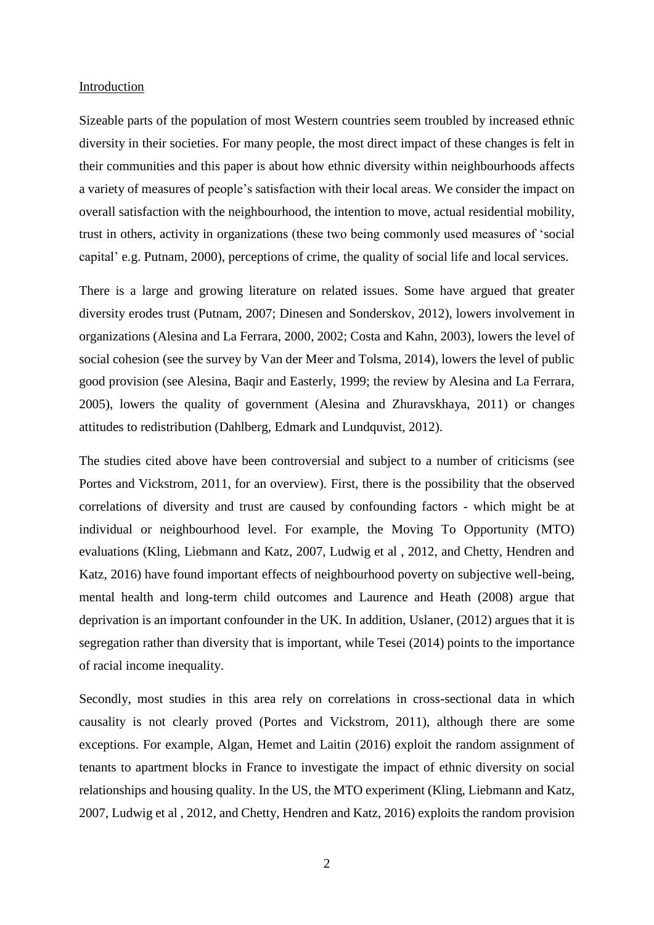#### Introduction

Sizeable parts of the population of most Western countries seem troubled by increased ethnic diversity in their societies. For many people, the most direct impact of these changes is felt in their communities and this paper is about how ethnic diversity within neighbourhoods affects a variety of measures of people's satisfaction with their local areas. We consider the impact on overall satisfaction with the neighbourhood, the intention to move, actual residential mobility, trust in others, activity in organizations (these two being commonly used measures of 'social capital' e.g. Putnam, 2000), perceptions of crime, the quality of social life and local services.

There is a large and growing literature on related issues. Some have argued that greater diversity erodes trust (Putnam, 2007; Dinesen and Sonderskov, 2012), lowers involvement in organizations (Alesina and La Ferrara, 2000, 2002; Costa and Kahn, 2003), lowers the level of social cohesion (see the survey by Van der Meer and Tolsma, 2014), lowers the level of public good provision (see Alesina, Baqir and Easterly, 1999; the review by Alesina and La Ferrara, 2005), lowers the quality of government (Alesina and Zhuravskhaya, 2011) or changes attitudes to redistribution (Dahlberg, Edmark and Lundquvist, 2012).

The studies cited above have been controversial and subject to a number of criticisms (see Portes and Vickstrom, 2011, for an overview). First, there is the possibility that the observed correlations of diversity and trust are caused by confounding factors - which might be at individual or neighbourhood level. For example, the Moving To Opportunity (MTO) evaluations (Kling, Liebmann and Katz, 2007, Ludwig et al , 2012, and Chetty, Hendren and Katz, 2016) have found important effects of neighbourhood poverty on subjective well-being, mental health and long-term child outcomes and Laurence and Heath (2008) argue that deprivation is an important confounder in the UK. In addition, Uslaner, (2012) argues that it is segregation rather than diversity that is important, while Tesei (2014) points to the importance of racial income inequality.

Secondly, most studies in this area rely on correlations in cross-sectional data in which causality is not clearly proved (Portes and Vickstrom, 2011), although there are some exceptions. For example, Algan, Hemet and Laitin (2016) exploit the random assignment of tenants to apartment blocks in France to investigate the impact of ethnic diversity on social relationships and housing quality. In the US, the MTO experiment (Kling, Liebmann and Katz, 2007, Ludwig et al , 2012, and Chetty, Hendren and Katz, 2016) exploits the random provision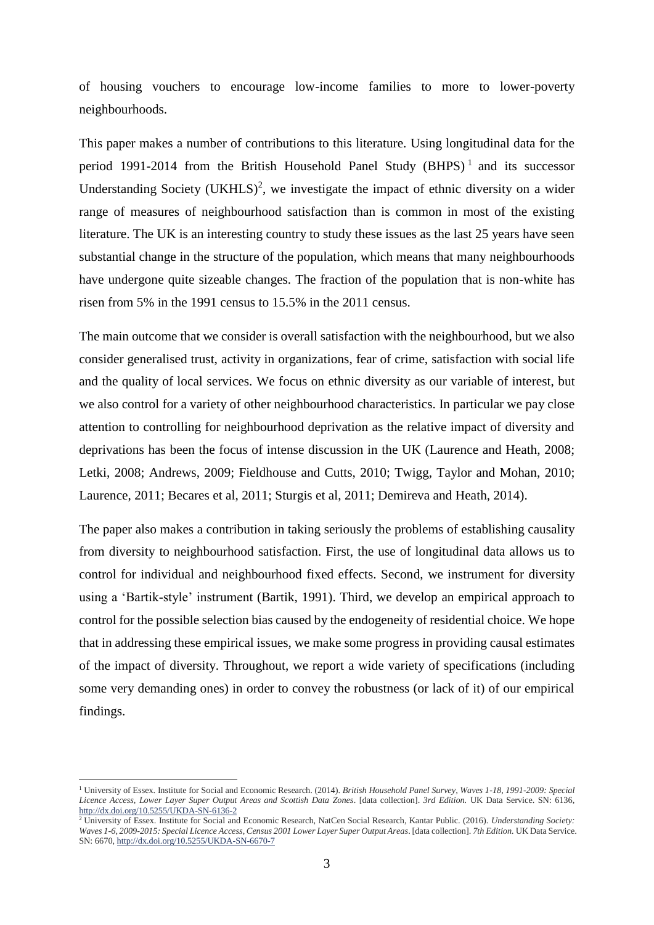of housing vouchers to encourage low-income families to more to lower-poverty neighbourhoods.

This paper makes a number of contributions to this literature. Using longitudinal data for the period 1991-2014 from the British Household Panel Study  $(BHPS)^1$  and its successor Understanding Society  $(UKHLS)^2$ , we investigate the impact of ethnic diversity on a wider range of measures of neighbourhood satisfaction than is common in most of the existing literature. The UK is an interesting country to study these issues as the last 25 years have seen substantial change in the structure of the population, which means that many neighbourhoods have undergone quite sizeable changes. The fraction of the population that is non-white has risen from 5% in the 1991 census to 15.5% in the 2011 census.

The main outcome that we consider is overall satisfaction with the neighbourhood, but we also consider generalised trust, activity in organizations, fear of crime, satisfaction with social life and the quality of local services. We focus on ethnic diversity as our variable of interest, but we also control for a variety of other neighbourhood characteristics. In particular we pay close attention to controlling for neighbourhood deprivation as the relative impact of diversity and deprivations has been the focus of intense discussion in the UK (Laurence and Heath, 2008; Letki, 2008; Andrews, 2009; Fieldhouse and Cutts, 2010; Twigg, Taylor and Mohan, 2010; Laurence, 2011; Becares et al, 2011; Sturgis et al, 2011; Demireva and Heath, 2014).

The paper also makes a contribution in taking seriously the problems of establishing causality from diversity to neighbourhood satisfaction. First, the use of longitudinal data allows us to control for individual and neighbourhood fixed effects. Second, we instrument for diversity using a 'Bartik-style' instrument (Bartik, 1991). Third, we develop an empirical approach to control for the possible selection bias caused by the endogeneity of residential choice. We hope that in addressing these empirical issues, we make some progress in providing causal estimates of the impact of diversity. Throughout, we report a wide variety of specifications (including some very demanding ones) in order to convey the robustness (or lack of it) of our empirical findings.

<sup>1</sup> University of Essex. Institute for Social and Economic Research. (2014). *British Household Panel Survey, Waves 1-18, 1991-2009: Special Licence Access, Lower Layer Super Output Areas and Scottish Data Zones*. [data collection]. *3rd Edition.* UK Data Service. SN: 6136, <http://dx.doi.org/10.5255/UKDA-SN-6136-2>

<sup>2</sup> University of Essex. Institute for Social and Economic Research, NatCen Social Research, Kantar Public. (2016). *Understanding Society: Waves 1-6, 2009-2015: Special Licence Access, Census 2001 Lower Layer Super Output Areas*. [data collection]. *7th Edition.* UK Data Service. SN: 6670[, http://dx.doi.org/10.5255/UKDA-SN-6670-7](http://dx.doi.org/10.5255/UKDA-SN-6670-7)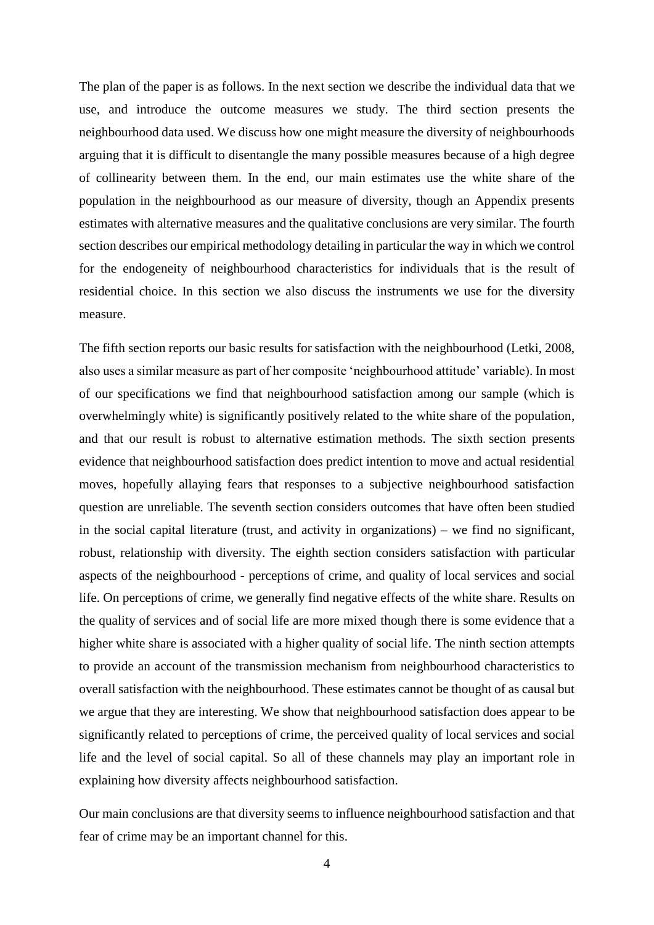The plan of the paper is as follows. In the next section we describe the individual data that we use, and introduce the outcome measures we study. The third section presents the neighbourhood data used. We discuss how one might measure the diversity of neighbourhoods arguing that it is difficult to disentangle the many possible measures because of a high degree of collinearity between them. In the end, our main estimates use the white share of the population in the neighbourhood as our measure of diversity, though an Appendix presents estimates with alternative measures and the qualitative conclusions are very similar. The fourth section describes our empirical methodology detailing in particular the way in which we control for the endogeneity of neighbourhood characteristics for individuals that is the result of residential choice. In this section we also discuss the instruments we use for the diversity measure.

The fifth section reports our basic results for satisfaction with the neighbourhood (Letki, 2008, also uses a similar measure as part of her composite 'neighbourhood attitude' variable). In most of our specifications we find that neighbourhood satisfaction among our sample (which is overwhelmingly white) is significantly positively related to the white share of the population, and that our result is robust to alternative estimation methods. The sixth section presents evidence that neighbourhood satisfaction does predict intention to move and actual residential moves, hopefully allaying fears that responses to a subjective neighbourhood satisfaction question are unreliable. The seventh section considers outcomes that have often been studied in the social capital literature (trust, and activity in organizations) – we find no significant, robust, relationship with diversity. The eighth section considers satisfaction with particular aspects of the neighbourhood - perceptions of crime, and quality of local services and social life. On perceptions of crime, we generally find negative effects of the white share. Results on the quality of services and of social life are more mixed though there is some evidence that a higher white share is associated with a higher quality of social life. The ninth section attempts to provide an account of the transmission mechanism from neighbourhood characteristics to overall satisfaction with the neighbourhood. These estimates cannot be thought of as causal but we argue that they are interesting. We show that neighbourhood satisfaction does appear to be significantly related to perceptions of crime, the perceived quality of local services and social life and the level of social capital. So all of these channels may play an important role in explaining how diversity affects neighbourhood satisfaction.

Our main conclusions are that diversity seems to influence neighbourhood satisfaction and that fear of crime may be an important channel for this.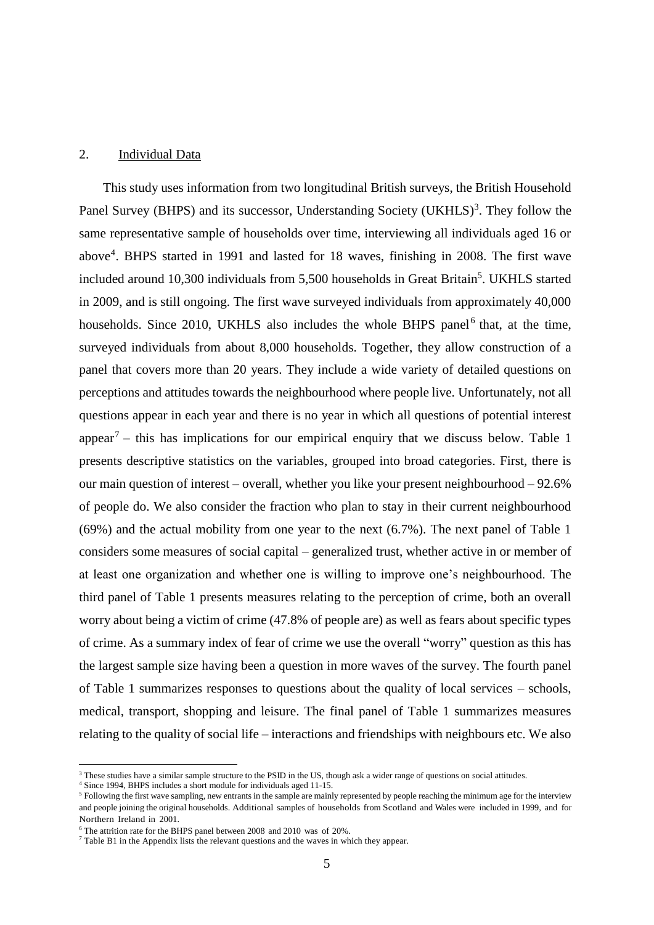#### 2. Individual Data

This study uses information from two longitudinal British surveys, the British Household Panel Survey (BHPS) and its successor, Understanding Society (UKHLS)<sup>3</sup>. They follow the same representative sample of households over time, interviewing all individuals aged 16 or above<sup>4</sup> . BHPS started in 1991 and lasted for 18 waves, finishing in 2008. The first wave included around 10,300 individuals from 5,500 households in Great Britain<sup>5</sup>. UKHLS started in 2009, and is still ongoing. The first wave surveyed individuals from approximately 40,000 households. Since 2010, UKHLS also includes the whole BHPS panel<sup>6</sup> that, at the time, surveyed individuals from about 8,000 households. Together, they allow construction of a panel that covers more than 20 years. They include a wide variety of detailed questions on perceptions and attitudes towards the neighbourhood where people live. Unfortunately, not all questions appear in each year and there is no year in which all questions of potential interest appear<sup>7</sup> – this has implications for our empirical enquiry that we discuss below. Table 1 presents descriptive statistics on the variables, grouped into broad categories. First, there is our main question of interest – overall, whether you like your present neighbourhood – 92.6% of people do. We also consider the fraction who plan to stay in their current neighbourhood (69%) and the actual mobility from one year to the next (6.7%). The next panel of Table 1 considers some measures of social capital – generalized trust, whether active in or member of at least one organization and whether one is willing to improve one's neighbourhood. The third panel of Table 1 presents measures relating to the perception of crime, both an overall worry about being a victim of crime (47.8% of people are) as well as fears about specific types of crime. As a summary index of fear of crime we use the overall "worry" question as this has the largest sample size having been a question in more waves of the survey. The fourth panel of Table 1 summarizes responses to questions about the quality of local services – schools, medical, transport, shopping and leisure. The final panel of Table 1 summarizes measures relating to the quality of social life – interactions and friendships with neighbours etc. We also

4 Since 1994, BHPS includes a short module for individuals aged 11-15.

<sup>&</sup>lt;sup>3</sup> These studies have a similar sample structure to the PSID in the US, though ask a wider range of questions on social attitudes.

<sup>&</sup>lt;sup>5</sup> Following the first wave sampling, new entrants in the sample are mainly represented by people reaching the minimum age for the interview and people joining the original households. Additional samples of households from Scotland and Wales were included in 1999, and for Northern Ireland in 2001.

<sup>6</sup> The attrition rate for the BHPS panel between 2008 and 2010 was of 20%.

 $7$  Table B1 in the Appendix lists the relevant questions and the waves in which they appear.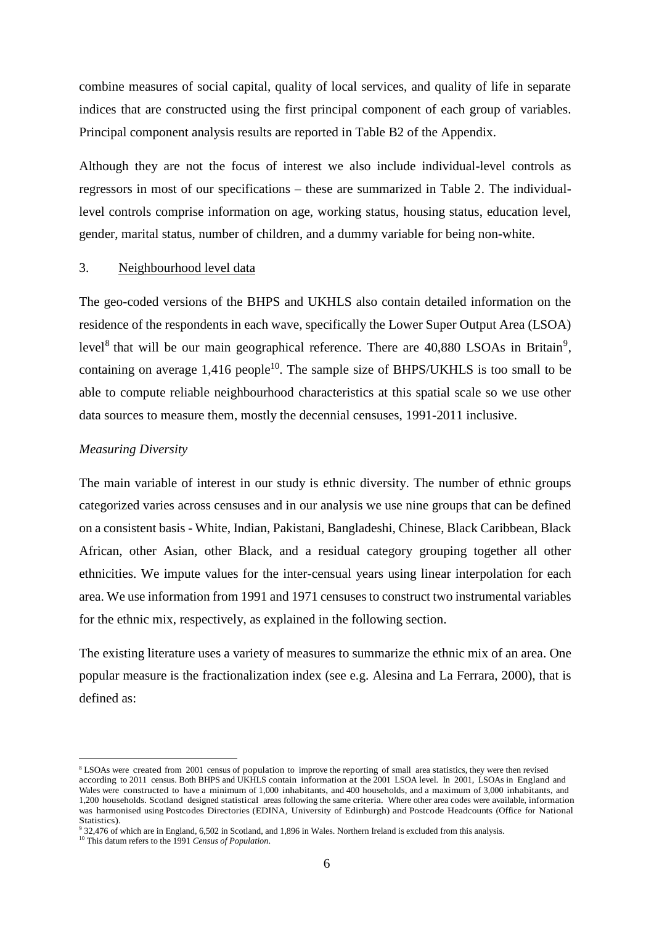combine measures of social capital, quality of local services, and quality of life in separate indices that are constructed using the first principal component of each group of variables. Principal component analysis results are reported in Table B2 of the Appendix.

Although they are not the focus of interest we also include individual-level controls as regressors in most of our specifications – these are summarized in Table 2. The individuallevel controls comprise information on age, working status, housing status, education level, gender, marital status, number of children, and a dummy variable for being non-white.

#### 3. Neighbourhood level data

The geo-coded versions of the BHPS and UKHLS also contain detailed information on the residence of the respondents in each wave, specifically the Lower Super Output Area (LSOA) level<sup>8</sup> that will be our main geographical reference. There are  $40,880$  LSOAs in Britain<sup>9</sup>, containing on average  $1,416$  people<sup>10</sup>. The sample size of BHPS/UKHLS is too small to be able to compute reliable neighbourhood characteristics at this spatial scale so we use other data sources to measure them, mostly the decennial censuses, 1991-2011 inclusive.

## *Measuring Diversity*

The main variable of interest in our study is ethnic diversity. The number of ethnic groups categorized varies across censuses and in our analysis we use nine groups that can be defined on a consistent basis - White, Indian, Pakistani, Bangladeshi, Chinese, Black Caribbean, Black African, other Asian, other Black, and a residual category grouping together all other ethnicities. We impute values for the inter-censual years using linear interpolation for each area. We use information from 1991 and 1971 censuses to construct two instrumental variables for the ethnic mix, respectively, as explained in the following section.

The existing literature uses a variety of measures to summarize the ethnic mix of an area. One popular measure is the fractionalization index (see e.g. Alesina and La Ferrara, 2000), that is defined as:

<sup>&</sup>lt;sup>8</sup> LSOAs were created from 2001 census of population to improve the reporting of small area statistics, they were then revised according to 2011 census. Both BHPS and UKHLS contain information at the 2001 LSOA level. In 2001, LSOAs in England and Wales were constructed to have a minimum of 1,000 inhabitants, and 400 households, and a maximum of 3,000 inhabitants, and 1,200 households. Scotland designed statistical areas following the same criteria. Where other area codes were available, information was harmonised using Postcodes Directories (EDINA, University of Edinburgh) and Postcode Headcounts (Office for National Statistics).

<sup>9</sup> 32,476 of which are in England, 6,502 in Scotland, and 1,896 in Wales. Northern Ireland is excluded from this analysis.

<sup>10</sup> This datum refers to the 1991 *Census of Population*.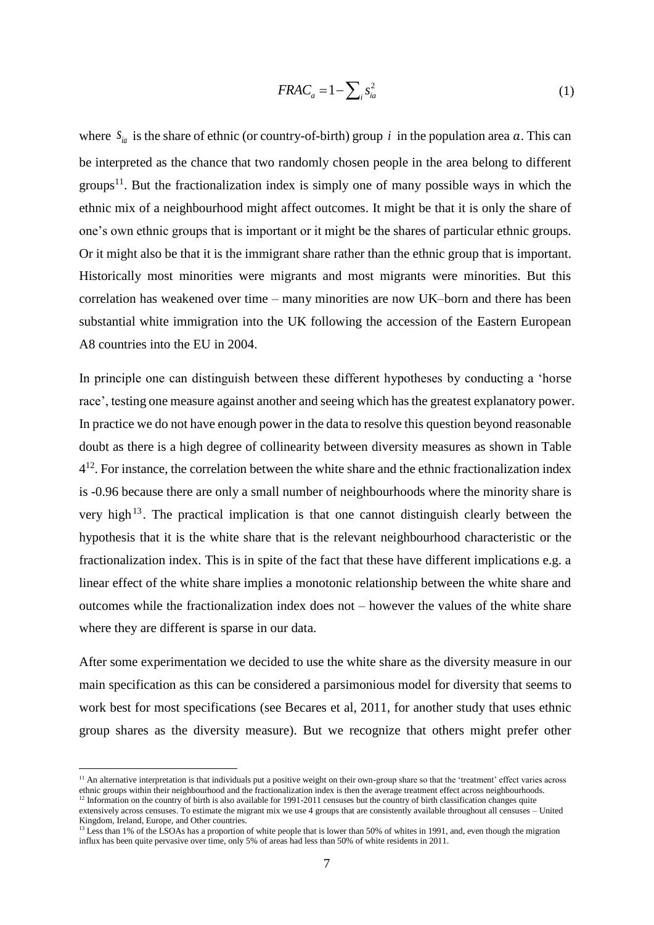$$
FRAC_a = 1 - \sum_i s_{ia}^2 \tag{1}
$$

where  $S_{ia}$  is the share of ethnic (or country-of-birth) group *i* in the population area *a*. This can be interpreted as the chance that two randomly chosen people in the area belong to different groups<sup>11</sup>. But the fractionalization index is simply one of many possible ways in which the ethnic mix of a neighbourhood might affect outcomes. It might be that it is only the share of one's own ethnic groups that is important or it might be the shares of particular ethnic groups. Or it might also be that it is the immigrant share rather than the ethnic group that is important. Historically most minorities were migrants and most migrants were minorities. But this correlation has weakened over time – many minorities are now UK–born and there has been substantial white immigration into the UK following the accession of the Eastern European A8 countries into the EU in 2004.

In principle one can distinguish between these different hypotheses by conducting a 'horse race', testing one measure against another and seeing which has the greatest explanatory power. In practice we do not have enough power in the data to resolve this question beyond reasonable doubt as there is a high degree of collinearity between diversity measures as shown in Table  $4^{12}$ . For instance, the correlation between the white share and the ethnic fractionalization index is -0.96 because there are only a small number of neighbourhoods where the minority share is very high<sup>13</sup>. The practical implication is that one cannot distinguish clearly between the hypothesis that it is the white share that is the relevant neighbourhood characteristic or the fractionalization index. This is in spite of the fact that these have different implications e.g. a linear effect of the white share implies a monotonic relationship between the white share and outcomes while the fractionalization index does not – however the values of the white share where they are different is sparse in our data.

After some experimentation we decided to use the white share as the diversity measure in our main specification as this can be considered a parsimonious model for diversity that seems to work best for most specifications (see Becares et al, 2011, for another study that uses ethnic group shares as the diversity measure). But we recognize that others might prefer other

<sup>&</sup>lt;sup>11</sup> An alternative interpretation is that individuals put a positive weight on their own-group share so that the 'treatment' effect varies across ethnic groups within their neighbourhood and the fractionalization index is then the average treatment effect across neighbourhoods. <sup>12</sup> Information on the country of birth is also available for 1991-2011 censuses but the country of birth classification changes quite

extensively across censuses. To estimate the migrant mix we use 4 groups that are consistently available throughout all censuses – United Kingdom, Ireland, Europe, and Other countries.

<sup>&</sup>lt;sup>13</sup> Less than 1% of the LSOAs has a proportion of white people that is lower than 50% of whites in 1991, and, even though the migration influx has been quite pervasive over time, only 5% of areas had less than 50% of white residents in 2011.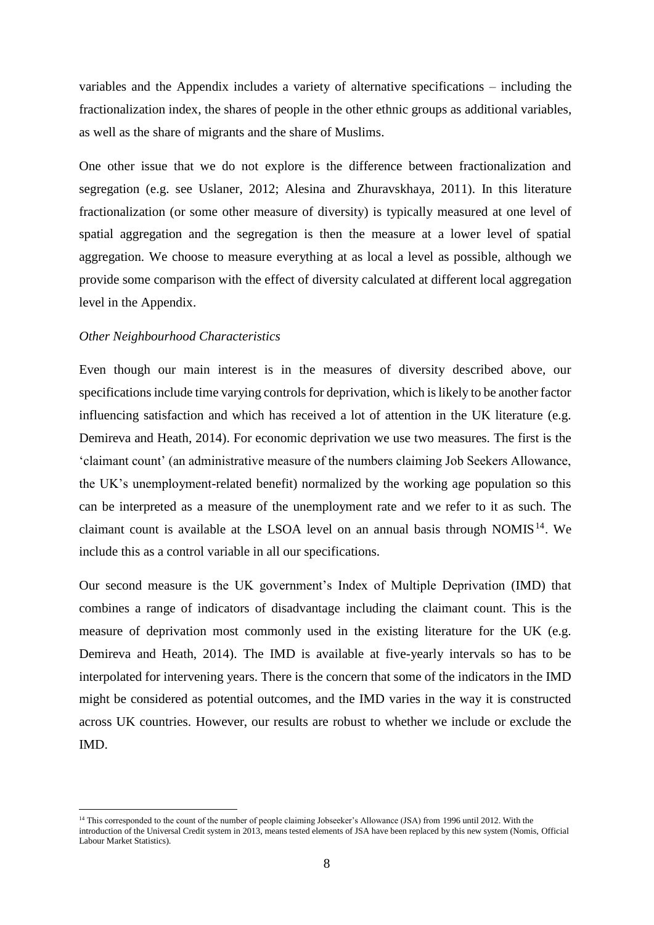variables and the Appendix includes a variety of alternative specifications – including the fractionalization index, the shares of people in the other ethnic groups as additional variables, as well as the share of migrants and the share of Muslims.

One other issue that we do not explore is the difference between fractionalization and segregation (e.g. see Uslaner, 2012; Alesina and Zhuravskhaya, 2011). In this literature fractionalization (or some other measure of diversity) is typically measured at one level of spatial aggregation and the segregation is then the measure at a lower level of spatial aggregation. We choose to measure everything at as local a level as possible, although we provide some comparison with the effect of diversity calculated at different local aggregation level in the Appendix.

#### *Other Neighbourhood Characteristics*

Even though our main interest is in the measures of diversity described above, our specifications include time varying controls for deprivation, which is likely to be another factor influencing satisfaction and which has received a lot of attention in the UK literature (e.g. Demireva and Heath, 2014). For economic deprivation we use two measures. The first is the 'claimant count' (an administrative measure of the numbers claiming Job Seekers Allowance, the UK's unemployment-related benefit) normalized by the working age population so this can be interpreted as a measure of the unemployment rate and we refer to it as such. The claimant count is available at the LSOA level on an annual basis through NOMIS<sup>14</sup>. We include this as a control variable in all our specifications.

Our second measure is the UK government's Index of Multiple Deprivation (IMD) that combines a range of indicators of disadvantage including the claimant count. This is the measure of deprivation most commonly used in the existing literature for the UK (e.g. Demireva and Heath, 2014). The IMD is available at five-yearly intervals so has to be interpolated for intervening years. There is the concern that some of the indicators in the IMD might be considered as potential outcomes, and the IMD varies in the way it is constructed across UK countries. However, our results are robust to whether we include or exclude the IMD.

<sup>&</sup>lt;sup>14</sup> This corresponded to the count of the number of people claiming Jobseeker's Allowance (JSA) from 1996 until 2012. With the introduction of the Universal Credit system in 2013, means tested elements of JSA have been replaced by this new system (Nomis, Official Labour Market Statistics).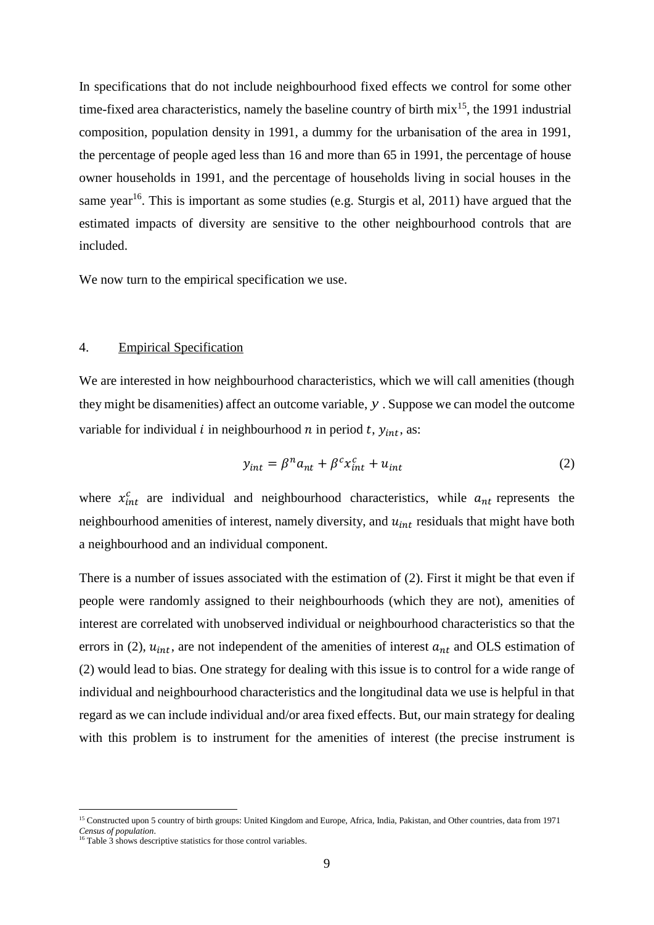In specifications that do not include neighbourhood fixed effects we control for some other time-fixed area characteristics, namely the baseline country of birth  $mix^{15}$ , the 1991 industrial composition, population density in 1991, a dummy for the urbanisation of the area in 1991, the percentage of people aged less than 16 and more than 65 in 1991, the percentage of house owner households in 1991, and the percentage of households living in social houses in the same year<sup>16</sup>. This is important as some studies (e.g. Sturgis et al, 2011) have argued that the estimated impacts of diversity are sensitive to the other neighbourhood controls that are included.

We now turn to the empirical specification we use.

#### 4. Empirical Specification

We are interested in how neighbourhood characteristics, which we will call amenities (though they might be disamenities) affect an outcome variable, *y* . Suppose we can model the outcome variable for individual *i* in neighbourhood *n* in period *t*,  $y_{int}$ , as:

$$
y_{int} = \beta^n a_{nt} + \beta^c x_{int}^c + u_{int}
$$
 (2)

where  $x_{int}^{c}$  are individual and neighbourhood characteristics, while  $a_{nt}$  represents the neighbourhood amenities of interest, namely diversity, and  $u_{int}$  residuals that might have both a neighbourhood and an individual component.

There is a number of issues associated with the estimation of (2). First it might be that even if people were randomly assigned to their neighbourhoods (which they are not), amenities of interest are correlated with unobserved individual or neighbourhood characteristics so that the errors in (2),  $u_{int}$ , are not independent of the amenities of interest  $a_{nt}$  and OLS estimation of (2) would lead to bias. One strategy for dealing with this issue is to control for a wide range of individual and neighbourhood characteristics and the longitudinal data we use is helpful in that regard as we can include individual and/or area fixed effects. But, our main strategy for dealing with this problem is to instrument for the amenities of interest (the precise instrument is

<sup>&</sup>lt;sup>15</sup> Constructed upon 5 country of birth groups: United Kingdom and Europe, Africa, India, Pakistan, and Other countries, data from 1971 *Census of population*.

<sup>&</sup>lt;sup>16</sup> Table 3 shows descriptive statistics for those control variables.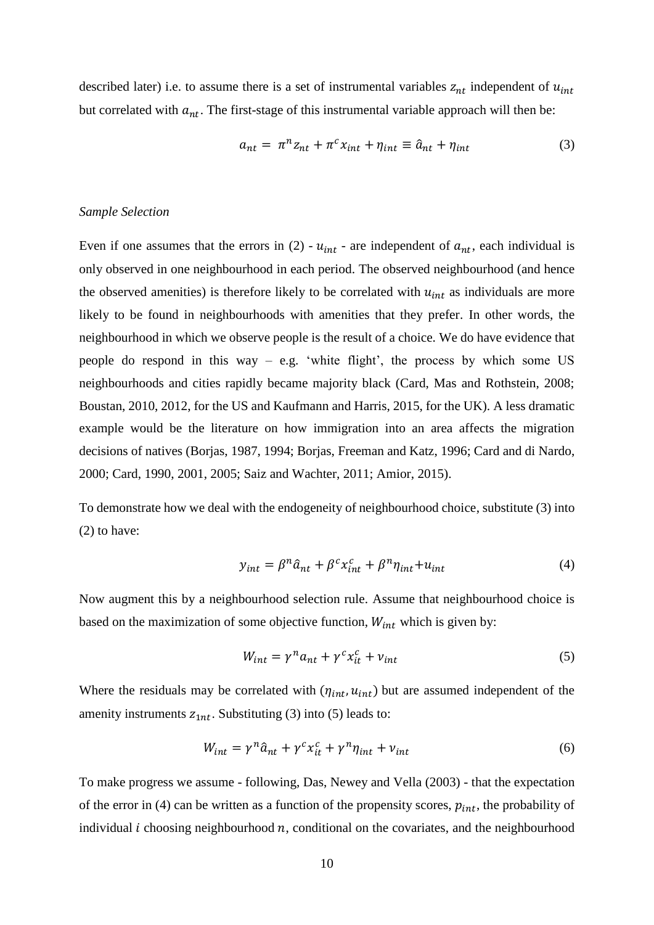described later) i.e. to assume there is a set of instrumental variables  $z_{nt}$  independent of  $u_{int}$ but correlated with  $a_{nt}$ . The first-stage of this instrumental variable approach will then be:

$$
a_{nt} = \pi^n z_{nt} + \pi^c x_{int} + \eta_{int} \equiv \hat{a}_{nt} + \eta_{int}
$$
 (3)

#### *Sample Selection*

Even if one assumes that the errors in (2) -  $u_{int}$  - are independent of  $a_{nt}$ , each individual is only observed in one neighbourhood in each period. The observed neighbourhood (and hence the observed amenities) is therefore likely to be correlated with  $u_{int}$  as individuals are more likely to be found in neighbourhoods with amenities that they prefer. In other words, the neighbourhood in which we observe people is the result of a choice. We do have evidence that people do respond in this way – e.g. 'white flight', the process by which some US neighbourhoods and cities rapidly became majority black (Card, Mas and Rothstein, 2008; Boustan, 2010, 2012, for the US and Kaufmann and Harris, 2015, for the UK). A less dramatic example would be the literature on how immigration into an area affects the migration decisions of natives (Borjas, 1987, 1994; Borjas, Freeman and Katz, 1996; Card and di Nardo, 2000; Card, 1990, 2001, 2005; Saiz and Wachter, 2011; Amior, 2015).

To demonstrate how we deal with the endogeneity of neighbourhood choice, substitute (3) into (2) to have:

$$
y_{int} = \beta^n \hat{a}_{nt} + \beta^c x_{int}^c + \beta^n \eta_{int} + u_{int}
$$
 (4)

Now augment this by a neighbourhood selection rule. Assume that neighbourhood choice is based on the maximization of some objective function,  $W_{int}$  which is given by:

$$
W_{int} = \gamma^n a_{nt} + \gamma^c x_{it}^c + v_{int}
$$
 (5)

Where the residuals may be correlated with  $(\eta_{int}, u_{int})$  but are assumed independent of the amenity instruments  $z_{1nt}$ . Substituting (3) into (5) leads to:

$$
W_{int} = \gamma^n \hat{a}_{nt} + \gamma^c x_{it}^c + \gamma^n \eta_{int} + \nu_{int}
$$
 (6)

To make progress we assume - following, Das, Newey and Vella (2003) - that the expectation of the error in (4) can be written as a function of the propensity scores,  $p_{int}$ , the probability of individual  $i$  choosing neighbourhood  $n$ , conditional on the covariates, and the neighbourhood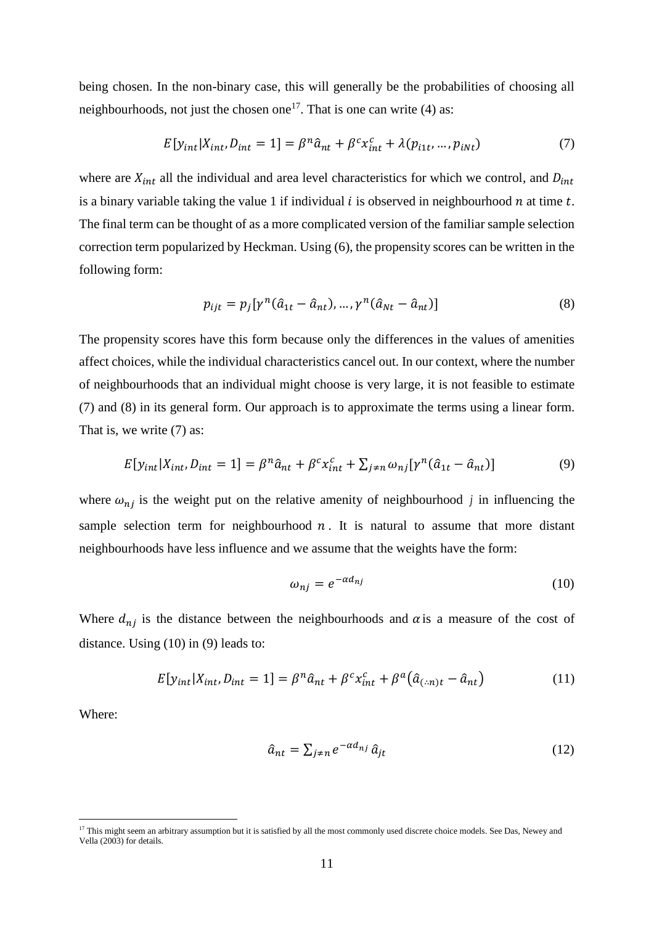being chosen. In the non-binary case, this will generally be the probabilities of choosing all neighbourhoods, not just the chosen one<sup>17</sup>. That is one can write (4) as:

$$
E[yint|Xint, Dint = 1] = \betan \hat{a}nt + \betac xintc + \lambda(pit, ..., pint)
$$
 (7)

where are  $X_{int}$  all the individual and area level characteristics for which we control, and  $D_{int}$ is a binary variable taking the value 1 if individual  $i$  is observed in neighbourhood  $n$  at time  $t$ . The final term can be thought of as a more complicated version of the familiar sample selection correction term popularized by Heckman. Using (6), the propensity scores can be written in the following form:

$$
p_{ijt} = p_j[\gamma^n(\hat{a}_{1t} - \hat{a}_{nt}), \dots, \gamma^n(\hat{a}_{Nt} - \hat{a}_{nt})]
$$
\n(8)

The propensity scores have this form because only the differences in the values of amenities affect choices, while the individual characteristics cancel out. In our context, where the number of neighbourhoods that an individual might choose is very large, it is not feasible to estimate (7) and (8) in its general form. Our approach is to approximate the terms using a linear form. That is, we write (7) as:

$$
E[yint|Xint, Dint = 1] = \betan \hat{a}nt + \betac xintc + \sum_{j \neq n} \omega_{nj} [\gamman (\hat{a}1t - \hat{a}nt)]
$$
\n(9)

where  $\omega_{nj}$  is the weight put on the relative amenity of neighbourhood *j* in influencing the sample selection term for neighbourhood  $n$ . It is natural to assume that more distant neighbourhoods have less influence and we assume that the weights have the form:

$$
\omega_{nj} = e^{-\alpha d_{nj}} \tag{10}
$$

Where  $d_{nj}$  is the distance between the neighbourhoods and  $\alpha$  is a measure of the cost of distance. Using (10) in (9) leads to:

$$
E[y_{int}|X_{int}, D_{int} = 1] = \beta^n \hat{a}_{nt} + \beta^c x_{int}^c + \beta^a (\hat{a}_{(:,n)t} - \hat{a}_{nt})
$$
\n(11)

Where:

$$
\hat{a}_{nt} = \sum_{j \neq n} e^{-\alpha d_{nj}} \hat{a}_{jt} \tag{12}
$$

<sup>&</sup>lt;sup>17</sup> This might seem an arbitrary assumption but it is satisfied by all the most commonly used discrete choice models. See Das, Newey and Vella (2003) for details.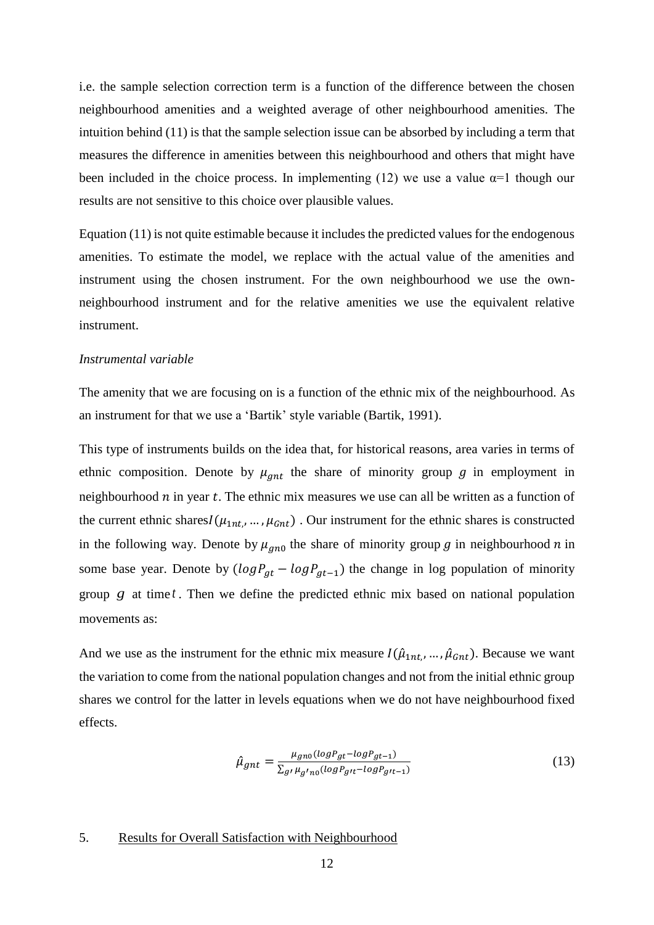i.e. the sample selection correction term is a function of the difference between the chosen neighbourhood amenities and a weighted average of other neighbourhood amenities. The intuition behind (11) is that the sample selection issue can be absorbed by including a term that measures the difference in amenities between this neighbourhood and others that might have been included in the choice process. In implementing (12) we use a value  $\alpha=1$  though our results are not sensitive to this choice over plausible values.

Equation (11) is not quite estimable because it includes the predicted values for the endogenous amenities. To estimate the model, we replace with the actual value of the amenities and instrument using the chosen instrument. For the own neighbourhood we use the ownneighbourhood instrument and for the relative amenities we use the equivalent relative instrument.

#### *Instrumental variable*

The amenity that we are focusing on is a function of the ethnic mix of the neighbourhood. As an instrument for that we use a 'Bartik' style variable (Bartik, 1991).

This type of instruments builds on the idea that, for historical reasons, area varies in terms of ethnic composition. Denote by  $\mu_{gnt}$  the share of minority group g in employment in neighbourhood  $n$  in year  $t$ . The ethnic mix measures we use can all be written as a function of the current ethnic shares $I(\mu_{1nt}, ..., \mu_{Gnt})$ . Our instrument for the ethnic shares is constructed in the following way. Denote by  $\mu_{gn0}$  the share of minority group g in neighbourhood n in some base year. Denote by  $(logP_{at} - logP_{at-1})$  the change in log population of minority group *g* at time *t* . Then we define the predicted ethnic mix based on national population movements as:

And we use as the instrument for the ethnic mix measure  $I(\hat{\mu}_{1nt},...,\hat{\mu}_{Gnt})$ . Because we want the variation to come from the national population changes and not from the initial ethnic group shares we control for the latter in levels equations when we do not have neighbourhood fixed effects.

$$
\hat{\mu}_{gnt} = \frac{\mu_{gno}(\log P_{gt} - \log P_{gt-1})}{\sum_{g'} \mu_{g'no}(\log P_{gt} - \log P_{gt-1})}
$$
\n(13)

#### 5. Results for Overall Satisfaction with Neighbourhood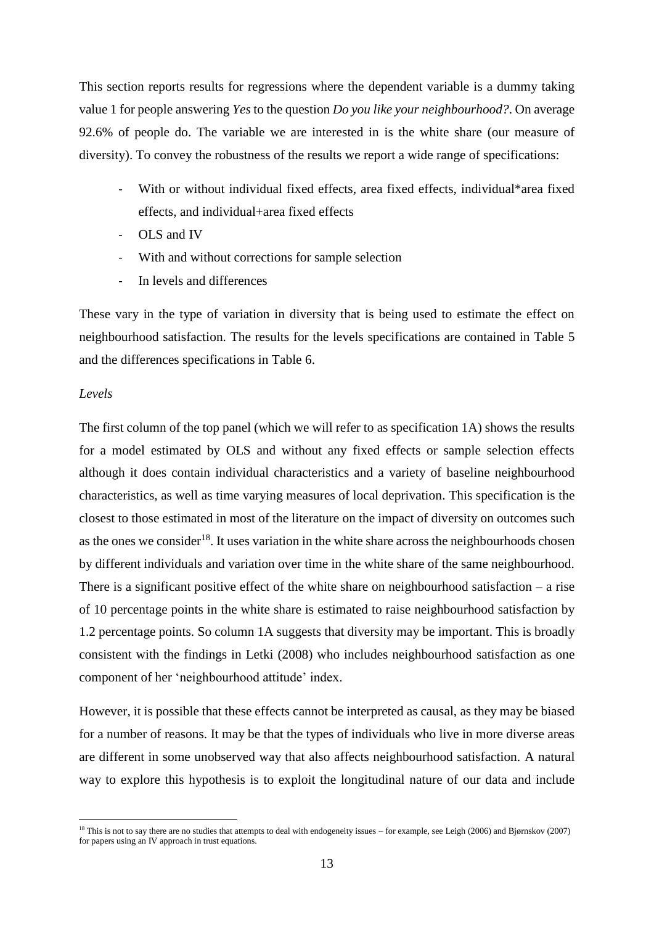This section reports results for regressions where the dependent variable is a dummy taking value 1 for people answering *Yes* to the question *Do you like your neighbourhood?*. On average 92.6% of people do. The variable we are interested in is the white share (our measure of diversity). To convey the robustness of the results we report a wide range of specifications:

- With or without individual fixed effects, area fixed effects, individual\*area fixed effects, and individual+area fixed effects
- OLS and IV
- With and without corrections for sample selection
- In levels and differences

These vary in the type of variation in diversity that is being used to estimate the effect on neighbourhood satisfaction. The results for the levels specifications are contained in Table 5 and the differences specifications in Table 6.

#### *Levels*

The first column of the top panel (which we will refer to as specification 1A) shows the results for a model estimated by OLS and without any fixed effects or sample selection effects although it does contain individual characteristics and a variety of baseline neighbourhood characteristics, as well as time varying measures of local deprivation. This specification is the closest to those estimated in most of the literature on the impact of diversity on outcomes such as the ones we consider<sup>18</sup>. It uses variation in the white share across the neighbourhoods chosen by different individuals and variation over time in the white share of the same neighbourhood. There is a significant positive effect of the white share on neighbourhood satisfaction  $-$  a rise of 10 percentage points in the white share is estimated to raise neighbourhood satisfaction by 1.2 percentage points. So column 1A suggests that diversity may be important. This is broadly consistent with the findings in Letki (2008) who includes neighbourhood satisfaction as one component of her 'neighbourhood attitude' index.

However, it is possible that these effects cannot be interpreted as causal, as they may be biased for a number of reasons. It may be that the types of individuals who live in more diverse areas are different in some unobserved way that also affects neighbourhood satisfaction. A natural way to explore this hypothesis is to exploit the longitudinal nature of our data and include

<sup>&</sup>lt;sup>18</sup> This is not to say there are no studies that attempts to deal with endogeneity issues – for example, see Leigh (2006) and Bjørnskov (2007) for papers using an IV approach in trust equations.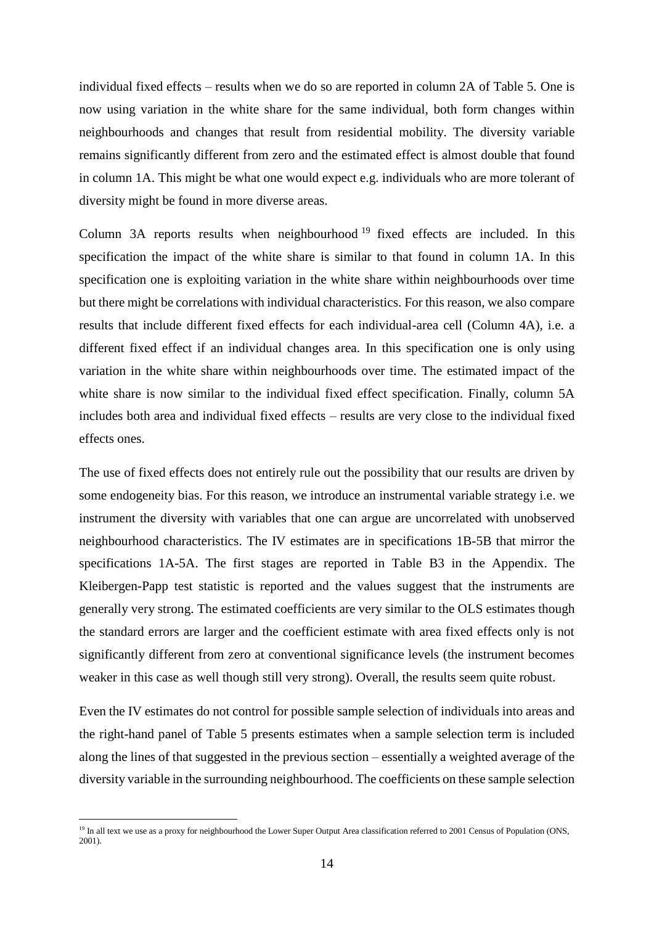individual fixed effects – results when we do so are reported in column 2A of Table 5. One is now using variation in the white share for the same individual, both form changes within neighbourhoods and changes that result from residential mobility. The diversity variable remains significantly different from zero and the estimated effect is almost double that found in column 1A. This might be what one would expect e.g. individuals who are more tolerant of diversity might be found in more diverse areas.

Column 3A reports results when neighbourhood <sup>19</sup> fixed effects are included. In this specification the impact of the white share is similar to that found in column 1A. In this specification one is exploiting variation in the white share within neighbourhoods over time but there might be correlations with individual characteristics. For this reason, we also compare results that include different fixed effects for each individual-area cell (Column 4A), i.e. a different fixed effect if an individual changes area. In this specification one is only using variation in the white share within neighbourhoods over time. The estimated impact of the white share is now similar to the individual fixed effect specification. Finally, column 5A includes both area and individual fixed effects – results are very close to the individual fixed effects ones.

The use of fixed effects does not entirely rule out the possibility that our results are driven by some endogeneity bias. For this reason, we introduce an instrumental variable strategy i.e. we instrument the diversity with variables that one can argue are uncorrelated with unobserved neighbourhood characteristics. The IV estimates are in specifications 1B-5B that mirror the specifications 1A-5A. The first stages are reported in Table B3 in the Appendix. The Kleibergen-Papp test statistic is reported and the values suggest that the instruments are generally very strong. The estimated coefficients are very similar to the OLS estimates though the standard errors are larger and the coefficient estimate with area fixed effects only is not significantly different from zero at conventional significance levels (the instrument becomes weaker in this case as well though still very strong). Overall, the results seem quite robust.

Even the IV estimates do not control for possible sample selection of individuals into areas and the right-hand panel of Table 5 presents estimates when a sample selection term is included along the lines of that suggested in the previous section – essentially a weighted average of the diversity variable in the surrounding neighbourhood. The coefficients on these sample selection

<sup>&</sup>lt;sup>19</sup> In all text we use as a proxy for neighbourhood the Lower Super Output Area classification referred to 2001 Census of Population (ONS, 2001).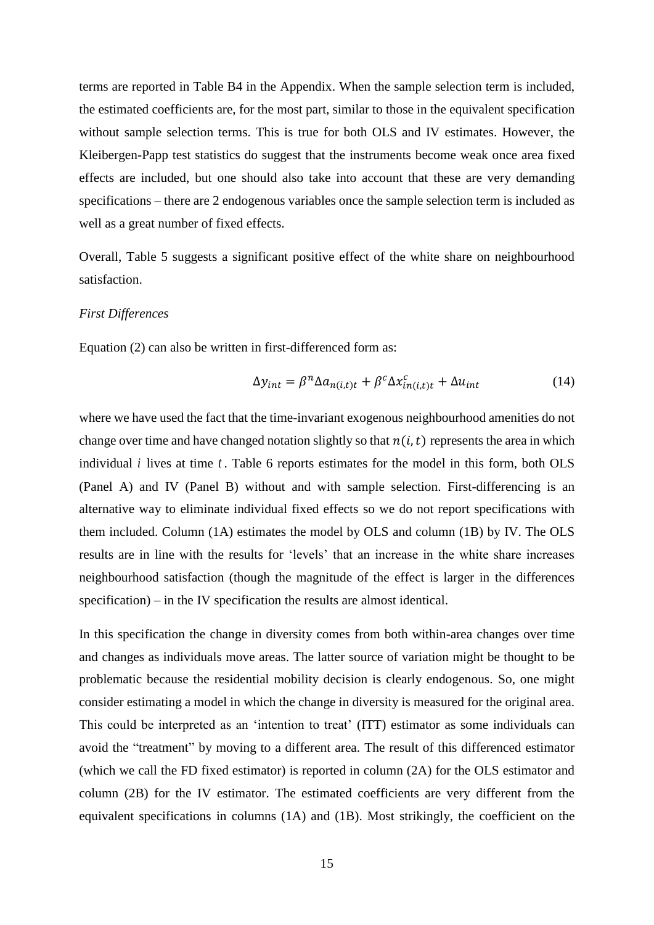terms are reported in Table B4 in the Appendix. When the sample selection term is included, the estimated coefficients are, for the most part, similar to those in the equivalent specification without sample selection terms. This is true for both OLS and IV estimates. However, the Kleibergen-Papp test statistics do suggest that the instruments become weak once area fixed effects are included, but one should also take into account that these are very demanding specifications – there are 2 endogenous variables once the sample selection term is included as well as a great number of fixed effects.

Overall, Table 5 suggests a significant positive effect of the white share on neighbourhood satisfaction.

#### *First Differences*

Equation (2) can also be written in first-differenced form as:

$$
\Delta y_{int} = \beta^n \Delta a_{n(i,t)t} + \beta^c \Delta x_{in(i,t)t}^c + \Delta u_{int}
$$
 (14)

where we have used the fact that the time-invariant exogenous neighbourhood amenities do not change over time and have changed notation slightly so that  $n(i, t)$  represents the area in which individual  $i$  lives at time  $t$ . Table 6 reports estimates for the model in this form, both OLS (Panel A) and IV (Panel B) without and with sample selection. First-differencing is an alternative way to eliminate individual fixed effects so we do not report specifications with them included. Column (1A) estimates the model by OLS and column (1B) by IV. The OLS results are in line with the results for 'levels' that an increase in the white share increases neighbourhood satisfaction (though the magnitude of the effect is larger in the differences specification) – in the IV specification the results are almost identical.

In this specification the change in diversity comes from both within-area changes over time and changes as individuals move areas. The latter source of variation might be thought to be problematic because the residential mobility decision is clearly endogenous. So, one might consider estimating a model in which the change in diversity is measured for the original area. This could be interpreted as an 'intention to treat' (ITT) estimator as some individuals can avoid the "treatment" by moving to a different area. The result of this differenced estimator (which we call the FD fixed estimator) is reported in column (2A) for the OLS estimator and column (2B) for the IV estimator. The estimated coefficients are very different from the equivalent specifications in columns (1A) and (1B). Most strikingly, the coefficient on the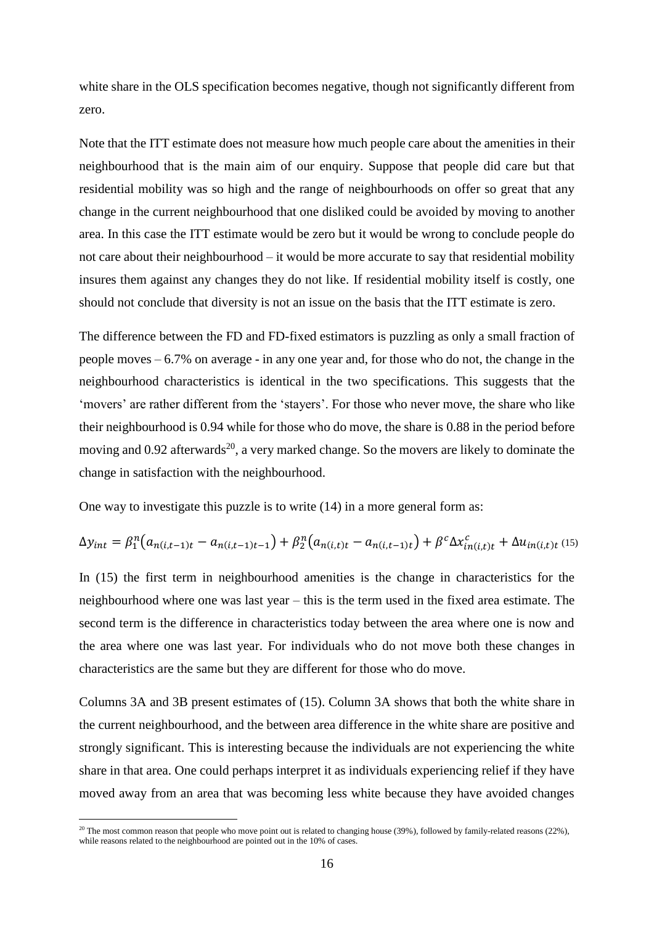white share in the OLS specification becomes negative, though not significantly different from zero.

Note that the ITT estimate does not measure how much people care about the amenities in their neighbourhood that is the main aim of our enquiry. Suppose that people did care but that residential mobility was so high and the range of neighbourhoods on offer so great that any change in the current neighbourhood that one disliked could be avoided by moving to another area. In this case the ITT estimate would be zero but it would be wrong to conclude people do not care about their neighbourhood – it would be more accurate to say that residential mobility insures them against any changes they do not like. If residential mobility itself is costly, one should not conclude that diversity is not an issue on the basis that the ITT estimate is zero.

The difference between the FD and FD-fixed estimators is puzzling as only a small fraction of people moves – 6.7% on average - in any one year and, for those who do not, the change in the neighbourhood characteristics is identical in the two specifications. This suggests that the 'movers' are rather different from the 'stayers'. For those who never move, the share who like their neighbourhood is 0.94 while for those who do move, the share is 0.88 in the period before moving and  $0.92$  afterwards<sup>20</sup>, a very marked change. So the movers are likely to dominate the change in satisfaction with the neighbourhood.

One way to investigate this puzzle is to write (14) in a more general form as:

$$
\Delta y_{int} = \beta_1^n (a_{n(i,t-1)t} - a_{n(i,t-1)t-1}) + \beta_2^n (a_{n(i,t)t} - a_{n(i,t-1)t}) + \beta^c \Delta x_{in(i,t)t}^c + \Delta u_{in(i,t)t} \tag{15}
$$

In (15) the first term in neighbourhood amenities is the change in characteristics for the neighbourhood where one was last year – this is the term used in the fixed area estimate. The second term is the difference in characteristics today between the area where one is now and the area where one was last year. For individuals who do not move both these changes in characteristics are the same but they are different for those who do move.

Columns 3A and 3B present estimates of (15). Column 3A shows that both the white share in the current neighbourhood, and the between area difference in the white share are positive and strongly significant. This is interesting because the individuals are not experiencing the white share in that area. One could perhaps interpret it as individuals experiencing relief if they have moved away from an area that was becoming less white because they have avoided changes

<sup>&</sup>lt;sup>20</sup> The most common reason that people who move point out is related to changing house (39%), followed by family-related reasons (22%), while reasons related to the neighbourhood are pointed out in the 10% of cases.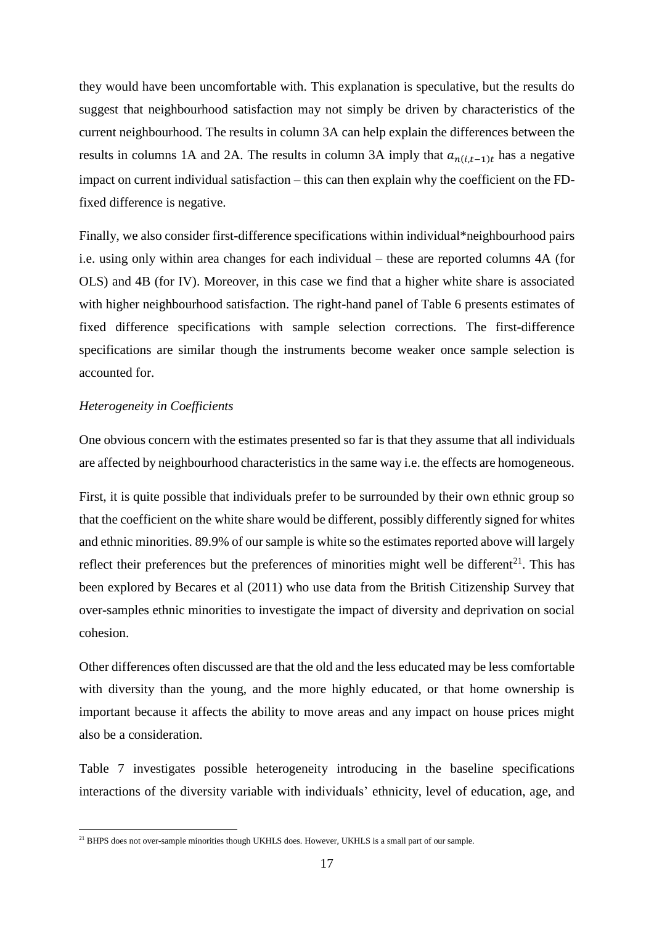they would have been uncomfortable with. This explanation is speculative, but the results do suggest that neighbourhood satisfaction may not simply be driven by characteristics of the current neighbourhood. The results in column 3A can help explain the differences between the results in columns 1A and 2A. The results in column 3A imply that  $a_{n(i,t-1)t}$  has a negative impact on current individual satisfaction – this can then explain why the coefficient on the FDfixed difference is negative.

Finally, we also consider first-difference specifications within individual\*neighbourhood pairs i.e. using only within area changes for each individual – these are reported columns 4A (for OLS) and 4B (for IV). Moreover, in this case we find that a higher white share is associated with higher neighbourhood satisfaction. The right-hand panel of Table 6 presents estimates of fixed difference specifications with sample selection corrections. The first-difference specifications are similar though the instruments become weaker once sample selection is accounted for.

## *Heterogeneity in Coefficients*

One obvious concern with the estimates presented so far is that they assume that all individuals are affected by neighbourhood characteristics in the same way i.e. the effects are homogeneous.

First, it is quite possible that individuals prefer to be surrounded by their own ethnic group so that the coefficient on the white share would be different, possibly differently signed for whites and ethnic minorities. 89.9% of our sample is white so the estimates reported above will largely reflect their preferences but the preferences of minorities might well be different<sup>21</sup>. This has been explored by Becares et al (2011) who use data from the British Citizenship Survey that over-samples ethnic minorities to investigate the impact of diversity and deprivation on social cohesion.

Other differences often discussed are that the old and the less educated may be less comfortable with diversity than the young, and the more highly educated, or that home ownership is important because it affects the ability to move areas and any impact on house prices might also be a consideration.

Table 7 investigates possible heterogeneity introducing in the baseline specifications interactions of the diversity variable with individuals' ethnicity, level of education, age, and

<sup>&</sup>lt;sup>21</sup> BHPS does not over-sample minorities though UKHLS does. However, UKHLS is a small part of our sample.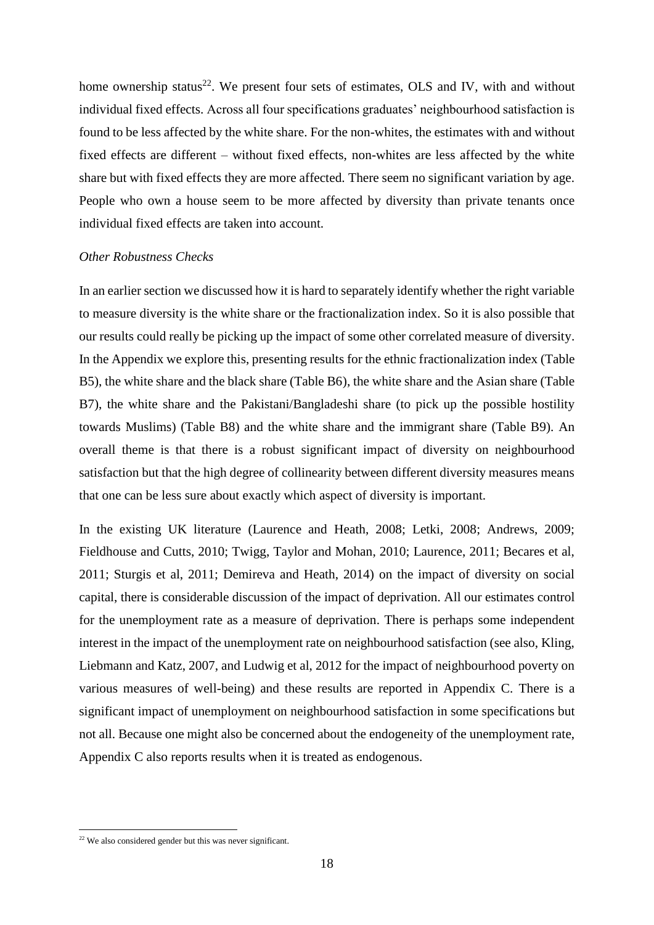home ownership status<sup>22</sup>. We present four sets of estimates, OLS and IV, with and without individual fixed effects. Across all four specifications graduates' neighbourhood satisfaction is found to be less affected by the white share. For the non-whites, the estimates with and without fixed effects are different – without fixed effects, non-whites are less affected by the white share but with fixed effects they are more affected. There seem no significant variation by age. People who own a house seem to be more affected by diversity than private tenants once individual fixed effects are taken into account.

#### *Other Robustness Checks*

In an earlier section we discussed how it is hard to separately identify whether the right variable to measure diversity is the white share or the fractionalization index. So it is also possible that our results could really be picking up the impact of some other correlated measure of diversity. In the Appendix we explore this, presenting results for the ethnic fractionalization index (Table B5), the white share and the black share (Table B6), the white share and the Asian share (Table B7), the white share and the Pakistani/Bangladeshi share (to pick up the possible hostility towards Muslims) (Table B8) and the white share and the immigrant share (Table B9). An overall theme is that there is a robust significant impact of diversity on neighbourhood satisfaction but that the high degree of collinearity between different diversity measures means that one can be less sure about exactly which aspect of diversity is important.

In the existing UK literature (Laurence and Heath, 2008; Letki, 2008; Andrews, 2009; Fieldhouse and Cutts, 2010; Twigg, Taylor and Mohan, 2010; Laurence, 2011; Becares et al, 2011; Sturgis et al, 2011; Demireva and Heath, 2014) on the impact of diversity on social capital, there is considerable discussion of the impact of deprivation. All our estimates control for the unemployment rate as a measure of deprivation. There is perhaps some independent interest in the impact of the unemployment rate on neighbourhood satisfaction (see also, Kling, Liebmann and Katz, 2007, and Ludwig et al, 2012 for the impact of neighbourhood poverty on various measures of well-being) and these results are reported in Appendix C. There is a significant impact of unemployment on neighbourhood satisfaction in some specifications but not all. Because one might also be concerned about the endogeneity of the unemployment rate, Appendix C also reports results when it is treated as endogenous.

<sup>&</sup>lt;sup>22</sup> We also considered gender but this was never significant.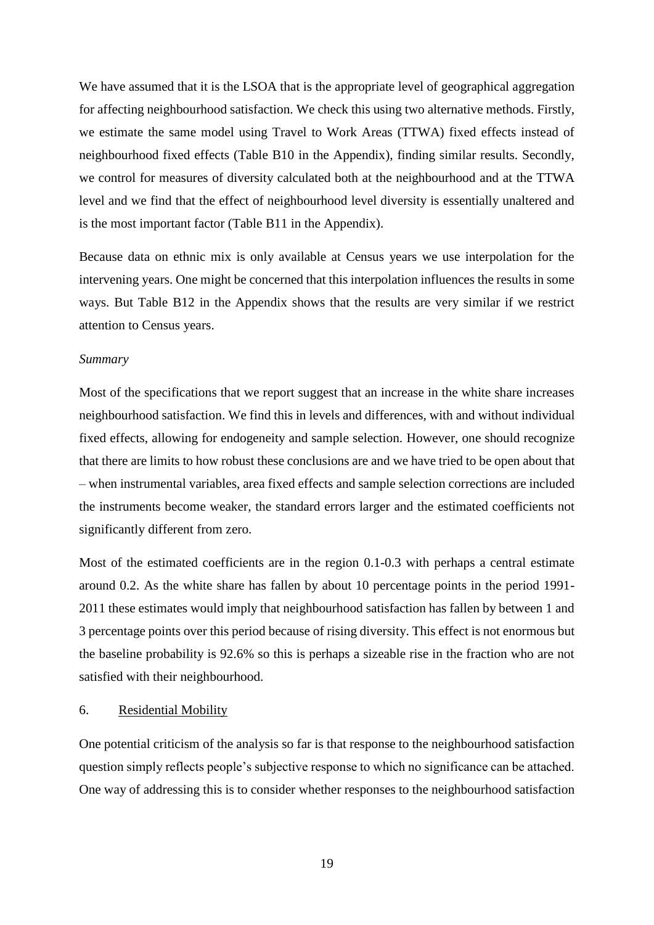We have assumed that it is the LSOA that is the appropriate level of geographical aggregation for affecting neighbourhood satisfaction. We check this using two alternative methods. Firstly, we estimate the same model using Travel to Work Areas (TTWA) fixed effects instead of neighbourhood fixed effects (Table B10 in the Appendix), finding similar results. Secondly, we control for measures of diversity calculated both at the neighbourhood and at the TTWA level and we find that the effect of neighbourhood level diversity is essentially unaltered and is the most important factor (Table B11 in the Appendix).

Because data on ethnic mix is only available at Census years we use interpolation for the intervening years. One might be concerned that this interpolation influences the results in some ways. But Table B12 in the Appendix shows that the results are very similar if we restrict attention to Census years.

#### *Summary*

Most of the specifications that we report suggest that an increase in the white share increases neighbourhood satisfaction. We find this in levels and differences, with and without individual fixed effects, allowing for endogeneity and sample selection. However, one should recognize that there are limits to how robust these conclusions are and we have tried to be open about that – when instrumental variables, area fixed effects and sample selection corrections are included the instruments become weaker, the standard errors larger and the estimated coefficients not significantly different from zero.

Most of the estimated coefficients are in the region 0.1-0.3 with perhaps a central estimate around 0.2. As the white share has fallen by about 10 percentage points in the period 1991- 2011 these estimates would imply that neighbourhood satisfaction has fallen by between 1 and 3 percentage points over this period because of rising diversity. This effect is not enormous but the baseline probability is 92.6% so this is perhaps a sizeable rise in the fraction who are not satisfied with their neighbourhood.

#### 6. Residential Mobility

One potential criticism of the analysis so far is that response to the neighbourhood satisfaction question simply reflects people's subjective response to which no significance can be attached. One way of addressing this is to consider whether responses to the neighbourhood satisfaction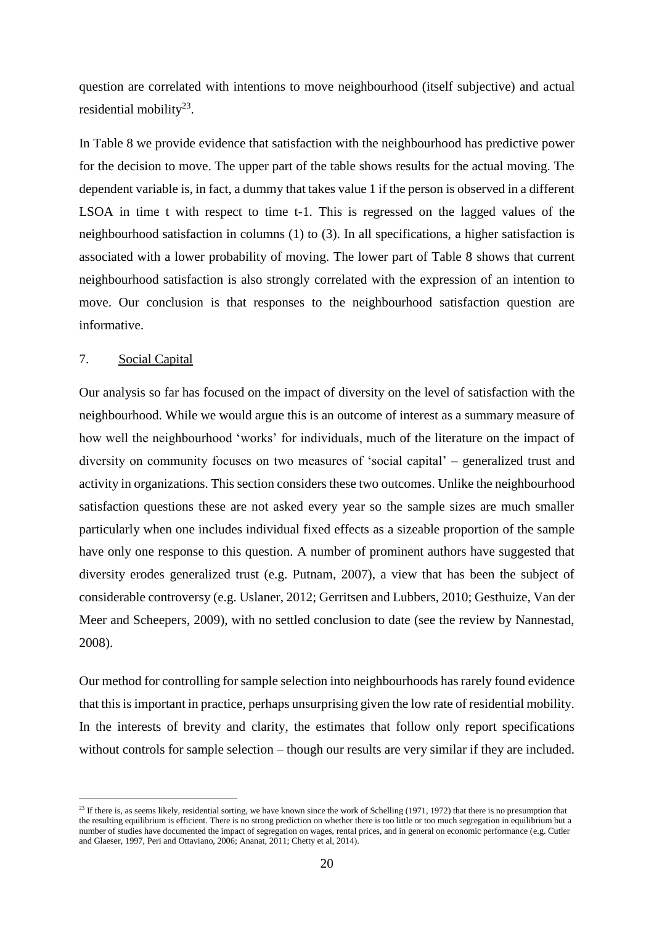question are correlated with intentions to move neighbourhood (itself subjective) and actual residential mobility $^{23}$ .

In Table 8 we provide evidence that satisfaction with the neighbourhood has predictive power for the decision to move. The upper part of the table shows results for the actual moving. The dependent variable is, in fact, a dummy that takes value 1 if the person is observed in a different LSOA in time t with respect to time t-1. This is regressed on the lagged values of the neighbourhood satisfaction in columns (1) to (3). In all specifications, a higher satisfaction is associated with a lower probability of moving. The lower part of Table 8 shows that current neighbourhood satisfaction is also strongly correlated with the expression of an intention to move. Our conclusion is that responses to the neighbourhood satisfaction question are informative.

# 7. Social Capital

Our analysis so far has focused on the impact of diversity on the level of satisfaction with the neighbourhood. While we would argue this is an outcome of interest as a summary measure of how well the neighbourhood 'works' for individuals, much of the literature on the impact of diversity on community focuses on two measures of 'social capital' – generalized trust and activity in organizations. This section considers these two outcomes. Unlike the neighbourhood satisfaction questions these are not asked every year so the sample sizes are much smaller particularly when one includes individual fixed effects as a sizeable proportion of the sample have only one response to this question. A number of prominent authors have suggested that diversity erodes generalized trust (e.g. Putnam, 2007), a view that has been the subject of considerable controversy (e.g. Uslaner, 2012; Gerritsen and Lubbers, 2010; Gesthuize, Van der Meer and Scheepers, 2009), with no settled conclusion to date (see the review by Nannestad, 2008).

Our method for controlling for sample selection into neighbourhoods has rarely found evidence that this is important in practice, perhaps unsurprising given the low rate of residential mobility. In the interests of brevity and clarity, the estimates that follow only report specifications without controls for sample selection – though our results are very similar if they are included.

<sup>&</sup>lt;sup>23</sup> If there is, as seems likely, residential sorting, we have known since the work of Schelling (1971, 1972) that there is no presumption that the resulting equilibrium is efficient. There is no strong prediction on whether there is too little or too much segregation in equilibrium but a number of studies have documented the impact of segregation on wages, rental prices, and in general on economic performance (e.g. Cutler and Glaeser, 1997, Peri and Ottaviano, 2006; Ananat, 2011; Chetty et al, 2014).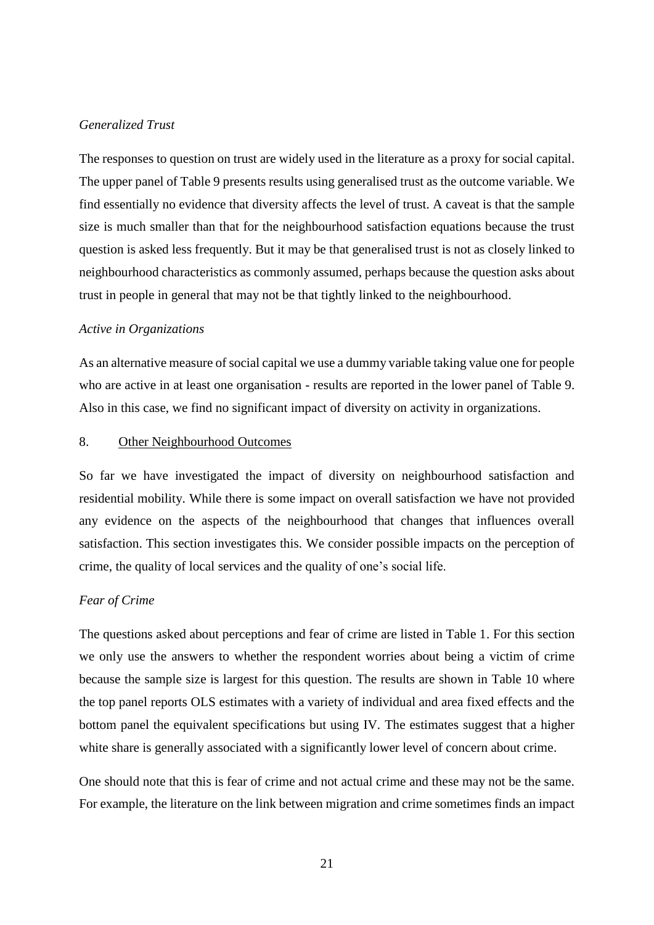#### *Generalized Trust*

The responses to question on trust are widely used in the literature as a proxy for social capital. The upper panel of Table 9 presents results using generalised trust as the outcome variable. We find essentially no evidence that diversity affects the level of trust. A caveat is that the sample size is much smaller than that for the neighbourhood satisfaction equations because the trust question is asked less frequently. But it may be that generalised trust is not as closely linked to neighbourhood characteristics as commonly assumed, perhaps because the question asks about trust in people in general that may not be that tightly linked to the neighbourhood.

#### *Active in Organizations*

As an alternative measure of social capital we use a dummy variable taking value one for people who are active in at least one organisation - results are reported in the lower panel of Table 9. Also in this case, we find no significant impact of diversity on activity in organizations.

## 8. Other Neighbourhood Outcomes

So far we have investigated the impact of diversity on neighbourhood satisfaction and residential mobility. While there is some impact on overall satisfaction we have not provided any evidence on the aspects of the neighbourhood that changes that influences overall satisfaction. This section investigates this. We consider possible impacts on the perception of crime, the quality of local services and the quality of one's social life.

#### *Fear of Crime*

The questions asked about perceptions and fear of crime are listed in Table 1. For this section we only use the answers to whether the respondent worries about being a victim of crime because the sample size is largest for this question. The results are shown in Table 10 where the top panel reports OLS estimates with a variety of individual and area fixed effects and the bottom panel the equivalent specifications but using IV. The estimates suggest that a higher white share is generally associated with a significantly lower level of concern about crime.

One should note that this is fear of crime and not actual crime and these may not be the same. For example, the literature on the link between migration and crime sometimes finds an impact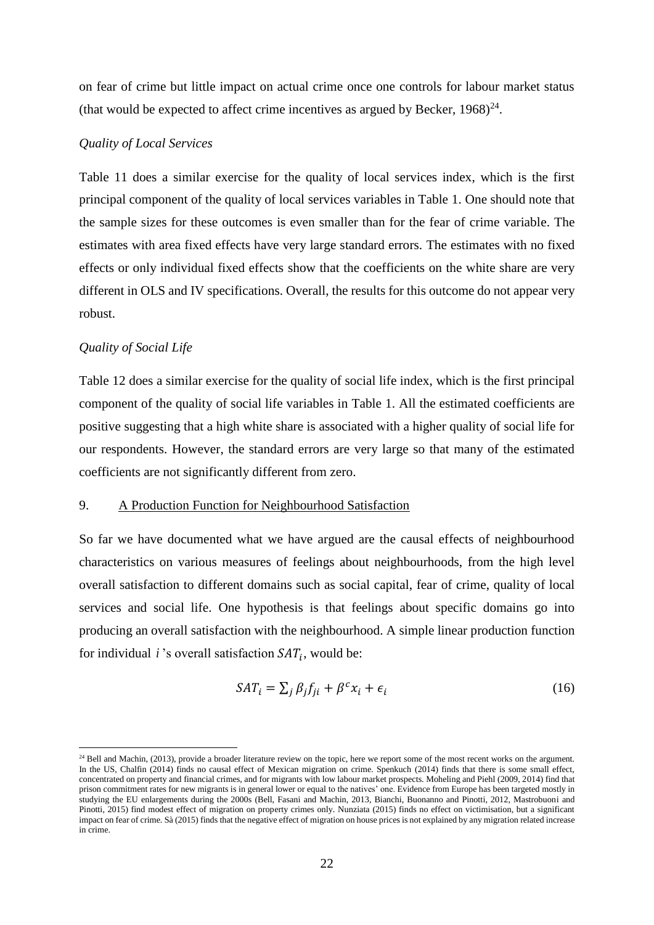on fear of crime but little impact on actual crime once one controls for labour market status (that would be expected to affect crime incentives as argued by Becker,  $1968)^{24}$ .

#### *Quality of Local Services*

Table 11 does a similar exercise for the quality of local services index, which is the first principal component of the quality of local services variables in Table 1. One should note that the sample sizes for these outcomes is even smaller than for the fear of crime variable. The estimates with area fixed effects have very large standard errors. The estimates with no fixed effects or only individual fixed effects show that the coefficients on the white share are very different in OLS and IV specifications. Overall, the results for this outcome do not appear very robust.

#### *Quality of Social Life*

Table 12 does a similar exercise for the quality of social life index, which is the first principal component of the quality of social life variables in Table 1. All the estimated coefficients are positive suggesting that a high white share is associated with a higher quality of social life for our respondents. However, the standard errors are very large so that many of the estimated coefficients are not significantly different from zero.

## 9. A Production Function for Neighbourhood Satisfaction

So far we have documented what we have argued are the causal effects of neighbourhood characteristics on various measures of feelings about neighbourhoods, from the high level overall satisfaction to different domains such as social capital, fear of crime, quality of local services and social life. One hypothesis is that feelings about specific domains go into producing an overall satisfaction with the neighbourhood. A simple linear production function for individual  $i$ 's overall satisfaction  $SAT<sub>i</sub>$ , would be:

$$
SAT_i = \sum_j \beta_j f_{ji} + \beta^c x_i + \epsilon_i
$$
\n(16)

<sup>&</sup>lt;sup>24</sup> Bell and Machin, (2013), provide a broader literature review on the topic, here we report some of the most recent works on the argument. In the US, Chalfin (2014) finds no causal effect of Mexican migration on crime. Spenkuch (2014) finds that there is some small effect, concentrated on property and financial crimes, and for migrants with low labour market prospects. Moheling and Piehl (2009, 2014) find that prison commitment rates for new migrants is in general lower or equal to the natives' one. Evidence from Europe has been targeted mostly in studying the EU enlargements during the 2000s (Bell, Fasani and Machin, 2013, Bianchi, Buonanno and Pinotti, 2012, Mastrobuoni and Pinotti, 2015) find modest effect of migration on property crimes only. Nunziata (2015) finds no effect on victimisation, but a significant impact on fear of crime. Sà (2015) finds that the negative effect of migration on house prices is not explained by any migration related increase in crime.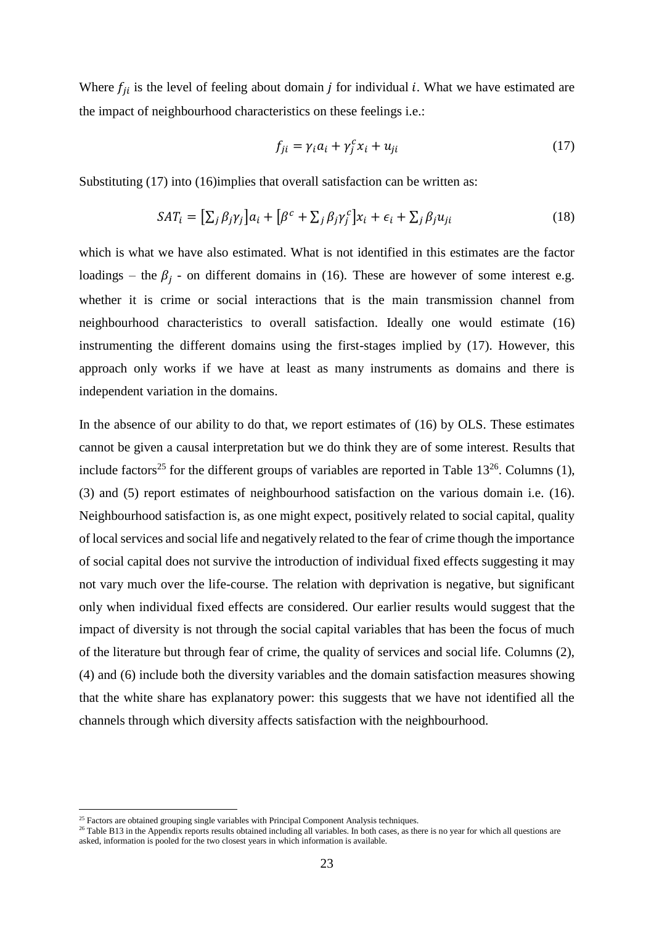Where  $f_{ii}$  is the level of feeling about domain *j* for individual *i*. What we have estimated are the impact of neighbourhood characteristics on these feelings i.e.:

$$
f_{ji} = \gamma_i a_i + \gamma_j^c x_i + u_{ji}
$$
 (17)

Substituting (17) into (16)implies that overall satisfaction can be written as:

$$
SAT_i = [\sum_j \beta_j \gamma_j] a_i + [\beta^c + \sum_j \beta_j \gamma_j^c] x_i + \epsilon_i + \sum_j \beta_j u_{ji}
$$
\n(18)

which is what we have also estimated. What is not identified in this estimates are the factor loadings – the  $\beta_j$  - on different domains in (16). These are however of some interest e.g. whether it is crime or social interactions that is the main transmission channel from neighbourhood characteristics to overall satisfaction. Ideally one would estimate (16) instrumenting the different domains using the first-stages implied by (17). However, this approach only works if we have at least as many instruments as domains and there is independent variation in the domains.

In the absence of our ability to do that, we report estimates of (16) by OLS. These estimates cannot be given a causal interpretation but we do think they are of some interest. Results that include factors<sup>25</sup> for the different groups of variables are reported in Table  $13^{26}$ . Columns (1), (3) and (5) report estimates of neighbourhood satisfaction on the various domain i.e. (16). Neighbourhood satisfaction is, as one might expect, positively related to social capital, quality of local services and social life and negatively related to the fear of crime though the importance of social capital does not survive the introduction of individual fixed effects suggesting it may not vary much over the life-course. The relation with deprivation is negative, but significant only when individual fixed effects are considered. Our earlier results would suggest that the impact of diversity is not through the social capital variables that has been the focus of much of the literature but through fear of crime, the quality of services and social life. Columns (2), (4) and (6) include both the diversity variables and the domain satisfaction measures showing that the white share has explanatory power: this suggests that we have not identified all the channels through which diversity affects satisfaction with the neighbourhood.

 $25$  Factors are obtained grouping single variables with Principal Component Analysis techniques.

<sup>&</sup>lt;sup>26</sup> Table B13 in the Appendix reports results obtained including all variables. In both cases, as there is no year for which all questions are asked, information is pooled for the two closest years in which information is available.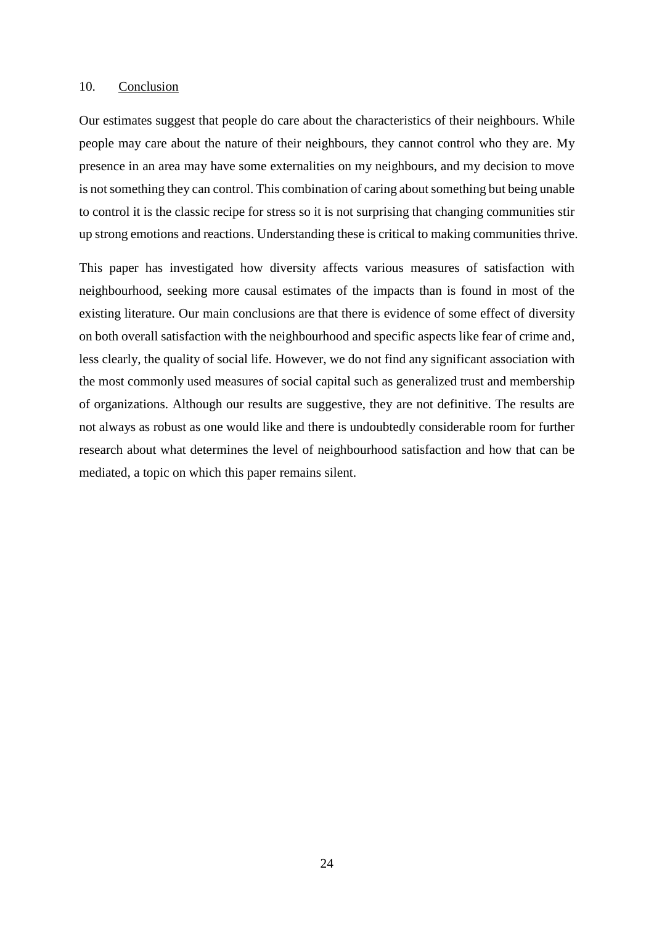#### 10. Conclusion

Our estimates suggest that people do care about the characteristics of their neighbours. While people may care about the nature of their neighbours, they cannot control who they are. My presence in an area may have some externalities on my neighbours, and my decision to move is not something they can control. This combination of caring about something but being unable to control it is the classic recipe for stress so it is not surprising that changing communities stir up strong emotions and reactions. Understanding these is critical to making communities thrive.

This paper has investigated how diversity affects various measures of satisfaction with neighbourhood, seeking more causal estimates of the impacts than is found in most of the existing literature. Our main conclusions are that there is evidence of some effect of diversity on both overall satisfaction with the neighbourhood and specific aspects like fear of crime and, less clearly, the quality of social life. However, we do not find any significant association with the most commonly used measures of social capital such as generalized trust and membership of organizations. Although our results are suggestive, they are not definitive. The results are not always as robust as one would like and there is undoubtedly considerable room for further research about what determines the level of neighbourhood satisfaction and how that can be mediated, a topic on which this paper remains silent.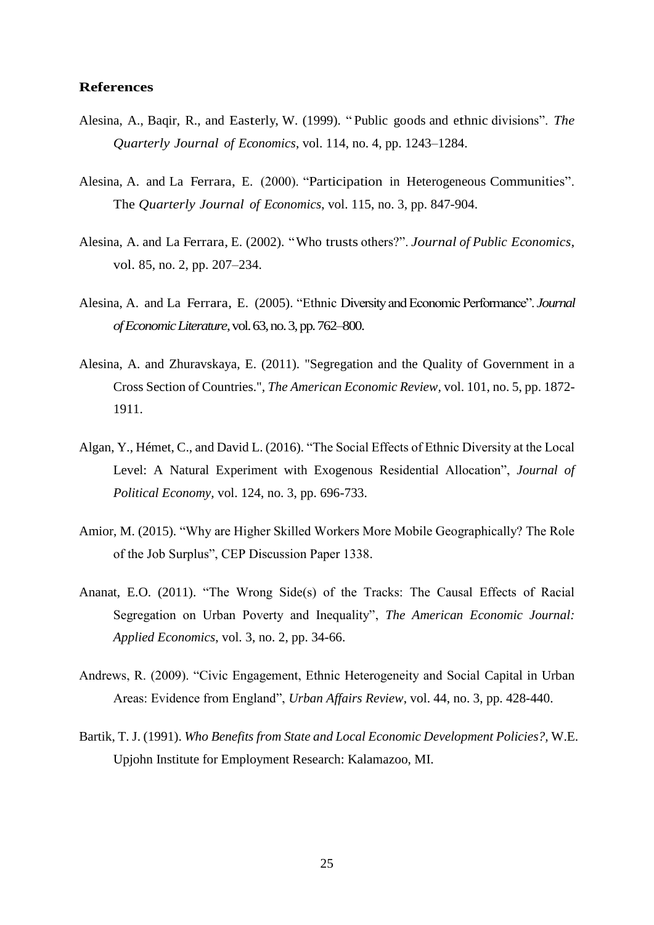## **References**

- Alesina, A., Baqir, R., and Easterly, W. (1999). " Public goods and ethnic divisions". *The Quarterly Journal of Economics*, vol. 114, no. 4, pp. 1243–1284.
- Alesina, A. and La Ferrara, E. (2000). "Participation in Heterogeneous Communities". The *Quarterly Journal of Economics*, vol. 115, no. 3, pp. 847-904.
- Alesina, A. and La Ferrara, E. (2002). "Who trusts others?". *Journal of Public Economics*, vol. 85, no. 2, pp. 207–234.
- Alesina, A. and La Ferrara, E. (2005). "Ethnic Diversity and Economic Performance". *Journal of Economic Literature*, vol. 63, no. 3, pp. 762–800.
- Alesina, A. and Zhuravskaya, E. (2011). "Segregation and the Quality of Government in a Cross Section of Countries."*, The American Economic Review,* vol. 101, no. 5, pp. 1872- 1911.
- Algan, Y., Hémet, C., and David L. (2016). "The Social Effects of Ethnic Diversity at the Local Level: A Natural Experiment with Exogenous Residential Allocation", *Journal of Political Economy,* vol. 124, no. 3, pp. 696-733.
- Amior, M. (2015). "Why are Higher Skilled Workers More Mobile Geographically? The Role of the Job Surplus", CEP Discussion Paper 1338.
- Ananat, E.O. (2011). "The Wrong Side(s) of the Tracks: The Causal Effects of Racial Segregation on Urban Poverty and Inequality", *The American Economic Journal: Applied Economics*, vol. 3, no. 2, pp. 34-66.
- Andrews, R. (2009). "Civic Engagement, Ethnic Heterogeneity and Social Capital in Urban Areas: Evidence from England", *Urban Affairs Review*, vol. 44, no. 3, pp. 428-440.
- Bartik, T. J. (1991). *Who Benefits from State and Local Economic Development Policies?,* W.E. Upjohn Institute for Employment Research: Kalamazoo, MI.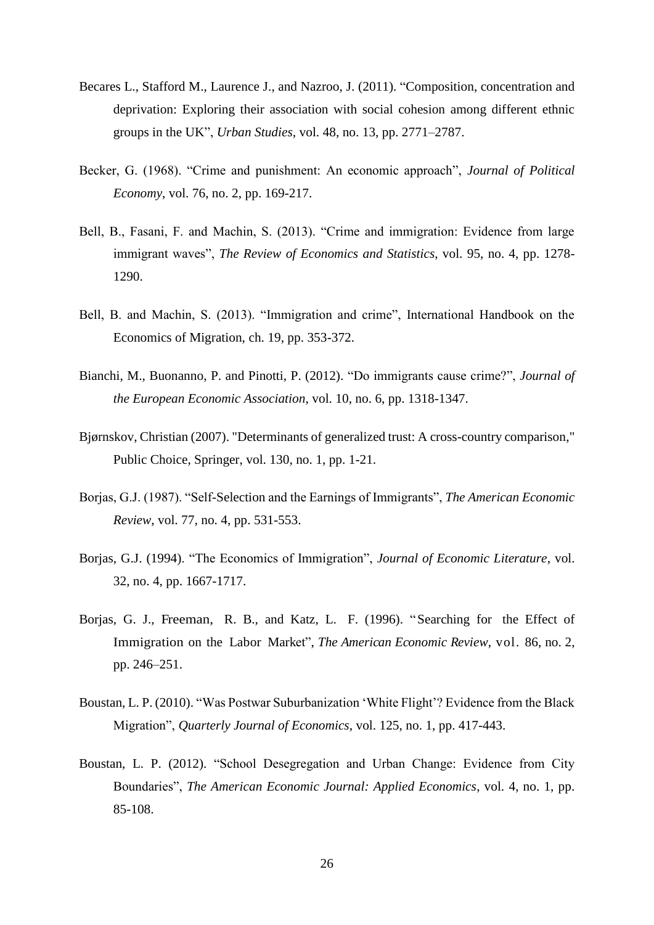- Becares L., Stafford M., Laurence J., and Nazroo, J. (2011). "Composition, concentration and deprivation: Exploring their association with social cohesion among different ethnic groups in the UK", *Urban Studies*, vol. 48, no. 13, pp. 2771–2787.
- Becker, G. (1968). "Crime and punishment: An economic approach", *Journal of Political Economy*, vol. 76, no. 2, pp. 169-217.
- Bell, B., Fasani, F. and Machin, S. (2013). "Crime and immigration: Evidence from large immigrant waves", *The Review of Economics and Statistics*, vol. 95, no. 4, pp. 1278- 1290.
- Bell, B. and Machin, S. (2013). "Immigration and crime", International Handbook on the Economics of Migration, ch. 19, pp. 353-372.
- Bianchi, M., Buonanno, P. and Pinotti, P. (2012). "Do immigrants cause crime?", *Journal of the European Economic Association*, vol. 10, no. 6, pp. 1318-1347.
- Bjørnskov, Christian (2007). ["Determinants of generalized trust: A cross-country comparison,](https://ideas.repec.org/a/kap/pubcho/v130y2007i1p1-21.html)" [Public Choice,](https://ideas.repec.org/s/kap/pubcho.html) Springer, vol. 130, no. 1, pp. 1-21.
- Borjas, G.J. (1987). "Self-Selection and the Earnings of Immigrants", *The American Economic Review*, vol. 77, no. 4, pp. 531-553.
- Borjas, G.J. (1994). "The Economics of Immigration", *Journal of Economic Literature*, vol. 32, no. 4, pp. 1667-1717.
- Borjas, G. J., Freeman, R. B., and Katz, L. F. (1996). "Searching for the Effect of Immigration on the Labor Market", *The American Economic Review*, vol. 86, no. 2, pp. 246–251.
- Boustan, L. P. (2010). "Was Postwar Suburbanization 'White Flight'? Evidence from the Black Migration", *Quarterly Journal of Economics*, vol. 125, no. 1, pp. 417-443.
- Boustan, L. P. (2012). "School Desegregation and Urban Change: Evidence from City Boundaries", *The American Economic Journal: Applied Economics*, vol. 4, no. 1, pp. 85-108.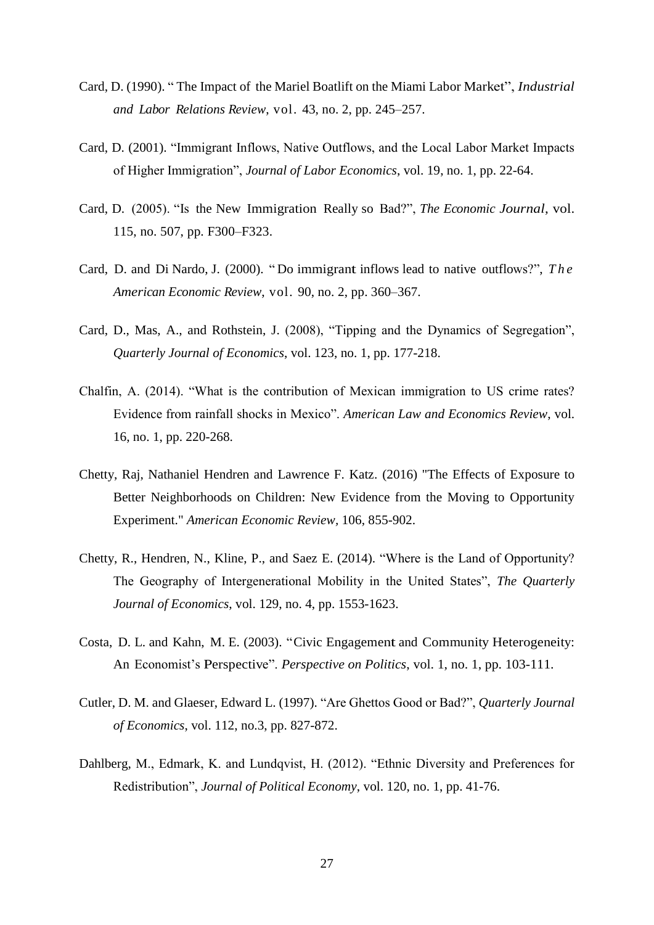- Card, D. (1990). " The Impact of the Mariel Boatlift on the Miami Labor Market", *Industrial and Labor Relations Review*, vol. 43, no. 2, pp. 245–257.
- Card, D. (2001). "Immigrant Inflows, Native Outflows, and the Local Labor Market Impacts of Higher Immigration", *Journal of Labor Economics*, vol. 19, no. 1, pp. 22-64.
- Card, D. (2005). "Is the New Immigration Really so Bad?", *The Economic Journal*, vol. 115, no. 507, pp. F300–F323.
- Card, D. and Di Nardo, J. (2000). " Do immigrant inflows lead to native outflows?", *T h e American Economic Review*, vol. 90, no. 2, pp. 360–367.
- Card, D., Mas, A., and Rothstein, J. (2008), "Tipping and the Dynamics of Segregation", *Quarterly Journal of Economics*, vol. 123, no. 1, pp. 177-218.
- Chalfin, A. (2014). "What is the contribution of Mexican immigration to US crime rates? Evidence from rainfall shocks in Mexico". *American Law and Economics Review*, vol. 16, no. 1, pp. 220-268.
- Chetty, Raj, Nathaniel Hendren and Lawrence F. Katz. (2016) "The Effects of Exposure to Better Neighborhoods on Children: New Evidence from the Moving to Opportunity Experiment." *American Economic Review,* 106, 855-902.
- Chetty, R., Hendren, N., Kline, P., and Saez E. (2014). "Where is the Land of Opportunity? The Geography of Intergenerational Mobility in the United States", *The Quarterly Journal of Economics*, vol. 129, no. 4, pp. 1553-1623.
- Costa, D. L. and Kahn, M. E. (2003). "Civic Engagement and Community Heterogeneity: An Economist's Perspective". *Perspective on Politics*, vol. 1, no. 1, pp. 103-111.
- Cutler, D. M. and Glaeser, Edward L. (1997). "Are Ghettos Good or Bad?", *Quarterly Journal of Economics*, vol. 112, no.3, pp. 827-872.
- Dahlberg, M., Edmark, K. and Lundqvist, H. (2012). "Ethnic Diversity and Preferences for Redistribution", *Journal of Political Economy*, vol. 120, no. 1, pp. 41-76.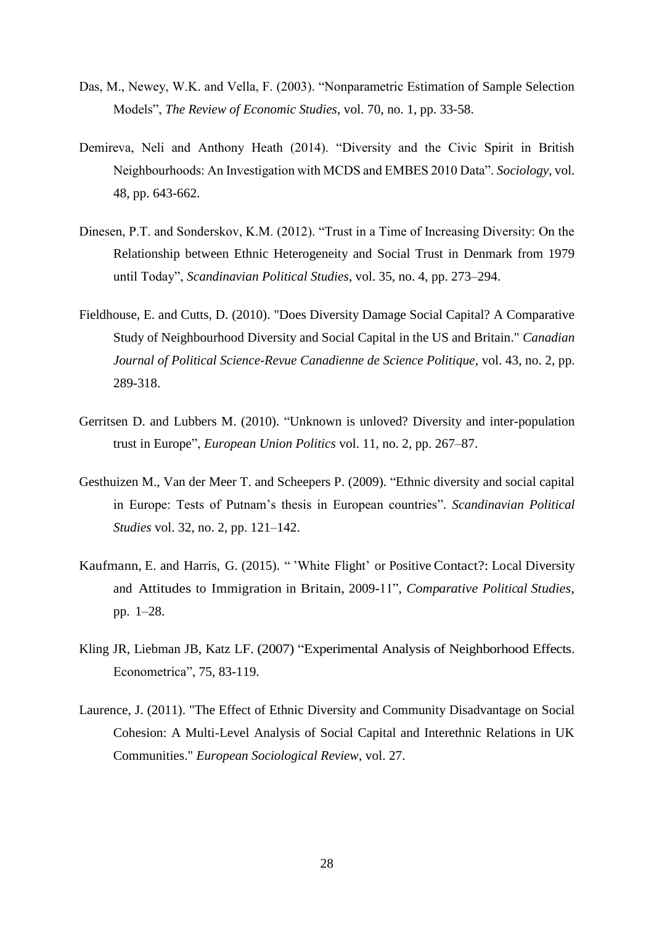- Das, M., Newey, W.K. and Vella, F. (2003). "Nonparametric Estimation of Sample Selection Models", *The Review of Economic Studies*, vol. 70, no. 1, pp. 33-58.
- Demireva, Neli and Anthony Heath (2014). "Diversity and the Civic Spirit in British Neighbourhoods: An Investigation with MCDS and EMBES 2010 Data". *Sociology*, vol. 48, pp. 643-662.
- Dinesen, P.T. and Sonderskov, K.M. (2012). "Trust in a Time of Increasing Diversity: On the Relationship between Ethnic Heterogeneity and Social Trust in Denmark from 1979 until Today", *Scandinavian Political Studies*, [vol. 35, no. 4,](http://onlinelibrary.wiley.com/doi/10.1111/scps.2012.35.issue-4/issuetoc) pp. 273–294.
- Fieldhouse, E. and Cutts, D. (2010). "Does Diversity Damage Social Capital? A Comparative Study of Neighbourhood Diversity and Social Capital in the US and Britain." *Canadian Journal of Political Science-Revue Canadienne de Science Politique*, vol. 43, no. 2, pp. 289-318.
- Gerritsen D. and Lubbers M. (2010). "Unknown is unloved? Diversity and inter-population trust in Europe", *European Union Politics* vol. 11, no. 2, pp. 267–87.
- Gesthuizen M., Van der Meer T. and Scheepers P. (2009). "Ethnic diversity and social capital in Europe: Tests of Putnam's thesis in European countries". *Scandinavian Political Studies* vol. 32, no. 2, pp. 121–142.
- Kaufmann, E. and Harris, G. (2015). " 'White Flight' or Positive Contact?: Local Diversity and Attitudes to Immigration in Britain, 2009-11", *Comparative Political Studies*, pp. 1–28.
- Kling JR, Liebman JB, Katz LF. (2007) ["Experimental Analysis of Neighborhood Effects.](http://scholar.harvard.edu/lkatz/publications/experimental-analysis-neighborhood-effects) Econometrica", 75, 83-119.
- Laurence, J. (2011). "The Effect of Ethnic Diversity and Community Disadvantage on Social Cohesion: A Multi-Level Analysis of Social Capital and Interethnic Relations in UK Communities." *European Sociological Review*, vol. 27.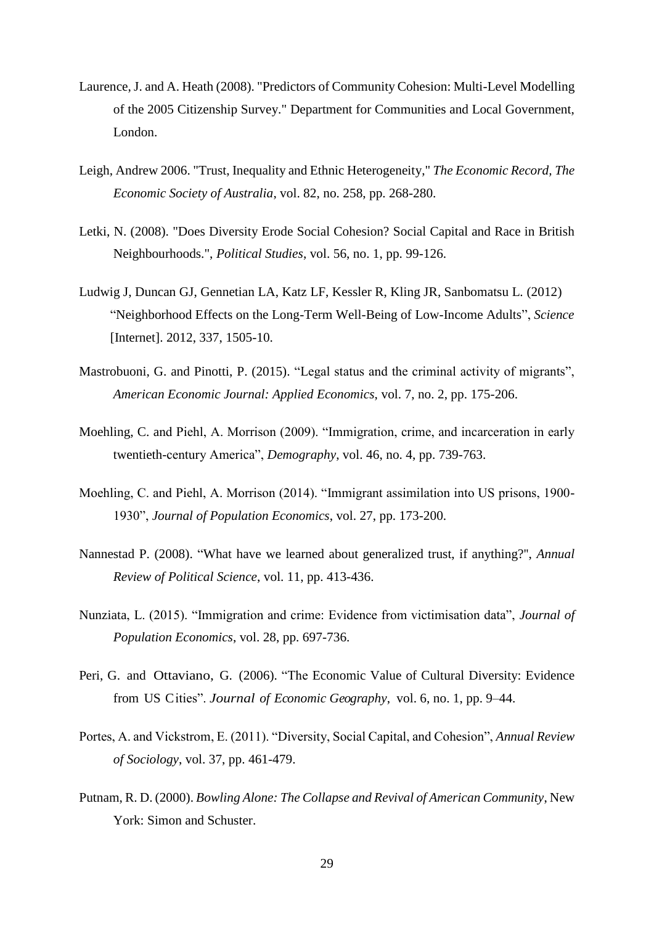- Laurence, J. and A. Heath (2008). "Predictors of Community Cohesion: Multi-Level Modelling of the 2005 Citizenship Survey." Department for Communities and Local Government, London.
- Leigh, Andrew 2006. ["Trust, Inequality and Ethnic Heterogeneity,](https://ideas.repec.org/a/bla/ecorec/v82y2006i258p268-280.html)" *[The Economic Record,](https://ideas.repec.org/s/bla/ecorec.html) The Economic Society of Australia*, vol. 82, no. 258, pp. 268-280.
- Letki, N. (2008). "Does Diversity Erode Social Cohesion? Social Capital and Race in British Neighbourhoods.", *Political Studies*, vol. 56, no. 1, pp. 99-126.
- Ludwig J, Duncan GJ, Gennetian LA, Katz LF, Kessler R, Kling JR, Sanbomatsu L. (2012) ["Neighborhood Effects on the Long-Term Well-Being of Low-Income Adults"](http://scholar.harvard.edu/lkatz/publications/neighborhood-effects-long-term-well-being-low-income-adults), *Science* [Internet]. 2012, 337, 1505-10.
- Mastrobuoni, G. and Pinotti, P. (2015). "Legal status and the criminal activity of migrants", *American Economic Journal: Applied Economics*, vol. 7, no. 2, pp. 175-206.
- Moehling, C. and Piehl, A. Morrison (2009). "Immigration, crime, and incarceration in early twentieth-century America", *Demography*, vol. 46, no. 4, pp. 739-763.
- Moehling, C. and Piehl, A. Morrison (2014). "Immigrant assimilation into US prisons, 1900- 1930", *Journal of Population Economics*, vol. 27, pp. 173-200.
- Nannestad P. (2008). "What have we learned about generalized trust, if anything?'', *Annual Review of Political Science*, vol. 11, pp. 413-436.
- Nunziata, L. (2015). "Immigration and crime: Evidence from victimisation data", *Journal of Population Economics*, vol. 28, pp. 697-736.
- Peri, G. and Ottaviano, G. (2006). "The Economic Value of Cultural Diversity: Evidence from US Cities". *Journal of Economic Geography*, vol. 6, no. 1, pp. 9–44.
- Portes, A. and Vickstrom, E. (2011). "Diversity, Social Capital, and Cohesion", *Annual Review of Sociology*, vol. 37, pp. 461-479.
- Putnam, R. D. (2000). *Bowling Alone: The Collapse and Revival of American Community*, New York: Simon and Schuster.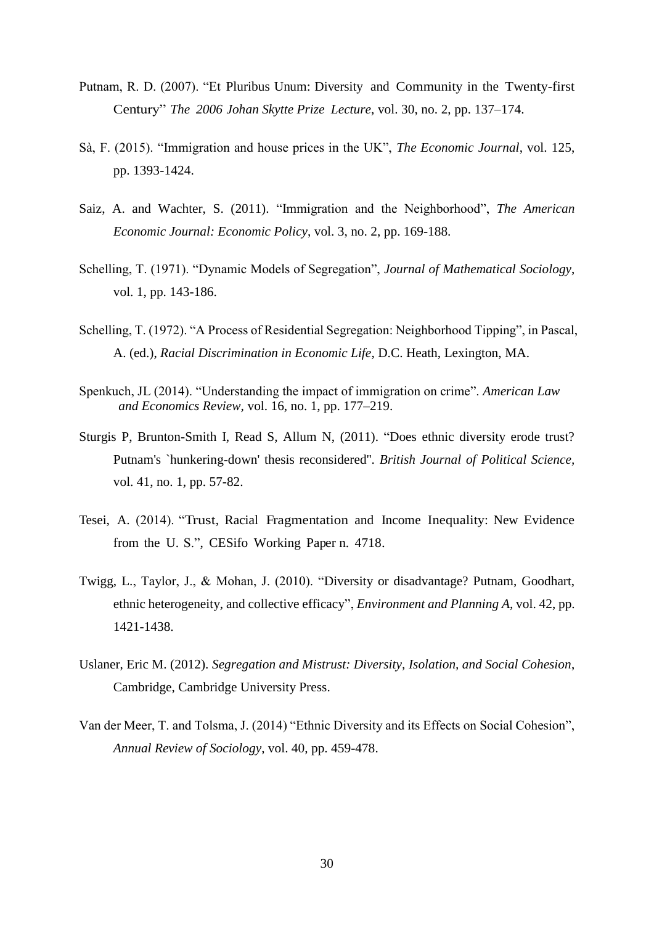- Putnam, R. D. (2007). "Et Pluribus Unum: Diversity and Community in the Twenty-first Century" *The 2006 Johan Skytte Prize Lecture*, vol. 30, no. 2, pp. 137–174.
- Sà, F. (2015). "Immigration and house prices in the UK", *The Economic Journal*, vol. 125, pp. 1393-1424.
- Saiz, A. and Wachter, S. (2011). "Immigration and the Neighborhood", *The American Economic Journal: Economic Policy*, vol. 3, no. 2, pp. 169-188.
- Schelling, T. (1971). "Dynamic Models of Segregation", *Journal of Mathematical Sociology*, vol. 1, pp. 143-186.
- Schelling, T. (1972). "A Process of Residential Segregation: Neighborhood Tipping", in Pascal, A. (ed.), *Racial Discrimination in Economic Life*, D.C. Heath, Lexington, MA.
- Spenkuch, JL (2014). "Understanding the impact of immigration on crime". *American Law and Economics Review,* vol. 16, no. 1, pp. 177–219.
- Sturgis P, Brunton-Smith I, Read S, Allum N, (2011). "Does ethnic diversity erode trust? Putnam's `hunkering-down' thesis reconsidered''. *British Journal of Political Science,* vol. 41, no. 1, pp. 57-82.
- Tesei, A. (2014). "Trust, Racial Fragmentation and Income Inequality: New Evidence from the U. S.", CESifo Working Paper n. 4718.
- [Twigg, L.,](https://researchportal.port.ac.uk/portal/en/persons/liz-twigg%28be49a4ac-446f-4a29-9795-8e76fd25363f%29.html) Taylor, J., & Mohan, J. (2010). ["Diversity or disadvantage? Putnam, Goodhart,](https://researchportal.port.ac.uk/portal/en/publications/diversity-or-disadvantage-putnam-goodhart-ethnic-heterogeneity-and-collective-efficacy%283c6b765b-a712-4465-8896-e998c2bf5c0c%29.html)  [ethnic heterogeneity, and collective efficacy"](https://researchportal.port.ac.uk/portal/en/publications/diversity-or-disadvantage-putnam-goodhart-ethnic-heterogeneity-and-collective-efficacy%283c6b765b-a712-4465-8896-e998c2bf5c0c%29.html), *Environment and Planning A*, vol. 42, pp. 1421-1438.
- Uslaner, Eric M. (2012). *Segregation and Mistrust: Diversity, Isolation, and Social Cohesion*, Cambridge, Cambridge University Press.
- Van der Meer, T. and Tolsma, J. (2014) "Ethnic Diversity and its Effects on Social Cohesion", *Annual Review of Sociology*, vol. 40, pp. 459-478.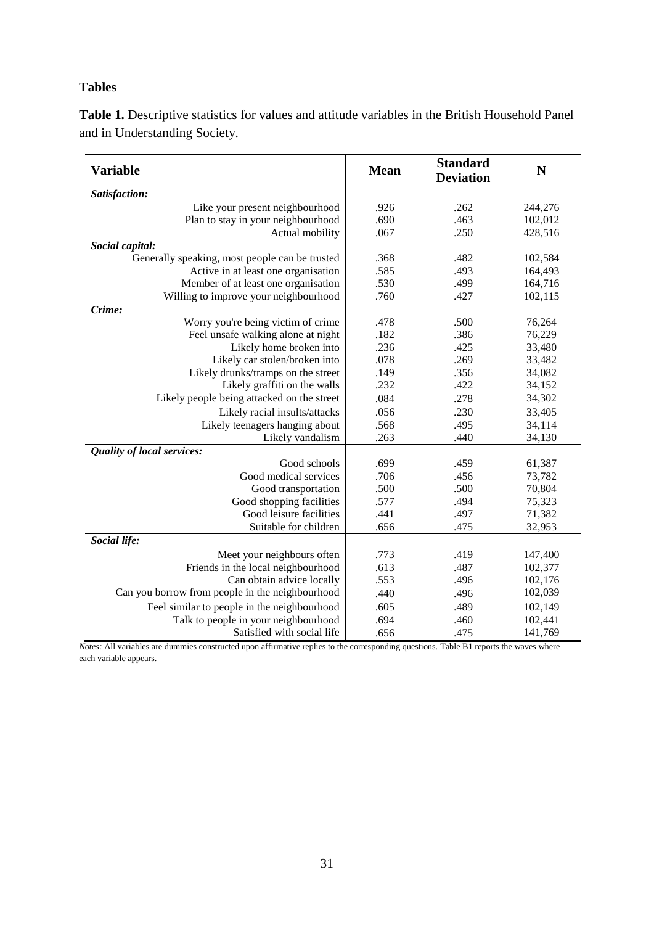# **Tables**

**Table 1.** Descriptive statistics for values and attitude variables in the British Household Panel and in Understanding Society.

| <b>Variable</b>                                 | <b>Mean</b> | <b>Standard</b><br><b>Deviation</b> | N       |
|-------------------------------------------------|-------------|-------------------------------------|---------|
| Satisfaction:                                   |             |                                     |         |
| Like your present neighbourhood                 | .926        | .262                                | 244,276 |
| Plan to stay in your neighbourhood              | .690        | .463                                | 102,012 |
| Actual mobility                                 | .067        | .250                                | 428,516 |
| Social capital:                                 |             |                                     |         |
| Generally speaking, most people can be trusted  | .368        | .482                                | 102,584 |
| Active in at least one organisation             | .585        | .493                                | 164,493 |
| Member of at least one organisation             | .530        | .499                                | 164,716 |
| Willing to improve your neighbourhood           | .760        | .427                                | 102,115 |
| Crime:                                          |             |                                     |         |
| Worry you're being victim of crime              | .478        | .500                                | 76,264  |
| Feel unsafe walking alone at night              | .182        | .386                                | 76,229  |
| Likely home broken into                         | .236        | .425                                | 33,480  |
| Likely car stolen/broken into                   | .078        | .269                                | 33,482  |
| Likely drunks/tramps on the street              | .149        | .356                                | 34,082  |
| Likely graffiti on the walls                    | .232        | .422                                | 34,152  |
| Likely people being attacked on the street      | .084        | .278                                | 34,302  |
| Likely racial insults/attacks                   | .056        | .230                                | 33,405  |
| Likely teenagers hanging about                  | .568        | .495                                | 34,114  |
| Likely vandalism                                | .263        | .440                                | 34,130  |
| Quality of local services:                      |             |                                     |         |
| Good schools                                    | .699        | .459                                | 61,387  |
| Good medical services                           | .706        | .456                                | 73,782  |
| Good transportation                             | .500        | .500                                | 70,804  |
| Good shopping facilities                        | .577        | .494                                | 75,323  |
| Good leisure facilities                         | .441        | .497                                | 71,382  |
| Suitable for children                           | .656        | .475                                | 32,953  |
| Social life:                                    |             |                                     |         |
| Meet your neighbours often                      | .773        | .419                                | 147,400 |
| Friends in the local neighbourhood              | .613        | .487                                | 102,377 |
| Can obtain advice locally                       | .553        | .496                                | 102,176 |
| Can you borrow from people in the neighbourhood | .440        | .496                                | 102,039 |
| Feel similar to people in the neighbourhood     | .605        | .489                                | 102,149 |
| Talk to people in your neighbourhood            | .694        | .460                                | 102,441 |
| Satisfied with social life                      | .656        | .475                                | 141,769 |

*Notes:* All variables are dummies constructed upon affirmative replies to the corresponding questions. Table B1 reports the waves where each variable appears.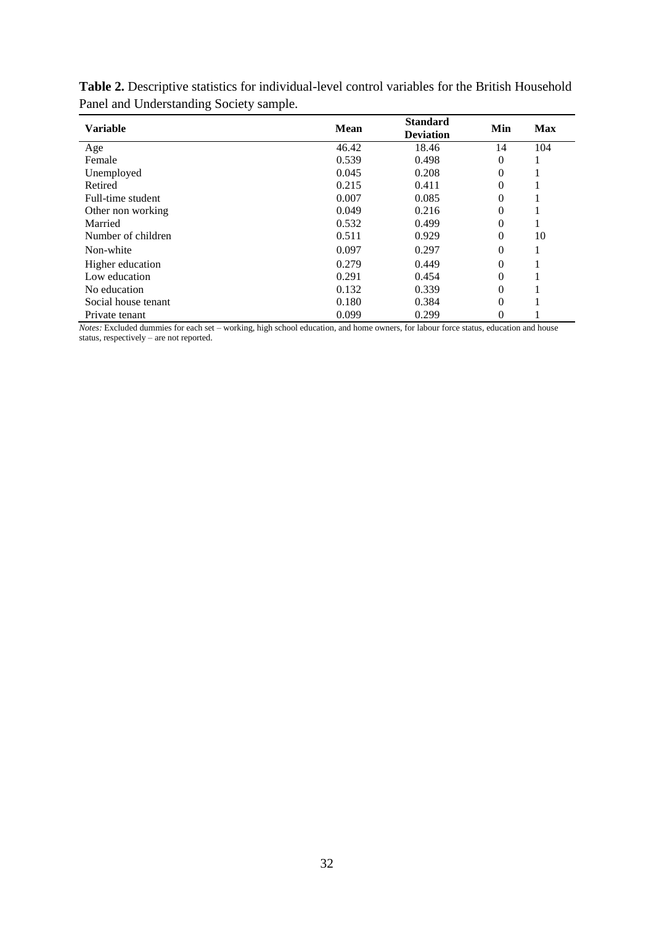| <b>Variable</b>     | Mean  | <b>Standard</b><br><b>Deviation</b> | Min      | <b>Max</b> |
|---------------------|-------|-------------------------------------|----------|------------|
| Age                 | 46.42 | 18.46                               | 14       | 104        |
| Female              | 0.539 | 0.498                               | 0        |            |
| Unemployed          | 0.045 | 0.208                               | 0        |            |
| Retired             | 0.215 | 0.411                               | $\theta$ |            |
| Full-time student   | 0.007 | 0.085                               | $\theta$ |            |
| Other non working   | 0.049 | 0.216                               | $\theta$ |            |
| Married             | 0.532 | 0.499                               | 0        |            |
| Number of children  | 0.511 | 0.929                               | $\theta$ | 10         |
| Non-white           | 0.097 | 0.297                               | $\theta$ |            |
| Higher education    | 0.279 | 0.449                               | $\theta$ |            |
| Low education       | 0.291 | 0.454                               | $\theta$ |            |
| No education        | 0.132 | 0.339                               | $\theta$ |            |
| Social house tenant | 0.180 | 0.384                               | $\theta$ |            |
| Private tenant      | 0.099 | 0.299                               | 0        |            |

**Table 2.** Descriptive statistics for individual-level control variables for the British Household Panel and Understanding Society sample.

*Notes:* Excluded dummies for each set – working, high school education, and home owners, for labour force status, education and house status, respectively – are not reported.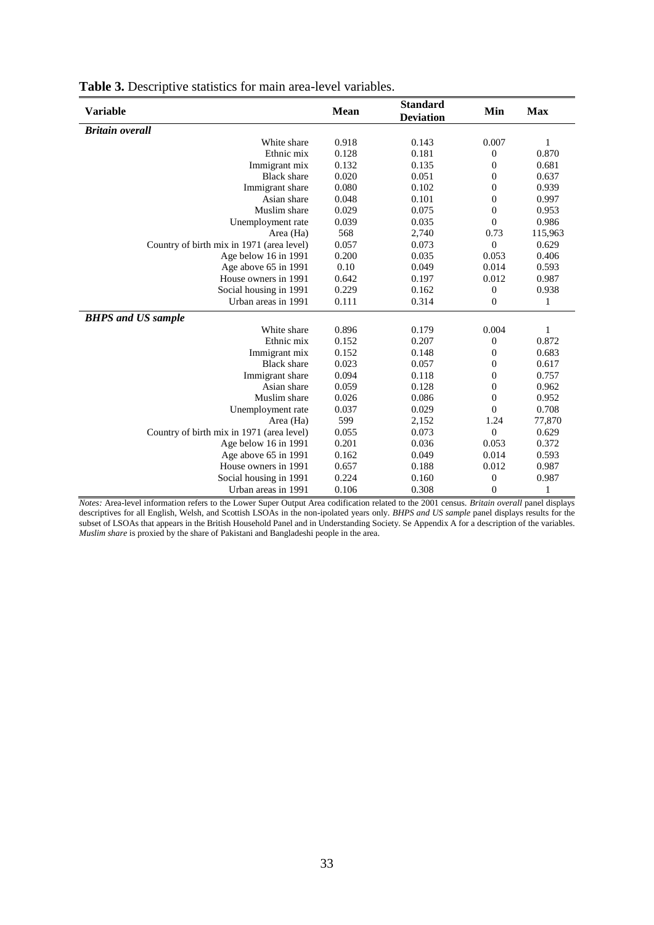| <b>Variable</b>                           | <b>Mean</b> | <b>Standard</b><br><b>Deviation</b> | Min              | <b>Max</b> |
|-------------------------------------------|-------------|-------------------------------------|------------------|------------|
| <b>Britain overall</b>                    |             |                                     |                  |            |
| White share                               | 0.918       | 0.143                               | 0.007            | 1          |
| Ethnic mix                                | 0.128       | 0.181                               | $\boldsymbol{0}$ | 0.870      |
| Immigrant mix                             | 0.132       | 0.135                               | $\boldsymbol{0}$ | 0.681      |
| <b>Black</b> share                        | 0.020       | 0.051                               | $\overline{0}$   | 0.637      |
| Immigrant share                           | 0.080       | 0.102                               | $\overline{0}$   | 0.939      |
| Asian share                               | 0.048       | 0.101                               | $\boldsymbol{0}$ | 0.997      |
| Muslim share                              | 0.029       | 0.075                               | $\boldsymbol{0}$ | 0.953      |
| Unemployment rate                         | 0.039       | 0.035                               | $\overline{0}$   | 0.986      |
| Area (Ha)                                 | 568         | 2,740                               | 0.73             | 115,963    |
| Country of birth mix in 1971 (area level) | 0.057       | 0.073                               | $\overline{0}$   | 0.629      |
| Age below 16 in 1991                      | 0.200       | 0.035                               | 0.053            | 0.406      |
| Age above 65 in 1991                      | 0.10        | 0.049                               | 0.014            | 0.593      |
| House owners in 1991                      | 0.642       | 0.197                               | 0.012            | 0.987      |
| Social housing in 1991                    | 0.229       | 0.162                               | $\boldsymbol{0}$ | 0.938      |
| Urban areas in 1991                       | 0.111       | 0.314                               | $\overline{0}$   | 1          |
| <b>BHPS</b> and US sample                 |             |                                     |                  |            |
| White share                               | 0.896       | 0.179                               | 0.004            | 1          |
| Ethnic mix                                | 0.152       | 0.207                               | $\boldsymbol{0}$ | 0.872      |
| Immigrant mix                             | 0.152       | 0.148                               | $\boldsymbol{0}$ | 0.683      |
| <b>Black</b> share                        | 0.023       | 0.057                               | $\overline{0}$   | 0.617      |
| Immigrant share                           | 0.094       | 0.118                               | 0                | 0.757      |
| Asian share                               | 0.059       | 0.128                               | $\overline{0}$   | 0.962      |
| Muslim share                              | 0.026       | 0.086                               | $\boldsymbol{0}$ | 0.952      |
| Unemployment rate                         | 0.037       | 0.029                               | $\overline{0}$   | 0.708      |
| Area (Ha)                                 | 599         | 2,152                               | 1.24             | 77,870     |
| Country of birth mix in 1971 (area level) | 0.055       | 0.073                               | $\overline{0}$   | 0.629      |
| Age below 16 in 1991                      | 0.201       | 0.036                               | 0.053            | 0.372      |
| Age above 65 in 1991                      | 0.162       | 0.049                               | 0.014            | 0.593      |
| House owners in 1991                      | 0.657       | 0.188                               | 0.012            | 0.987      |
| Social housing in 1991                    | 0.224       | 0.160                               | $\boldsymbol{0}$ | 0.987      |
| Urban areas in 1991                       | 0.106       | 0.308                               | $\boldsymbol{0}$ | 1          |

| <b>Table 3.</b> Descriptive statistics for main area-level variables. |  |  |  |
|-----------------------------------------------------------------------|--|--|--|
|-----------------------------------------------------------------------|--|--|--|

*Notes:* Area-level information refers to the Lower Super Output Area codification related to the 2001 census. *Britain overall* panel displays descriptives for all English, Welsh, and Scottish LSOAs in the non-ipolated years only. *BHPS and US sample* panel displays results for the subset of LSOAs that appears in the British Household Panel and in Understanding Society. Se Appendix A for a description of the variables. *Muslim share* is proxied by the share of Pakistani and Bangladeshi people in the area.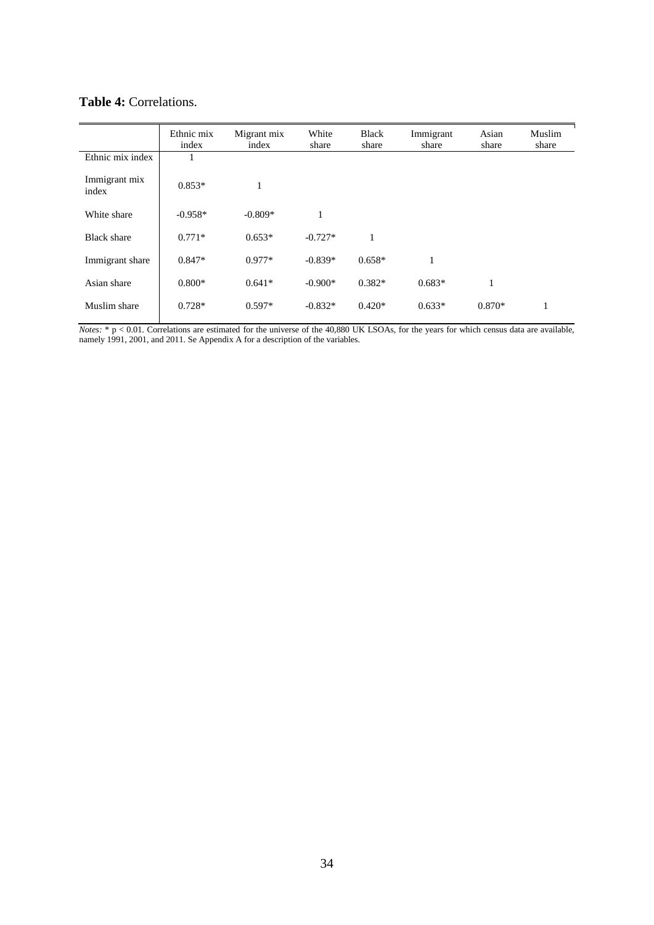|                        | Ethnic mix<br>index | Migrant mix<br>index | White<br>share | <b>Black</b><br>share | Immigrant<br>share | Asian<br>share | Muslim<br>share |
|------------------------|---------------------|----------------------|----------------|-----------------------|--------------------|----------------|-----------------|
| Ethnic mix index       |                     |                      |                |                       |                    |                |                 |
| Immigrant mix<br>index | $0.853*$            |                      |                |                       |                    |                |                 |
| White share            | $-0.958*$           | $-0.809*$            | 1              |                       |                    |                |                 |
| <b>Black share</b>     | $0.771*$            | $0.653*$             | $-0.727*$      | 1                     |                    |                |                 |
| Immigrant share        | $0.847*$            | $0.977*$             | $-0.839*$      | $0.658*$              | 1                  |                |                 |
| Asian share            | $0.800*$            | $0.641*$             | $-0.900*$      | $0.382*$              | $0.683*$           | 1              |                 |
| Muslim share           | $0.728*$            | $0.597*$             | $-0.832*$      | $0.420*$              | $0.633*$           | $0.870*$       | $\mathbf{I}$    |

# **Table 4:** Correlations.

*Notes:*  $* p < 0.01$ . Correlations are estimated for the universe of the 40,880 UK LSOAs, for the years for which census data are available, namely 1991, 2001, and 2011. Se Appendix A for a description of the variables.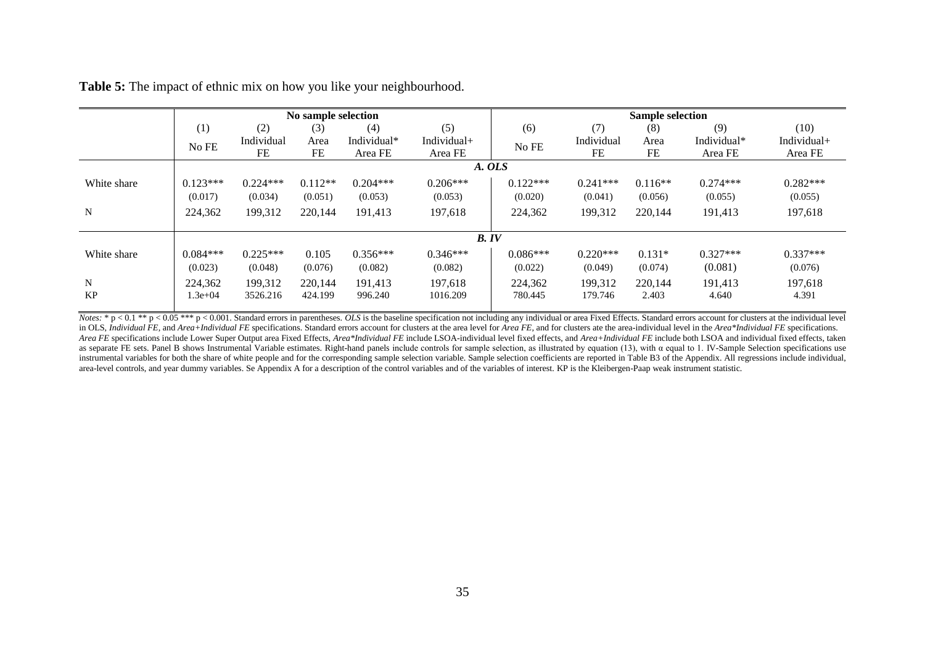|             |             |            | No sample selection |             |             | <b>Sample selection</b> |            |           |             |             |
|-------------|-------------|------------|---------------------|-------------|-------------|-------------------------|------------|-----------|-------------|-------------|
|             | (1)         | (2)        | (3)                 | (4)         | (5)         | (6)                     | (7)        | (8)       | (9)         | (10)        |
|             | No FE       | Individual | Area                | Individual* | Individual+ | No FE                   | Individual | Area      | Individual* | Individual+ |
|             |             | FE         | FE                  | Area FE     | Area FE     |                         | FE         | FE        | Area FE     | Area FE     |
|             |             |            |                     |             | A. OLS      |                         |            |           |             |             |
| White share | $0.123***$  | $0.224***$ | $0.112**$           | $0.204***$  | $0.206***$  | $0.122***$              | $0.241***$ | $0.116**$ | $0.274***$  | $0.282***$  |
|             | (0.017)     | (0.034)    | (0.051)             | (0.053)     | (0.053)     | (0.020)                 | (0.041)    | (0.056)   | (0.055)     | (0.055)     |
| N           | 224,362     | 199,312    | 220,144             | 191.413     | 197,618     | 224,362                 | 199,312    | 220,144   | 191,413     | 197,618     |
|             |             |            |                     |             |             |                         |            |           |             |             |
|             |             |            |                     |             | B. IV       |                         |            |           |             |             |
| White share | $0.084***$  | $0.225***$ | 0.105               | $0.356***$  | $0.346***$  | $0.086***$              | $0.220***$ | $0.131*$  | $0.327***$  | $0.337***$  |
|             | (0.023)     | (0.048)    | (0.076)             | (0.082)     | (0.082)     | (0.022)                 | (0.049)    | (0.074)   | (0.081)     | (0.076)     |
| N           | 224,362     | 199.312    | 220,144             | 191.413     | 197.618     | 224,362                 | 199,312    | 220,144   | 191.413     | 197,618     |
| <b>KP</b>   | $1.3e + 04$ | 3526.216   | 424.199             | 996.240     | 1016.209    | 780.445                 | 179.746    | 2.403     | 4.640       | 4.391       |
|             |             |            |                     |             |             |                         |            |           |             |             |

**Table 5:** The impact of ethnic mix on how you like your neighbourhood.

Notes: \*  $p < 0.1$  \*\*  $p < 0.05$  \*\*\*  $p < 0.001$ . Standard errors in parentheses. OLS is the baseline specification not including any individual or area Fixed Effects. Standard errors account for clusters at the individual l in OLS, Individual FE, and Area+Individual FE specifications. Standard errors account for clusters at the area level for Area FE, and for clusters ate the area-individual level in the Area\*Individual FE specifications. Area FE specifications include Lower Super Output area Fixed Effects, Area\*Individual FE include LSOA-individual level fixed effects, and Area+Individual FE include both LSOA and individual fixed effects, taken as separate FE sets. Panel B shows Instrumental Variable estimates. Right-hand panels include controls for sample selection, as illustrated by equation (13), with α equal to 1. IV-Sample Selection specifications use instrumental variables for both the share of white people and for the corresponding sample selection variable. Sample selection coefficients are reported in Table B3 of the Appendix. All regressions include individual, area-level controls, and year dummy variables. Se Appendix A for a description of the control variables and of the variables of interest. KP is the Kleibergen-Paap weak instrument statistic.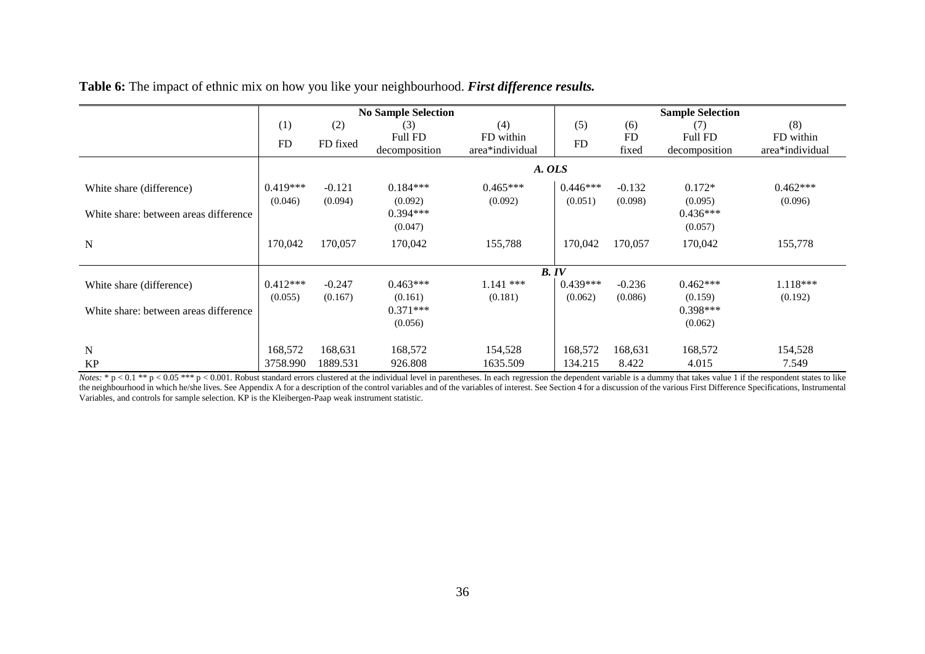|                                       | <b>No Sample Selection</b> |          |                |                 |            | <b>Sample Selection</b> |                |                 |  |  |
|---------------------------------------|----------------------------|----------|----------------|-----------------|------------|-------------------------|----------------|-----------------|--|--|
|                                       | (1)                        | (2)      | (3)            | (4)             | (5)        | (6)                     | (7)            | (8)             |  |  |
|                                       | <b>FD</b>                  | FD fixed | <b>Full FD</b> | FD within       | <b>FD</b>  | <b>FD</b>               | <b>Full FD</b> | FD within       |  |  |
|                                       |                            |          | decomposition  | area*individual |            | fixed                   | decomposition  | area*individual |  |  |
|                                       |                            |          |                | A. OLS          |            |                         |                |                 |  |  |
| White share (difference)              | $0.419***$                 | $-0.121$ | $0.184***$     | $0.465***$      | $0.446***$ | $-0.132$                | $0.172*$       | $0.462***$      |  |  |
|                                       | (0.046)                    | (0.094)  | (0.092)        | (0.092)         | (0.051)    | (0.098)                 | (0.095)        | (0.096)         |  |  |
| White share: between areas difference |                            |          | $0.394***$     |                 |            |                         | $0.436***$     |                 |  |  |
|                                       |                            |          | (0.047)        |                 |            |                         | (0.057)        |                 |  |  |
| $\mathbf N$                           | 170,042                    | 170,057  | 170,042        | 155,788         | 170,042    | 170,057                 | 170,042        | 155,778         |  |  |
|                                       |                            |          |                |                 |            |                         |                |                 |  |  |
|                                       |                            |          |                | B. IV           |            |                         |                |                 |  |  |
| White share (difference)              | $0.412***$                 | $-0.247$ | $0.463***$     | $1.141$ ***     | $0.439***$ | $-0.236$                | $0.462***$     | $1.118***$      |  |  |
|                                       | (0.055)                    | (0.167)  | (0.161)        | (0.181)         | (0.062)    | (0.086)                 | (0.159)        | (0.192)         |  |  |
| White share: between areas difference |                            |          | $0.371***$     |                 |            |                         | $0.398***$     |                 |  |  |
|                                       |                            |          | (0.056)        |                 |            |                         | (0.062)        |                 |  |  |
| N                                     | 168,572                    | 168,631  | 168,572        | 154,528         | 168,572    | 168,631                 | 168,572        | 154,528         |  |  |
| <b>KP</b>                             | 3758.990                   | 1889.531 | 926.808        | 1635.509        | 134.215    | 8.422                   | 4.015          | 7.549           |  |  |

**Table 6:** The impact of ethnic mix on how you like your neighbourhood. *First difference results.*

Notes: \*  $p < 0.1$  \*\*  $p < 0.05$  \*\*\*  $p < 0.001$ . Robust standard errors clustered at the individual level in parentheses. In each regression the dependent variable is a dummy that takes value 1 if the respondent states to l the neighbourhood in which he/she lives. See Appendix A for a description of the control variables and of the variables of interest. See Section 4 for a discussion of the various First Difference Specifications, Instrument Variables, and controls for sample selection. KP is the Kleibergen-Paap weak instrument statistic.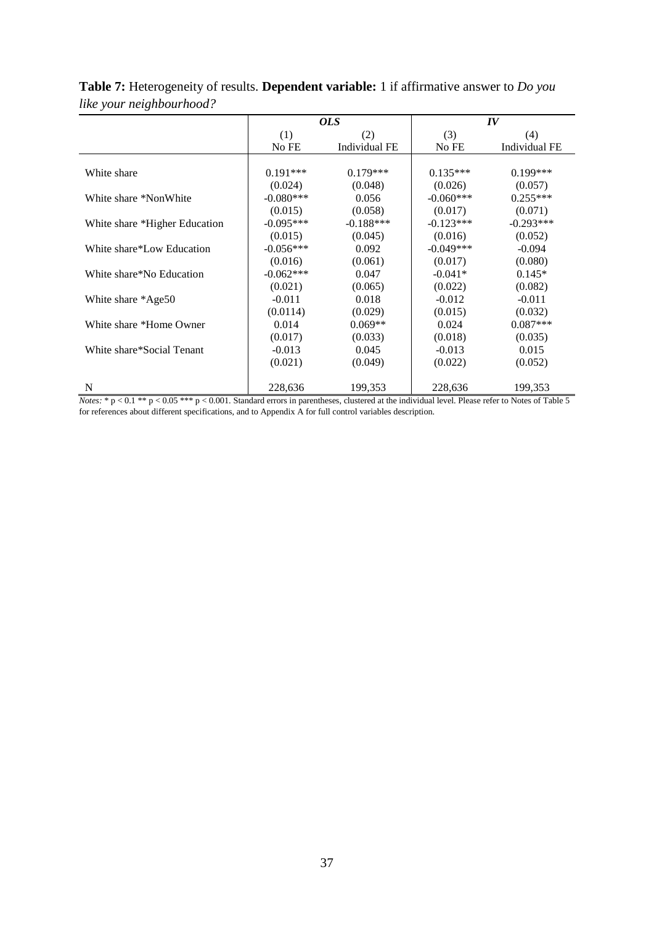|                                                                                                                                                                                                                          |             | <i>OLS</i>    |             | $I\bar{V}$           |
|--------------------------------------------------------------------------------------------------------------------------------------------------------------------------------------------------------------------------|-------------|---------------|-------------|----------------------|
|                                                                                                                                                                                                                          | (1)         | (2)           | (3)         | (4)                  |
|                                                                                                                                                                                                                          | No FE       | Individual FE | No FE       | <b>Individual FE</b> |
|                                                                                                                                                                                                                          |             |               |             |                      |
| White share                                                                                                                                                                                                              | $0.191***$  | $0.179***$    | $0.135***$  | $0.199***$           |
|                                                                                                                                                                                                                          | (0.024)     | (0.048)       | (0.026)     | (0.057)              |
| White share *NonWhite                                                                                                                                                                                                    | $-0.080***$ | 0.056         | $-0.060***$ | $0.255***$           |
|                                                                                                                                                                                                                          | (0.015)     | (0.058)       | (0.017)     | (0.071)              |
| White share *Higher Education                                                                                                                                                                                            | $-0.095***$ | $-0.188***$   | $-0.123***$ | $-0.293***$          |
|                                                                                                                                                                                                                          | (0.015)     | (0.045)       | (0.016)     | (0.052)              |
| White share*Low Education                                                                                                                                                                                                | $-0.056***$ | 0.092         | $-0.049***$ | $-0.094$             |
|                                                                                                                                                                                                                          | (0.016)     | (0.061)       | (0.017)     | (0.080)              |
| White share*No Education                                                                                                                                                                                                 | $-0.062***$ | 0.047         | $-0.041*$   | $0.145*$             |
|                                                                                                                                                                                                                          | (0.021)     | (0.065)       | (0.022)     | (0.082)              |
| White share *Age50                                                                                                                                                                                                       | $-0.011$    | 0.018         | $-0.012$    | $-0.011$             |
|                                                                                                                                                                                                                          | (0.0114)    | (0.029)       | (0.015)     | (0.032)              |
| White share *Home Owner                                                                                                                                                                                                  | 0.014       | $0.069**$     | 0.024       | $0.087***$           |
|                                                                                                                                                                                                                          | (0.017)     | (0.033)       | (0.018)     | (0.035)              |
| White share*Social Tenant                                                                                                                                                                                                | $-0.013$    | 0.045         | $-0.013$    | 0.015                |
|                                                                                                                                                                                                                          | (0.021)     | (0.049)       | (0.022)     | (0.052)              |
|                                                                                                                                                                                                                          |             |               |             |                      |
| $\mathbf N$<br>$M_{\text{data}}$ $k_{\text{max}}$ $\wedge$ 0.1 $\frac{k_{\text{max}}}{k_{\text{max}}}$ $\wedge$ 0.01. Standard among in nagapitages, slugtened at the individual level. Please mfor to Notes of Toble 5. | 228,636     | 199,353       | 228,636     | 199,353              |

**Table 7:** Heterogeneity of results. **Dependent variable:** 1 if affirmative answer to *Do you like your neighbourhood?*

*Notes:* \*  $p < 0.1$  \*\*  $p < 0.05$  \*\*\*  $p < 0.001$ . Standard errors in parentheses, clustered at the individual level. Please refer to Notes of Table 5 for references about different specifications, and to Appendix A for full control variables description.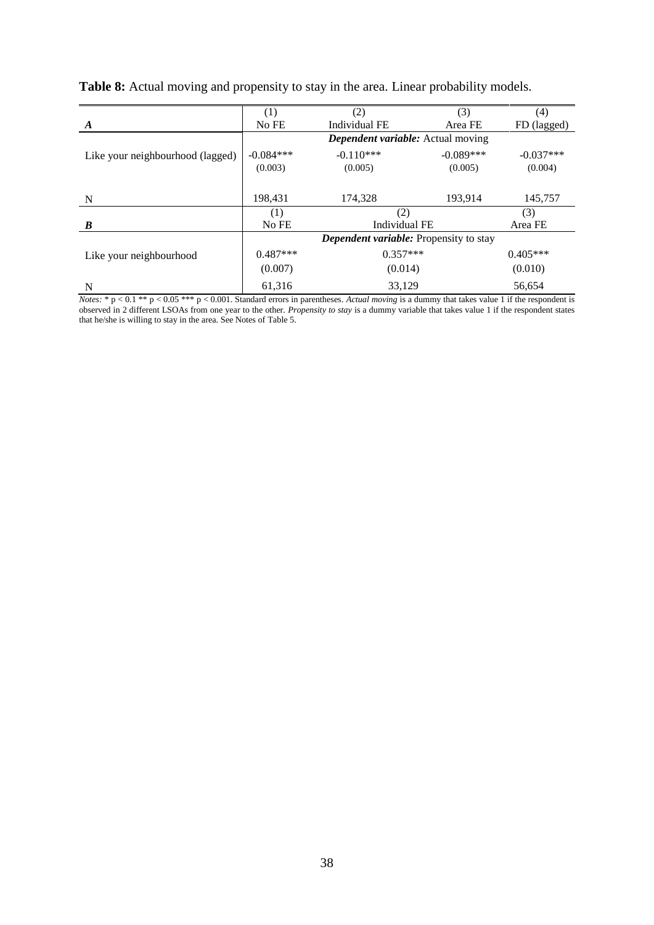|                                  | (1)         | (2)                                           | (3)         | (4)         |
|----------------------------------|-------------|-----------------------------------------------|-------------|-------------|
| A                                | No FE       | Individual FE                                 | Area FE     | FD (lagged) |
|                                  |             | Dependent variable: Actual moving             |             |             |
| Like your neighbourhood (lagged) | $-0.084***$ | $-0.110***$                                   | $-0.089***$ | $-0.037***$ |
|                                  | (0.003)     | (0.005)                                       | (0.005)     | (0.004)     |
|                                  |             |                                               |             |             |
| $\mathbf N$                      | 198,431     | 174,328                                       | 193,914     | 145,757     |
|                                  | (1)         | (2)                                           |             | (3)         |
| B                                | No FE       | Individual FE                                 |             | Area FE     |
|                                  |             | <b>Dependent variable:</b> Propensity to stay |             |             |
| Like your neighbourhood          | $0.487***$  | $0.357***$                                    |             | $0.405***$  |
|                                  | (0.007)     | (0.014)                                       |             | (0.010)     |
| N                                | 61,316      | 33,129                                        |             | 56,654      |

**Table 8:** Actual moving and propensity to stay in the area. Linear probability models.

*Notes:* \* p < 0.1 \*\* p < 0.05 \*\*\* p < 0.001. Standard errors in parentheses. Actual moving is a dummy that takes value 1 if the respondent is observed in 2 different LSOAs from one year to the other. *Propensity to stay* is a dummy variable that takes value 1 if the respondent states that he/she is willing to stay in the area. See Notes of Table 5.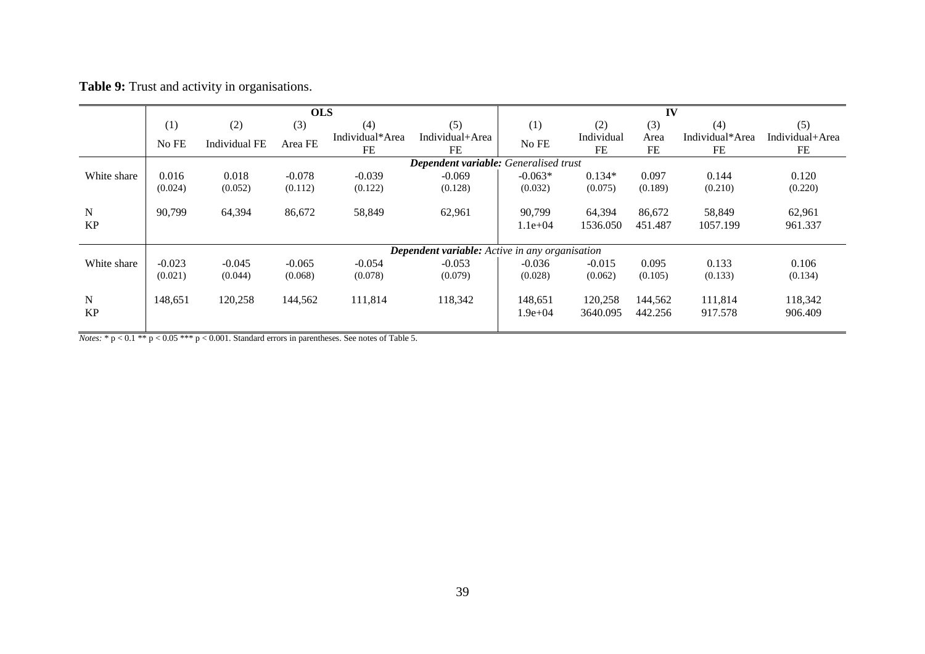|  |  |  |  |  | Table 9: Trust and activity in organisations. |
|--|--|--|--|--|-----------------------------------------------|
|--|--|--|--|--|-----------------------------------------------|

|                          |          |                      | <b>OLS</b> |                       |                                                       |                        |                     | IV                 |                       |                       |
|--------------------------|----------|----------------------|------------|-----------------------|-------------------------------------------------------|------------------------|---------------------|--------------------|-----------------------|-----------------------|
|                          | (1)      | (2)                  | (3)        | (4)                   | (5)                                                   | (1)                    | (2)                 | (3)                | (4)                   | (5)                   |
|                          | No FE    | <b>Individual FE</b> | Area FE    | Individual*Area<br>FE | Individual+Area<br>FE                                 | No FE                  | Individual<br>FE    | Area<br>FE         | Individual*Area<br>FE | Individual+Area<br>FE |
|                          |          |                      |            |                       | Dependent variable: Generalised trust                 |                        |                     |                    |                       |                       |
| White share              | 0.016    | 0.018                | $-0.078$   | $-0.039$              | $-0.069$                                              | $-0.063*$              | $0.134*$            | 0.097              | 0.144                 | 0.120                 |
|                          | (0.024)  | (0.052)              | (0.112)    | (0.122)               | (0.128)                                               | (0.032)                | (0.075)             | (0.189)            | (0.210)               | (0.220)               |
| ${\bf N}$<br><b>KP</b>   | 90,799   | 64,394               | 86,672     | 58,849                | 62,961                                                | 90,799<br>$1.1e+04$    | 64,394<br>1536.050  | 86,672<br>451.487  | 58,849<br>1057.199    | 62,961<br>961.337     |
|                          |          |                      |            |                       | <b>Dependent variable:</b> Active in any organisation |                        |                     |                    |                       |                       |
| White share              | $-0.023$ | $-0.045$             | $-0.065$   | $-0.054$              | $-0.053$                                              | $-0.036$               | $-0.015$            | 0.095              | 0.133                 | 0.106                 |
|                          | (0.021)  | (0.044)              | (0.068)    | (0.078)               | (0.079)                                               | (0.028)                | (0.062)             | (0.105)            | (0.133)               | (0.134)               |
| $\mathbf N$<br><b>KP</b> | 148,651  | 120,258              | 144,562    | 111,814               | 118,342                                               | 148,651<br>$1.9e + 04$ | 120,258<br>3640.095 | 144,562<br>442.256 | 111,814<br>917.578    | 118,342<br>906.409    |

*Notes:*  $* p < 0.1$   $** p < 0.05$   $*** p < 0.001$ . Standard errors in parentheses. See notes of Table 5.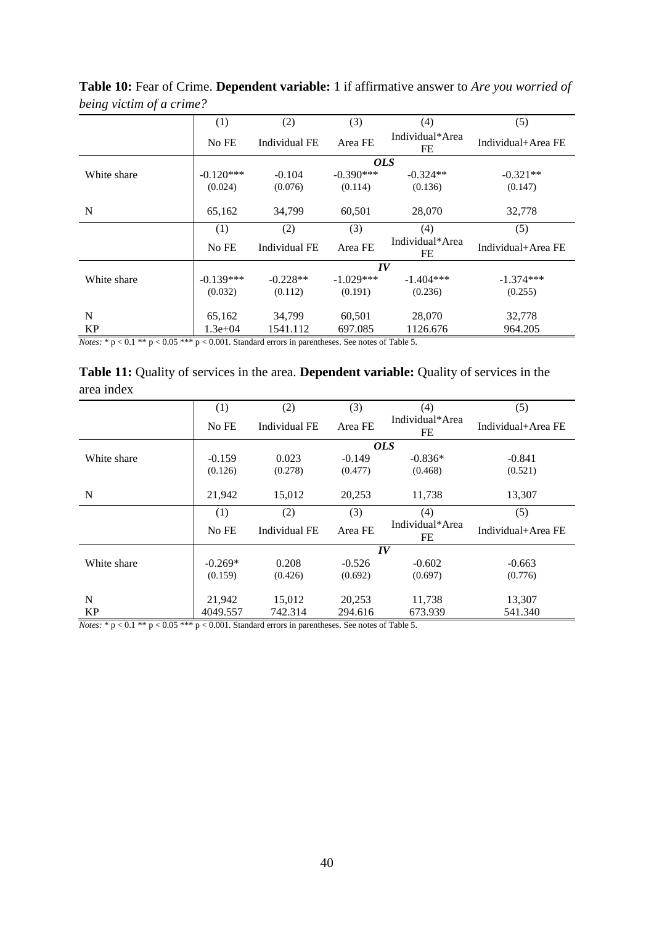| $\circ$<br>. |             |               |                                  |                       |                    |  |
|--------------|-------------|---------------|----------------------------------|-----------------------|--------------------|--|
|              | (1)         | (2)           | (3)                              | (4)                   | (5)                |  |
|              | No FE       | Individual FE | Individual*Area<br>Area FE<br>FE |                       | Individual+Area FE |  |
|              |             |               |                                  | <b>OLS</b>            |                    |  |
| White share  | $-0.120***$ | $-0.104$      | $-0.390***$                      | $-0.324**$            | $-0.321**$         |  |
|              | (0.024)     | (0.076)       | (0.114)                          | (0.136)               | (0.147)            |  |
|              |             |               |                                  |                       |                    |  |
| N            | 65,162      | 34,799        | 60,501                           | 28,070                | 32,778             |  |
|              | (1)         | (2)           | (3)                              | (4)                   | (5)                |  |
|              | No FE       | Individual FE | Area FE                          | Individual*Area<br>FE | Individual+Area FE |  |
|              |             |               |                                  | $I\bar{V}$            |                    |  |
| White share  | $-0.139***$ | $-0.228**$    | $-1.029***$                      | $-1.404***$           | $-1.374***$        |  |
|              | (0.032)     | (0.112)       | (0.191)                          | (0.236)               | (0.255)            |  |
|              |             |               |                                  |                       |                    |  |
| N            | 65,162      | 34.799        | 60,501                           | 28,070                | 32,778             |  |
| KP           | $1.3e+04$   | 1541.112      | 697.085                          | 1126.676              | 964.205            |  |

**Table 10:** Fear of Crime. **Dependent variable:** 1 if affirmative answer to *Are you worried of being victim of a crime?*

*Notes:*  $* p < 0.1 ** p < 0.05 *** p < 0.001$ . Standard errors in parentheses. See notes of Table 5.

| <b>Table 11:</b> Quality of services in the area. <b>Dependent variable:</b> Quality of services in the |  |
|---------------------------------------------------------------------------------------------------------|--|
| area index                                                                                              |  |

|             | (1)       | (2)                  | (3)      | (4)                   | (5)                |
|-------------|-----------|----------------------|----------|-----------------------|--------------------|
|             | No FE     | <b>Individual FE</b> | Area FE  | Individual*Area<br>FE | Individual+Area FE |
|             |           |                      |          | <i>OLS</i>            |                    |
| White share | $-0.159$  | 0.023                | $-0.149$ | $-0.836*$             | $-0.841$           |
|             | (0.126)   | (0.278)              | (0.477)  | (0.468)               | (0.521)            |
|             |           |                      |          |                       |                    |
| N           | 21,942    | 15,012               | 20,253   | 11,738                | 13,307             |
|             | (1)       | (2)                  | (3)      | (4)                   | (5)                |
|             | No FE     | Individual FE        | Area FE  | Individual*Area<br>FE | Individual+Area FE |
|             |           |                      |          | IV                    |                    |
| White share | $-0.269*$ | 0.208                | $-0.526$ | $-0.602$              | $-0.663$           |
|             | (0.159)   | (0.426)              | (0.692)  | (0.697)               | (0.776)            |
|             |           |                      |          |                       |                    |
| N           | 21,942    | 15,012               | 20,253   | 11,738                | 13,307             |
| <b>KP</b>   | 4049.557  | 742.314              | 294.616  | 673.939               | 541.340            |

*Notes:* \*  $p < 0.1$  \*\*  $p < 0.05$  \*\*\*  $p < 0.001$ . Standard errors in parentheses. See notes of Table 5.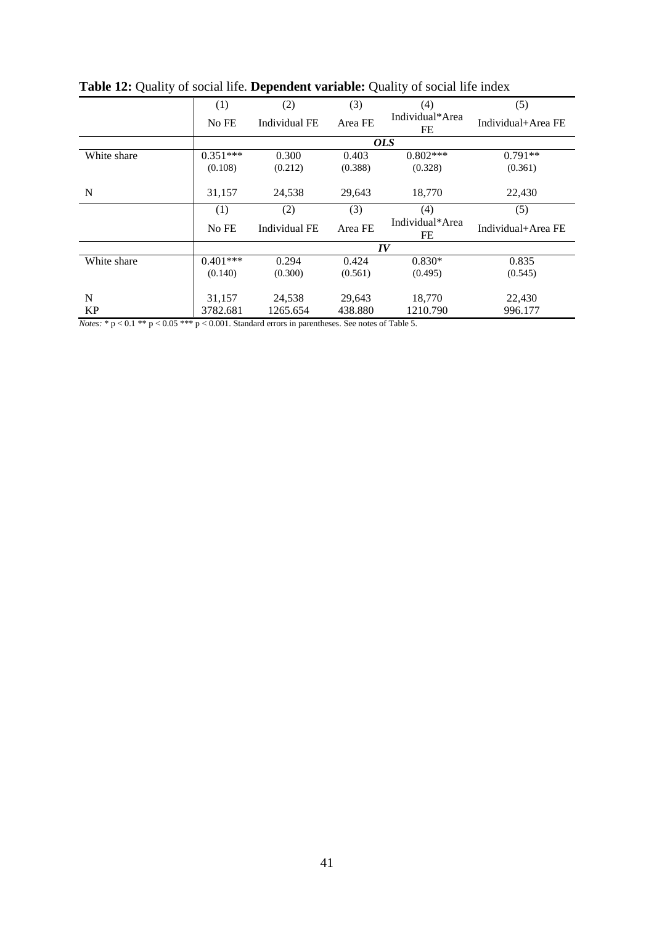|                                                        | (1)        | (2)                  | (3)     | (4)                   | (5)                |
|--------------------------------------------------------|------------|----------------------|---------|-----------------------|--------------------|
|                                                        | No FE      | Individual FE        | Area FE | Individual*Area<br>FE | Individual+Area FE |
|                                                        |            |                      |         | <i>OLS</i>            |                    |
| White share                                            | $0.351***$ | 0.300                | 0.403   | $0.802***$            | $0.791**$          |
|                                                        | (0.108)    | (0.212)              | (0.388) | (0.328)               | (0.361)            |
| N                                                      | 31,157     | 24,538               | 29,643  | 18,770                | 22,430             |
|                                                        | (1)        | (2)                  | (3)     | (4)                   | (5)                |
|                                                        | No FE      | <b>Individual FE</b> | Area FE | Individual*Area<br>FE | Individual+Area FE |
|                                                        |            |                      |         | IV                    |                    |
| White share                                            | $0.401***$ | 0.294                | 0.424   | $0.830*$              | 0.835              |
|                                                        | (0.140)    | (0.300)              | (0.561) | (0.495)               | (0.545)            |
|                                                        |            |                      |         |                       |                    |
| N                                                      | 31,157     | 24,538               | 29,643  | 18,770                | 22,430             |
| KP                                                     | 3782.681   | 1265.654             | 438.880 | 1210.790              | 996.177            |
| $\alpha$ $\alpha$ = $\alpha$ .<br>$\sim$ $\sim$ $\sim$ |            |                      |         | $\sim$ $ \sim$ $+$    |                    |

**Table 12:** Quality of social life. **Dependent variable:** Quality of social life index

*Notes:*  $* p < 0.1 ** p < 0.05 *** p < 0.001$ . Standard errors in parentheses. See notes of Table 5.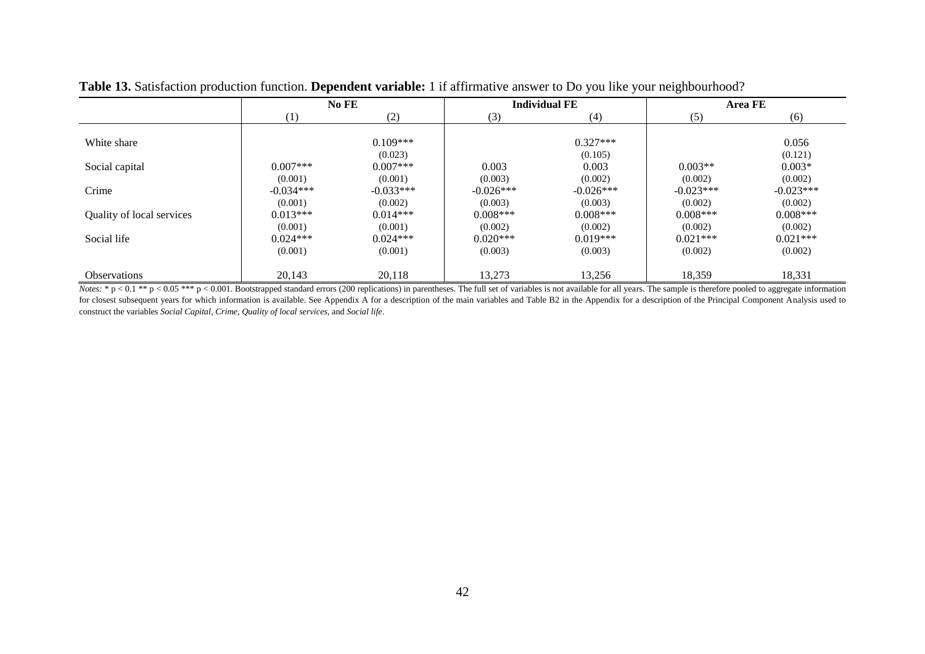|                           | No FE            |             |             | <b>Individual FE</b> | <b>Area FE</b> |             |  |
|---------------------------|------------------|-------------|-------------|----------------------|----------------|-------------|--|
|                           | $\left(1\right)$ | (2)         | (3)         | (4)                  | (5)            | (6)         |  |
|                           |                  |             |             |                      |                |             |  |
| White share               |                  | $0.109***$  |             | $0.327***$           |                | 0.056       |  |
|                           |                  | (0.023)     |             | (0.105)              |                | (0.121)     |  |
| Social capital            | $0.007***$       | $0.007***$  | 0.003       | 0.003                | $0.003**$      | $0.003*$    |  |
|                           | (0.001)          | (0.001)     | (0.003)     | (0.002)              | (0.002)        | (0.002)     |  |
| Crime                     | $-0.034***$      | $-0.033***$ | $-0.026***$ | $-0.026***$          | $-0.023***$    | $-0.023***$ |  |
|                           | (0.001)          | (0.002)     | (0.003)     | (0.003)              | (0.002)        | (0.002)     |  |
| Quality of local services | $0.013***$       | $0.014***$  | $0.008***$  | $0.008***$           | $0.008***$     | $0.008***$  |  |
|                           | (0.001)          | (0.001)     | (0.002)     | (0.002)              | (0.002)        | (0.002)     |  |
| Social life               | $0.024***$       | $0.024***$  | $0.020***$  | $0.019***$           | $0.021***$     | $0.021***$  |  |
|                           | (0.001)          | (0.001)     | (0.003)     | (0.003)              | (0.002)        | (0.002)     |  |
|                           |                  |             |             |                      |                |             |  |
| Observations              | 20,143           | 20,118      | 13,273      | 13,256               | 18,359         | 18,331      |  |

**Table 13.** Satisfaction production function. **Dependent variable:** 1 if affirmative answer to Do you like your neighbourhood?

 $\overline{Notes: * p < 0.1 ** p < 0.05 ** p < 0.001.}$  Bootstrapped standard errors (200 replications) in parentheses. The full set of variables is not available for all years. The sample is therefore pooled to aggregate information for closest subsequent years for which information is available. See Appendix A for a description of the main variables and Table B2 in the Appendix for a description of the Principal Component Analysis used to construct the variables *Social Capital*, *Crime*, *Quality of local services*, and *Social life*.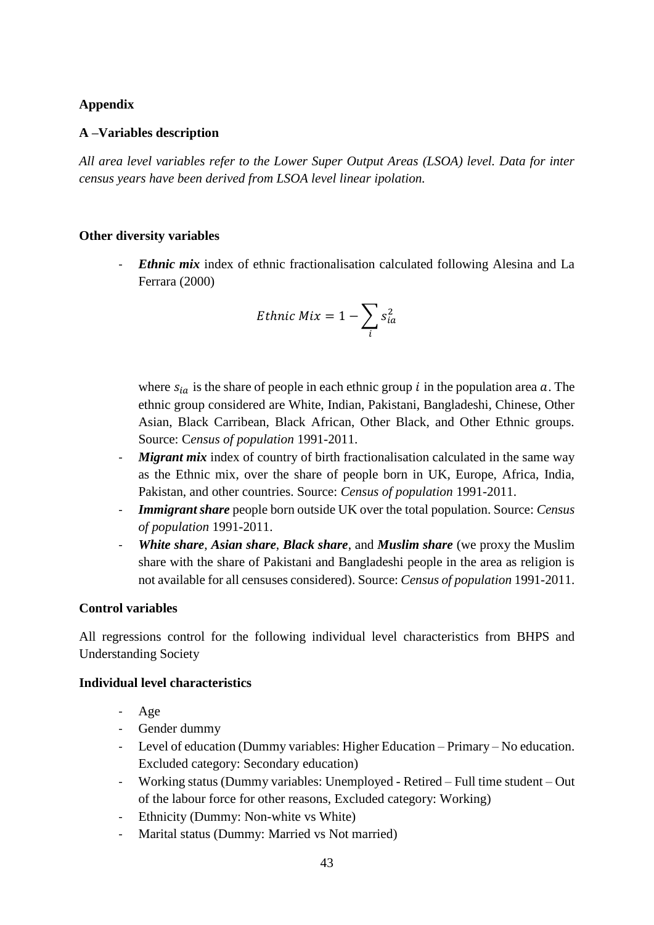# **Appendix**

# **A –Variables description**

*All area level variables refer to the Lower Super Output Areas (LSOA) level. Data for inter census years have been derived from LSOA level linear ipolation.*

## **Other diversity variables**

*Ethnic mix* index of ethnic fractionalisation calculated following Alesina and La Ferrara (2000)

$$
Ethnic\ Mix = 1 - \sum_{i} s_{ia}^2
$$

where  $s_{ia}$  is the share of people in each ethnic group *i* in the population area *a*. The ethnic group considered are White, Indian, Pakistani, Bangladeshi, Chinese, Other Asian, Black Carribean, Black African, Other Black, and Other Ethnic groups. Source: C*ensus of population* 1991-2011.

- *Migrant mix* index of country of birth fractionalisation calculated in the same way as the Ethnic mix, over the share of people born in UK, Europe, Africa, India, Pakistan, and other countries. Source: *Census of population* 1991-2011.
- *Immigrant share* people born outside UK over the total population. Source: *Census of population* 1991-2011.
- *White share*, *Asian share*, *Black share*, and *Muslim share* (we proxy the Muslim share with the share of Pakistani and Bangladeshi people in the area as religion is not available for all censuses considered). Source: *Census of population* 1991-2011.

# **Control variables**

All regressions control for the following individual level characteristics from BHPS and Understanding Society

## **Individual level characteristics**

- Age
- Gender dummy
- Level of education (Dummy variables: Higher Education Primary No education. Excluded category: Secondary education)
- Working status (Dummy variables: Unemployed Retired Full time student Out of the labour force for other reasons, Excluded category: Working)
- Ethnicity (Dummy: Non-white vs White)
- Marital status (Dummy: Married vs Not married)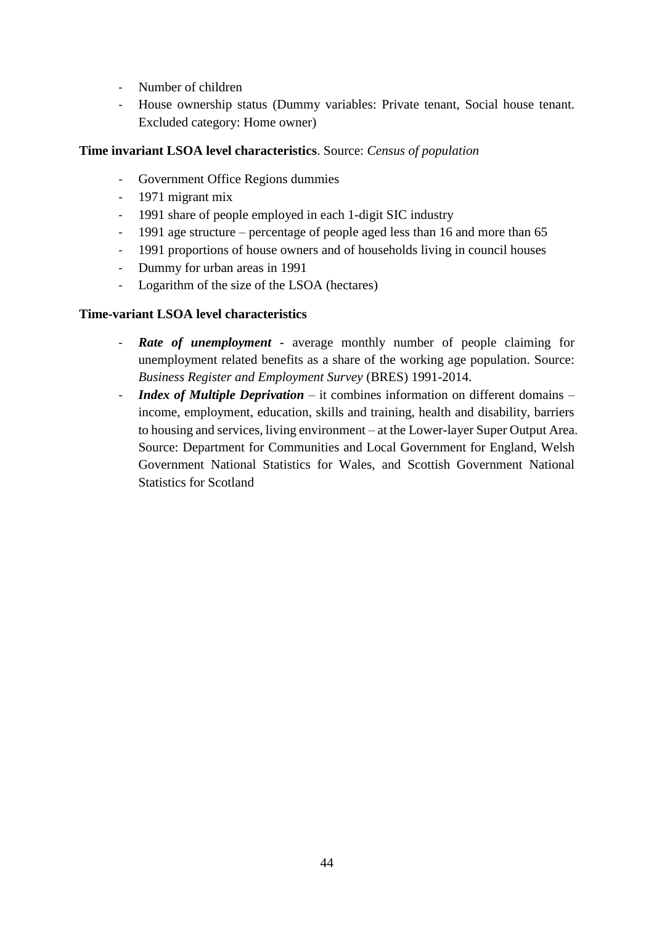- Number of children
- House ownership status (Dummy variables: Private tenant, Social house tenant. Excluded category: Home owner)

# **Time invariant LSOA level characteristics**. Source: *Census of population*

- Government Office Regions dummies
- 1971 migrant mix
- 1991 share of people employed in each 1-digit SIC industry
- 1991 age structure percentage of people aged less than 16 and more than 65
- 1991 proportions of house owners and of households living in council houses
- Dummy for urban areas in 1991
- Logarithm of the size of the LSOA (hectares)

# **Time-variant LSOA level characteristics**

- **Rate of unemployment** average monthly number of people claiming for unemployment related benefits as a share of the working age population. Source: *Business Register and Employment Survey* (BRES) 1991-2014.
- *Index of Multiple Deprivation* it combines information on different domains income, employment, education, skills and training, health and disability, barriers to housing and services, living environment – at the Lower-layer Super Output Area. Source: Department for Communities and Local Government for England, Welsh Government National Statistics for Wales, and Scottish Government National Statistics for Scotland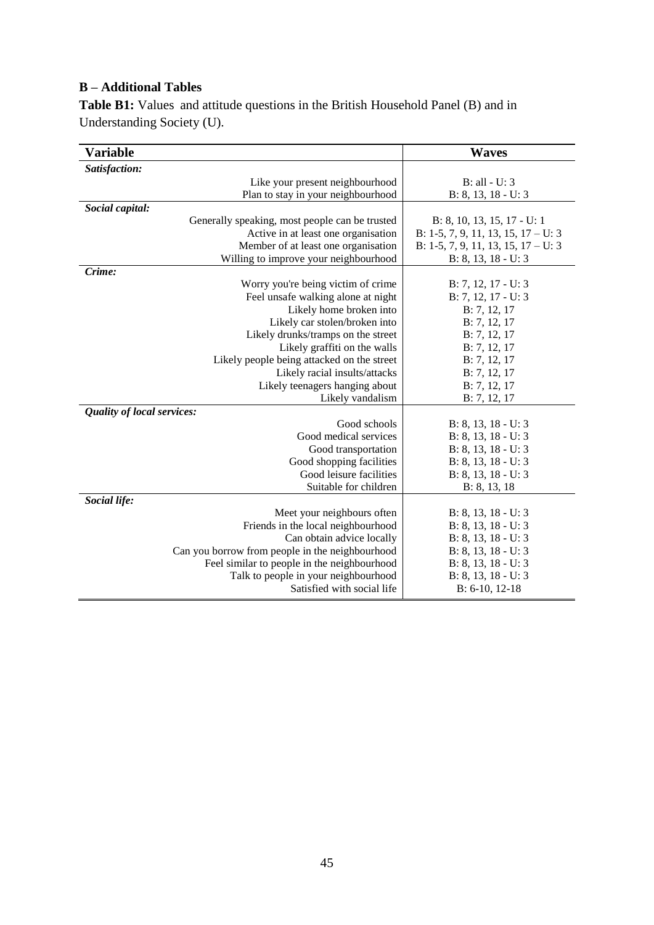# **B – Additional Tables**

**Table B1:** Values and attitude questions in the British Household Panel (B) and in Understanding Society (U).

| Variable                                        | <b>Waves</b>                        |
|-------------------------------------------------|-------------------------------------|
| Satisfaction:                                   |                                     |
| Like your present neighbourhood                 | B: all - U: 3                       |
| Plan to stay in your neighbourhood              | $B: 8, 13, 18 - U: 3$               |
| Social capital:                                 |                                     |
| Generally speaking, most people can be trusted  | B: 8, 10, 13, 15, 17 - U: 1         |
| Active in at least one organisation             | B: 1-5, 7, 9, 11, 13, 15, 17 – U: 3 |
| Member of at least one organisation             | B: 1-5, 7, 9, 11, 13, 15, 17 – U: 3 |
| Willing to improve your neighbourhood           | $B: 8, 13, 18 - U: 3$               |
| Crime:                                          |                                     |
| Worry you're being victim of crime              | $B: 7, 12, 17 - U: 3$               |
| Feel unsafe walking alone at night              | B: 7, 12, 17 - U: 3                 |
| Likely home broken into                         | B: 7, 12, 17                        |
| Likely car stolen/broken into                   | B: 7, 12, 17                        |
| Likely drunks/tramps on the street              | B: 7, 12, 17                        |
| Likely graffiti on the walls                    | B: 7, 12, 17                        |
| Likely people being attacked on the street      | B: 7, 12, 17                        |
| Likely racial insults/attacks                   | B: 7, 12, 17                        |
| Likely teenagers hanging about                  | B: 7, 12, 17                        |
| Likely vandalism                                | B: 7, 12, 17                        |
| Quality of local services:                      |                                     |
| Good schools                                    | $B: 8, 13, 18 - U: 3$               |
| Good medical services                           | B: 8, 13, 18 - U: 3                 |
| Good transportation                             | $B: 8, 13, 18 - U: 3$               |
| Good shopping facilities                        | $B: 8, 13, 18 - U: 3$               |
| Good leisure facilities                         | $B: 8, 13, 18 - U: 3$               |
| Suitable for children                           | B: 8, 13, 18                        |
| Social life:                                    |                                     |
| Meet your neighbours often                      | $B: 8, 13, 18 - U: 3$               |
| Friends in the local neighbourhood              | $B: 8, 13, 18 - U: 3$               |
| Can obtain advice locally                       | $B: 8, 13, 18 - U: 3$               |
| Can you borrow from people in the neighbourhood | $B: 8, 13, 18 - U: 3$               |
| Feel similar to people in the neighbourhood     | $B: 8, 13, 18 - U: 3$               |
| Talk to people in your neighbourhood            | $B: 8, 13, 18 - U: 3$               |
| Satisfied with social life                      | $B: 6-10, 12-18$                    |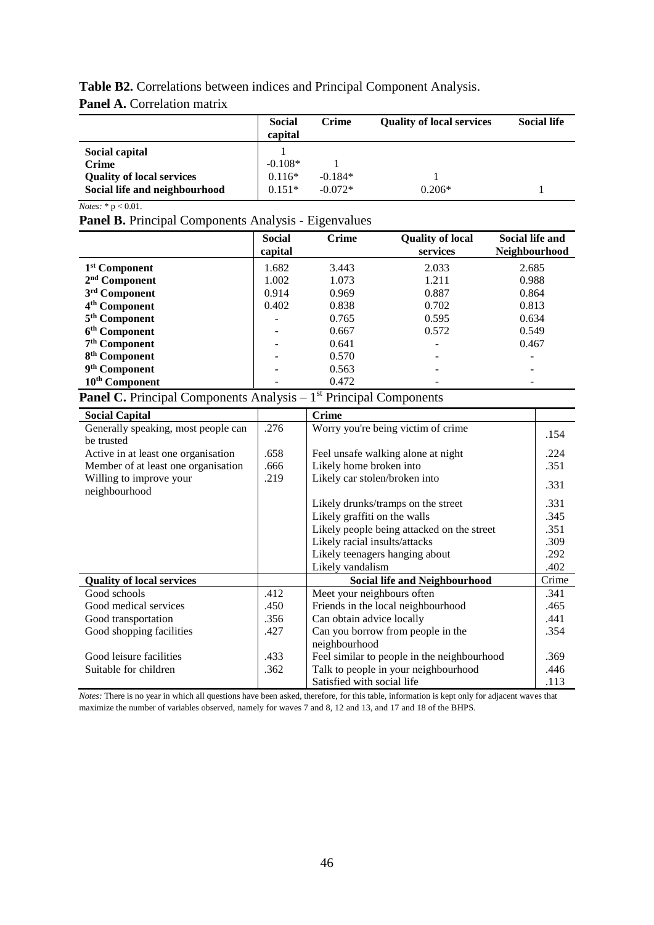# **Table B2.** Correlations between indices and Principal Component Analysis.

# **Panel A.** Correlation matrix

|                                  | <b>Social</b><br>capital | <b>Crime</b> | <b>Quality of local services</b> | <b>Social life</b> |
|----------------------------------|--------------------------|--------------|----------------------------------|--------------------|
| Social capital                   |                          |              |                                  |                    |
| <b>Crime</b>                     | $-0.108*$                |              |                                  |                    |
| <b>Quality of local services</b> | $0.116*$                 | $-0.184*$    |                                  |                    |
| Social life and neighbourhood    | $0.151*$                 | $-0.072*$    | $0.206*$                         |                    |

*Notes:* \* p < 0.01.

**Panel B.** Principal Components Analysis - Eigenvalues

|                            | <b>Social</b><br>capital | <b>Crime</b> | <b>Quality of local</b><br>services | <b>Social life and</b><br>Neighbourhood |
|----------------------------|--------------------------|--------------|-------------------------------------|-----------------------------------------|
| 1 <sup>st</sup> Component  | 1.682                    | 3.443        | 2.033                               | 2.685                                   |
| $2nd$ Component            | 1.002                    | 1.073        | 1.211                               | 0.988                                   |
| 3rd Component              | 0.914                    | 0.969        | 0.887                               | 0.864                                   |
| 4 <sup>th</sup> Component  | 0.402                    | 0.838        | 0.702                               | 0.813                                   |
| 5 <sup>th</sup> Component  |                          | 0.765        | 0.595                               | 0.634                                   |
| 6 <sup>th</sup> Component  |                          | 0.667        | 0.572                               | 0.549                                   |
| 7 <sup>th</sup> Component  |                          | 0.641        |                                     | 0.467                                   |
| 8 <sup>th</sup> Component  |                          | 0.570        |                                     | $\overline{\phantom{0}}$                |
| 9 <sup>th</sup> Component  |                          | 0.563        |                                     | -                                       |
| 10 <sup>th</sup> Component |                          | 0.472        |                                     |                                         |

Panel C. Principal Components Analysis - 1<sup>st</sup> Principal Components

| <b>Social Capital</b>               |      | <b>Crime</b>                                |       |
|-------------------------------------|------|---------------------------------------------|-------|
| Generally speaking, most people can | .276 | Worry you're being victim of crime          | .154  |
| be trusted                          |      |                                             |       |
| Active in at least one organisation | .658 | Feel unsafe walking alone at night          | .224  |
| Member of at least one organisation | .666 | Likely home broken into                     | .351  |
| Willing to improve your             | .219 | Likely car stolen/broken into               | .331  |
| neighbourhood                       |      |                                             |       |
|                                     |      | Likely drunks/tramps on the street          | .331  |
|                                     |      | Likely graffiti on the walls                | .345  |
|                                     |      | Likely people being attacked on the street  | .351  |
|                                     |      | Likely racial insults/attacks               | .309  |
|                                     |      | Likely teenagers hanging about              | .292  |
|                                     |      | Likely vandalism                            | .402  |
| <b>Quality of local services</b>    |      | <b>Social life and Neighbourhood</b>        | Crime |
| Good schools                        | .412 | Meet your neighbours often                  | .341  |
| Good medical services               | .450 | Friends in the local neighbourhood          | .465  |
| Good transportation                 | .356 | Can obtain advice locally                   | .441  |
| Good shopping facilities            | .427 | Can you borrow from people in the           | .354  |
|                                     |      | neighbourhood                               |       |
| Good leisure facilities             | .433 | Feel similar to people in the neighbourhood | .369  |
| Suitable for children               | .362 | Talk to people in your neighbourhood        | .446  |
|                                     |      | Satisfied with social life                  | .113  |

*Notes:* There is no year in which all questions have been asked, therefore, for this table, information is kept only for adjacent waves that maximize the number of variables observed, namely for waves 7 and 8, 12 and 13, and 17 and 18 of the BHPS.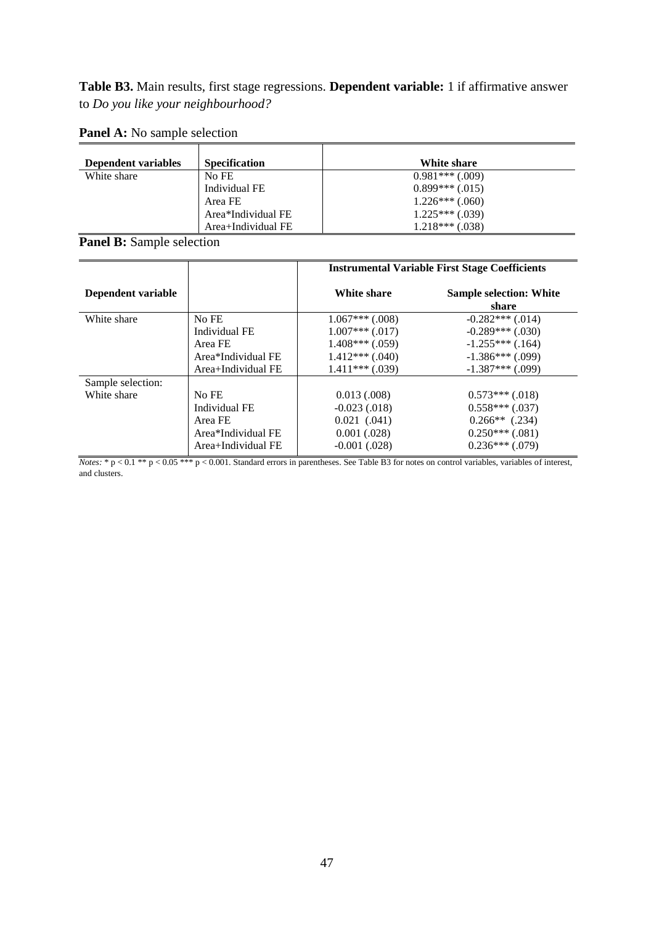**Table B3.** Main results, first stage regressions. **Dependent variable:** 1 if affirmative answer to *Do you like your neighbourhood?*

| Dependent variables | <b>Specification</b> | White share       |
|---------------------|----------------------|-------------------|
| White share         | No FE                | $0.981***$ (.009) |
|                     | Individual FE        | $0.899***$ (.015) |
|                     | Area FE              | $1.226***$ (.060) |
|                     | Area*Individual FE   | $1.225***(039)$   |
|                     | Area+Individual FE   | $1.218***$ (.038) |

**Panel A:** No sample selection

**Panel B:** Sample selection

|                    |                    | <b>Instrumental Variable First Stage Coefficients</b> |                                         |  |  |  |  |
|--------------------|--------------------|-------------------------------------------------------|-----------------------------------------|--|--|--|--|
| Dependent variable |                    | White share                                           | <b>Sample selection: White</b><br>share |  |  |  |  |
| White share        | No FE              | $1.067***$ $(.008)$                                   | $-0.282***(0.014)$                      |  |  |  |  |
|                    | Individual FE      | $1.007***$ (.017)                                     | $-0.289***$ (.030)                      |  |  |  |  |
|                    | Area FE            | $1.408***$ (.059)                                     | $-1.255***$ (.164)                      |  |  |  |  |
|                    | Area*Individual FE | $1.412***$ (.040)                                     | $-1.386***$ (.099)                      |  |  |  |  |
|                    | Area+Individual FE | $1.411***$ (.039)                                     | $-1.387***$ (.099)                      |  |  |  |  |
| Sample selection:  |                    |                                                       |                                         |  |  |  |  |
| White share        | No FE              | 0.013(0.008)                                          | $0.573***$ (.018)                       |  |  |  |  |
|                    | Individual FE      | $-0.023(0.018)$                                       | $0.558***(0.037)$                       |  |  |  |  |
|                    | Area FE            | $0.021$ $(.041)$                                      | $0.266**$ (.234)                        |  |  |  |  |
|                    | Area*Individual FE | 0.001(.028)                                           | $0.250***$ (.081)                       |  |  |  |  |
|                    | Area+Individual FE | $-0.001$ $(.028)$                                     | $0.236***(079)$                         |  |  |  |  |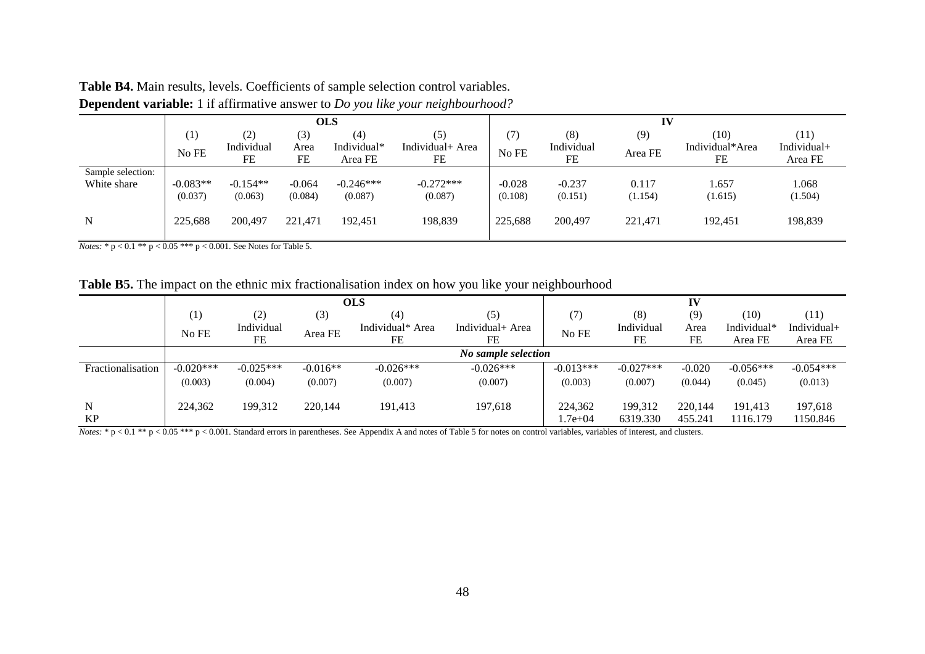|                   | <b>OLS</b>       |            |           |             |                  | IV       |            |         |                 |             |
|-------------------|------------------|------------|-----------|-------------|------------------|----------|------------|---------|-----------------|-------------|
|                   | $\left(1\right)$ | (2)        | (3)       | (4)         | (5)              |          | (8)        | (9)     | (10)            | (11)        |
|                   | No FE            | Individual | Area      | Individual* | Individual+ Area | No FE    | Individual | Area FE | Individual*Area | Individual+ |
|                   |                  | <b>FE</b>  | <b>FE</b> | Area FE     | FE               |          | <b>FE</b>  |         | <b>FE</b>       | Area FE     |
| Sample selection: |                  |            |           |             |                  |          |            |         |                 |             |
| White share       | $-0.083**$       | $-0.154**$ | $-0.064$  | $-0.246***$ | $-0.272***$      | $-0.028$ | $-0.237$   | 0.117   | 1.657           | 1.068       |
|                   | (0.037)          | (0.063)    | (0.084)   | (0.087)     | (0.087)          | (0.108)  | (0.151)    | (1.154) | (1.615)         | (1.504)     |
|                   |                  |            |           |             |                  |          |            |         |                 |             |
| N                 | 225,688          | 200,497    | 221,471   | 192,451     | 198,839          | 225,688  | 200,497    | 221,471 | 192,451         | 198,839     |
|                   |                  |            |           |             |                  |          |            |         |                 |             |

**Table B4.** Main results, levels. Coefficients of sample selection control variables. **Dependent variable:** 1 if affirmative answer to *Do you like your neighbourhood?*

*Notes:* \* p < 0.1 \*\* p < 0.05 \*\*\* p < 0.001. See Notes for Table 5.

**Table B5.** The impact on the ethnic mix fractionalisation index on how you like your neighbourhood

|                   | <b>OLS</b>          |             |            |                  | IV               |             |             |          |             |             |
|-------------------|---------------------|-------------|------------|------------------|------------------|-------------|-------------|----------|-------------|-------------|
|                   | $\left(1\right)$    | (2)         | (3)        | (4)              | (5)              | (7)         | (8)         | (9)      | (10)        | (11)        |
|                   | No FE               | Individual  | Area FE    | Individual* Area | Individual+ Area | No FE       | Individual  | Area     | Individual* | Individual+ |
|                   |                     | FE          |            | FE               | FE               |             | FE          | FE       | Area FE     | Area FE     |
|                   | No sample selection |             |            |                  |                  |             |             |          |             |             |
| Fractionalisation | $-0.020***$         | $-0.025***$ | $-0.016**$ | $-0.026***$      | $-0.026***$      | $-0.013***$ | $-0.027***$ | $-0.020$ | $-0.056***$ | $-0.054***$ |
|                   | (0.003)             | (0.004)     | (0.007)    | (0.007)          | (0.007)          | (0.003)     | (0.007)     | (0.044)  | (0.045)     | (0.013)     |
| N                 | 224,362             | 199,312     | 220,144    | 191,413          | 197,618          | 224,362     | 199,312     | 220.144  | 191,413     | 197,618     |
| <b>KP</b>         |                     |             |            |                  |                  | 1.7e+04     | 6319.330    | 455.241  | 1116.179    | 1150.846    |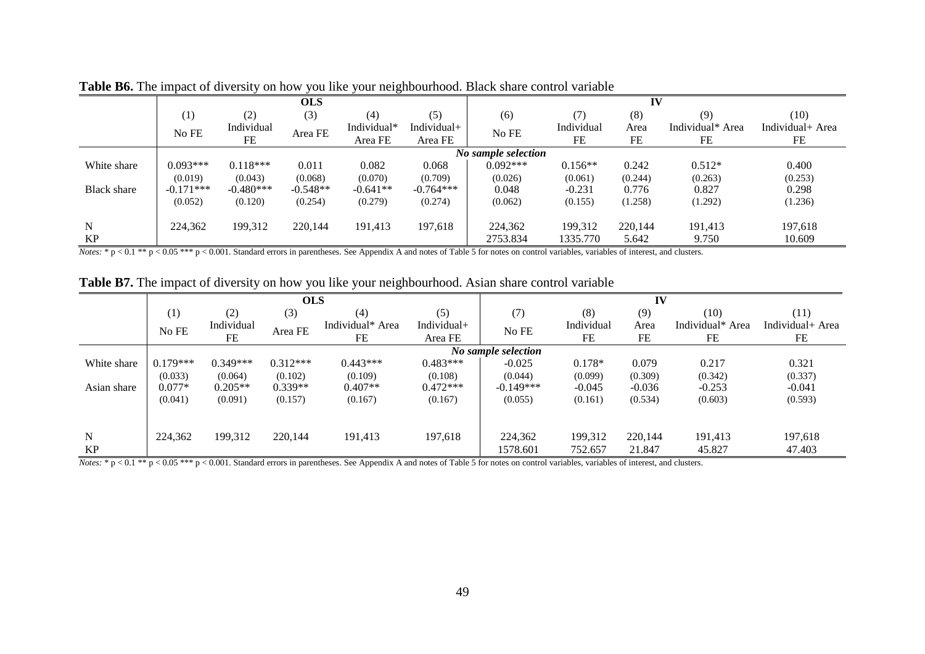|                    |             |             | <b>OLS</b> |             |                |                     |            | IV      |                  |                  |
|--------------------|-------------|-------------|------------|-------------|----------------|---------------------|------------|---------|------------------|------------------|
|                    | (1)         | (2)         | (3)        | (4)         | (5)            | (6)                 | (7)        | (8)     | (9)              | (10)             |
|                    | No FE       | Individual  | Area FE    | Individual* | Individual $+$ | No FE               | Individual | Area    | Individual* Area | Individual+ Area |
|                    |             | FE          |            | Area FE     | Area FE        |                     | FE         | FE      | FE               | FE               |
|                    |             |             |            |             |                | No sample selection |            |         |                  |                  |
| White share        | $0.093***$  | $0.118***$  | 0.011      | 0.082       | 0.068          | $0.092***$          | $0.156**$  | 0.242   | $0.512*$         | 0.400            |
|                    | (0.019)     | (0.043)     | (0.068)    | (0.070)     | (0.709)        | (0.026)             | (0.061)    | (0.244) | (0.263)          | (0.253)          |
| <b>Black share</b> | $-0.171***$ | $-0.480***$ | $-0.548**$ | $-0.641**$  | $-0.764***$    | 0.048               | $-0.231$   | 0.776   | 0.827            | 0.298            |
|                    | (0.052)     | (0.120)     | (0.254)    | (0.279)     | (0.274)        | (0.062)             | (0.155)    | (1.258) | (1.292)          | (1.236)          |
| N                  | 224,362     | 199,312     | 220,144    | 191,413     | 197,618        | 224,362             | 199,312    | 220,144 | 191,413          | 197,618          |
| KP                 |             |             |            |             |                | 2753.834            | 1335.770   | 5.642   | 9.750            | 10.609           |

**Table B6.** The impact of diversity on how you like your neighbourhood. Black share control variable

*Notes:* \*  $p < 0.1$  \*\*  $p < 0.05$  \*\*\*  $p < 0.001$ . Standard errors in parentheses. See Appendix A and notes of Table 5 for notes on control variables, variables of interest, and clusters.

|  |  |  | <b>Table B7.</b> The impact of diversity on how you like your neighbourhood. Asian share control variable |  |  |  |  |  |  |  |  |  |  |  |  |  |  |  |  |  |
|--|--|--|-----------------------------------------------------------------------------------------------------------|--|--|--|--|--|--|--|--|--|--|--|--|--|--|--|--|--|
|--|--|--|-----------------------------------------------------------------------------------------------------------|--|--|--|--|--|--|--|--|--|--|--|--|--|--|--|--|--|

|             |            |            | <b>OLS</b> |                  |             | IV                  |            |          |                  |                  |  |
|-------------|------------|------------|------------|------------------|-------------|---------------------|------------|----------|------------------|------------------|--|
|             | (1)        | (2)        | (3)        | (4)              | (5)         | (7)                 | (8)        | (9)      | (10)             | (11)             |  |
|             | No FE      | Individual | Area FE    | Individual* Area | Individual+ | No FE               | Individual | Area     | Individual* Area | Individual+ Area |  |
|             |            | FE         |            | FE               | Area FE     |                     | FE         | FE       | FE               | FE               |  |
|             |            |            |            |                  |             | No sample selection |            |          |                  |                  |  |
| White share | $0.179***$ | $0.349***$ | $0.312***$ | $0.443***$       | $0.483***$  | $-0.025$            | $0.178*$   | 0.079    | 0.217            | 0.321            |  |
|             | (0.033)    | (0.064)    | (0.102)    | (0.109)          | (0.108)     | (0.044)             | (0.099)    | (0.309)  | (0.342)          | (0.337)          |  |
| Asian share | $0.077*$   | $0.205**$  | $0.339**$  | $0.407**$        | $0.472***$  | $-0.149***$         | $-0.045$   | $-0.036$ | $-0.253$         | $-0.041$         |  |
|             | (0.041)    | (0.091)    | (0.157)    | (0.167)          | (0.167)     | (0.055)             | (0.161)    | (0.534)  | (0.603)          | (0.593)          |  |
|             |            |            |            |                  |             |                     |            |          |                  |                  |  |
| N           | 224,362    | 199,312    | 220,144    | 191,413          | 197,618     | 224,362             | 199,312    | 220,144  | 191,413          | 197,618          |  |
| KP          |            |            |            |                  |             | 1578.601            | 752.657    | 21.847   | 45.827           | 47.403           |  |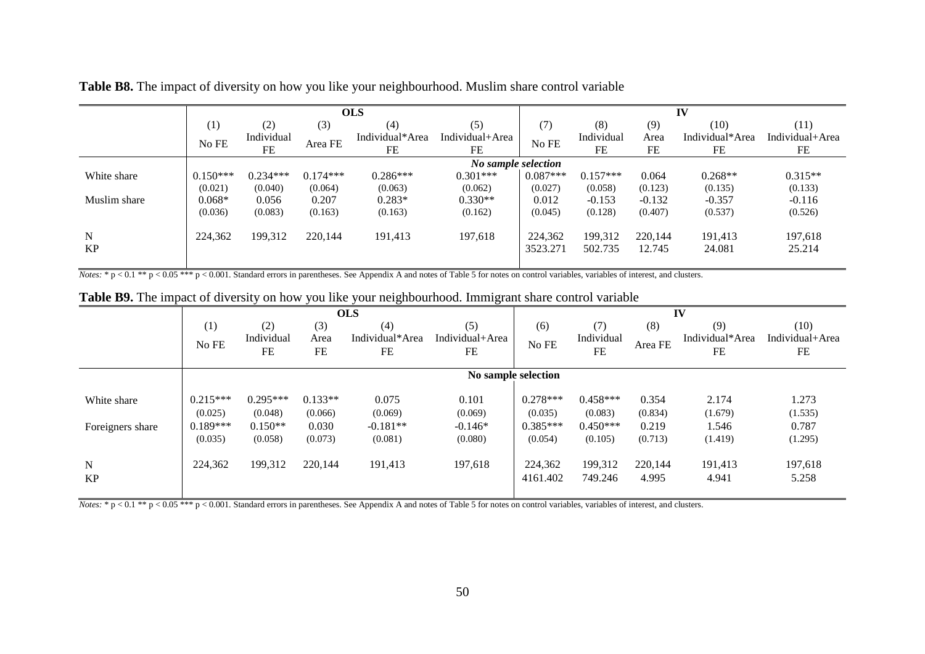|              |            |            |            | <b>OLS</b>      |                     | IV         |            |          |                 |                 |  |  |
|--------------|------------|------------|------------|-----------------|---------------------|------------|------------|----------|-----------------|-----------------|--|--|
|              | (1)        | (2)        | (3)        | (4)             | (5)                 | (7)        | (8)        | (9)      | (10)            | (11)            |  |  |
|              | No FE      | Individual | Area FE    | Individual*Area | Individual+Area     | No FE      | Individual | Area     | Individual*Area | Individual+Area |  |  |
|              |            | <b>FE</b>  |            | FE              | FE                  |            | FE         | FE       | FE              | FE              |  |  |
|              |            |            |            |                 | No sample selection |            |            |          |                 |                 |  |  |
| White share  | $0.150***$ | $0.234***$ | $0.174***$ | $0.286***$      | $0.301***$          | $0.087***$ | $0.157***$ | 0.064    | $0.268**$       | $0.315**$       |  |  |
|              | (0.021)    | (0.040)    | (0.064)    | (0.063)         | (0.062)             | (0.027)    | (0.058)    | (0.123)  | (0.135)         | (0.133)         |  |  |
| Muslim share | $0.068*$   | 0.056      | 0.207      | $0.283*$        | $0.330**$           | 0.012      | $-0.153$   | $-0.132$ | $-0.357$        | $-0.116$        |  |  |
|              | (0.036)    | (0.083)    | (0.163)    | (0.163)         | (0.162)             | (0.045)    | (0.128)    | (0.407)  | (0.537)         | (0.526)         |  |  |
| N            | 224,362    | 199,312    | 220,144    | 191,413         | 197,618             | 224,362    | 199,312    | 220,144  | 191,413         | 197,618         |  |  |
| KP           |            |            |            |                 |                     | 3523.271   | 502.735    | 12.745   | 24.081          | 25.214          |  |  |

**Table B8.** The impact of diversity on how you like your neighbourhood. Muslim share control variable

*Notes:* \* p < 0.1 \*\* p < 0.05 \*\*\* p < 0.001. Standard errors in parentheses. See Appendix A and notes of Table 5 for notes on control variables, variables of interest, and clusters.

|                        |                       |                       |                      | <b>OLS</b>       |                  |                       |                       |                  | IV               |                  |
|------------------------|-----------------------|-----------------------|----------------------|------------------|------------------|-----------------------|-----------------------|------------------|------------------|------------------|
|                        | (1)                   | (2)                   | (3)                  | (4)              | (5)              | (6)                   | (7)                   | (8)              | (9)              | (10)             |
|                        | No FE                 | Individual            | Area                 | Individual*Area  | Individual+Area  | No FE                 | Individual            | Area FE          | Individual*Area  | Individual+Area  |
|                        |                       | FE                    | FE                   | FE               | FE               |                       | FE                    |                  | FE               | FE               |
|                        |                       |                       |                      |                  |                  |                       |                       |                  |                  |                  |
|                        |                       |                       |                      |                  |                  | No sample selection   |                       |                  |                  |                  |
| White share            | $0.215***$<br>(0.025) | $0.295***$<br>(0.048) | $0.133**$<br>(0.066) | 0.075<br>(0.069) | 0.101<br>(0.069) | $0.278***$<br>(0.035) | $0.458***$<br>(0.083) | 0.354<br>(0.834) | 2.174<br>(1.679) | 1.273<br>(1.535) |
| Foreigners share       | $0.189***$            | $0.150**$             | 0.030                | $-0.181**$       | $-0.146*$        | $0.385***$            | $0.450***$            | 0.219            | 1.546            | 0.787            |
|                        | (0.035)               | (0.058)               | (0.073)              | (0.081)          | (0.080)          | (0.054)               | (0.105)               | (0.713)          | (1.419)          | (1.295)          |
| ${\bf N}$<br><b>KP</b> | 224,362               | 199,312               | 220,144              | 191,413          | 197,618          | 224,362<br>4161.402   | 199,312<br>749.246    | 220.144<br>4.995 | 191,413<br>4.941 | 197,618<br>5.258 |
|                        |                       |                       |                      |                  |                  |                       |                       |                  |                  |                  |

**Table B9.** The impact of diversity on how you like your neighbourhood. Immigrant share control variable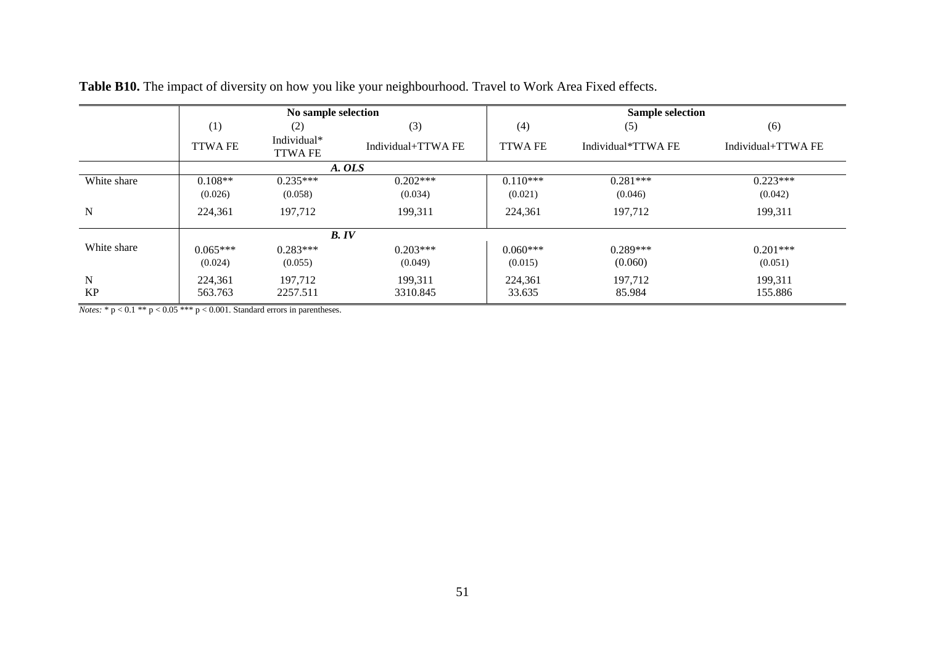|             |                | No sample selection           |                   |                | <b>Sample selection</b> |                    |
|-------------|----------------|-------------------------------|-------------------|----------------|-------------------------|--------------------|
|             | (1)            | (2)                           | (3)               | (4)            | (5)                     | (6)                |
|             | <b>TTWA FE</b> | Individual*<br><b>TTWA FE</b> | Individual+TTWAFE | <b>TTWA FE</b> | Individual*TTWAFE       | Individual+TTWA FE |
|             |                |                               | A. OLS            |                |                         |                    |
| White share | $0.108**$      | $0.235***$                    | $0.202***$        | $0.110***$     | $0.281***$              | $0.223***$         |
|             | (0.026)        | (0.058)                       | (0.034)           | (0.021)        | (0.046)                 | (0.042)            |
| $\mathbf N$ | 224,361        | 197,712                       | 199,311           | 224,361        | 197,712                 | 199,311            |
|             |                | B. IV                         |                   |                |                         |                    |
| White share | $0.065***$     | $0.283***$                    | $0.203***$        | $0.060***$     | $0.289***$              | $0.201***$         |
|             | (0.024)        | (0.055)                       | (0.049)           | (0.015)        | (0.060)                 | (0.051)            |
| ${\bf N}$   | 224,361        | 197,712                       | 199,311           | 224,361        | 197,712                 | 199,311            |
| <b>KP</b>   | 563.763        | 2257.511                      | 3310.845          | 33.635         | 85.984                  | 155.886            |

**Table B10.** The impact of diversity on how you like your neighbourhood. Travel to Work Area Fixed effects.

 $\sqrt{Notes: * p < 0.1 ** p < 0.05 ** p < 0.001$ . Standard errors in parentheses.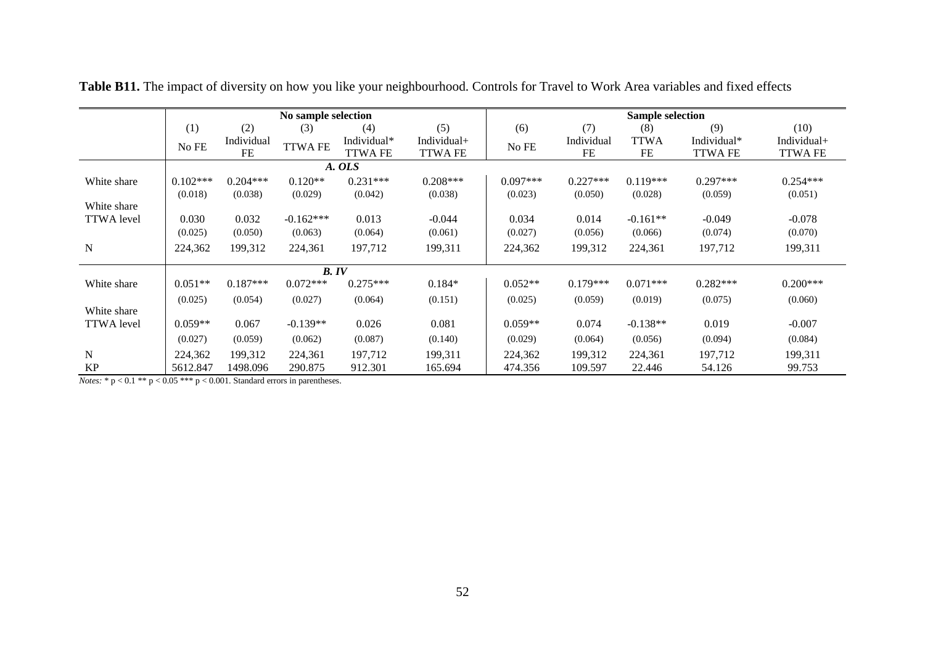|                   |            |            | No sample selection |                |                |            |            | <b>Sample selection</b> |                |                |
|-------------------|------------|------------|---------------------|----------------|----------------|------------|------------|-------------------------|----------------|----------------|
|                   | (1)        | (2)        | (3)                 | (4)            | (5)            | (6)        | (7)        | (8)                     | (9)            | (10)           |
|                   | No FE      | Individual | <b>TTWA FE</b>      | Individual*    | Individual+    | No FE      | Individual | <b>TTWA</b>             | Individual*    | Individual+    |
|                   |            | <b>FE</b>  |                     | <b>TTWA FE</b> | <b>TTWA FE</b> |            | FE         | FE                      | <b>TTWA FE</b> | <b>TTWA FE</b> |
|                   |            |            |                     | A. OLS         |                |            |            |                         |                |                |
| White share       | $0.102***$ | $0.204***$ | $0.120**$           | $0.231***$     | $0.208***$     | $0.097***$ | $0.227***$ | $0.119***$              | $0.297***$     | $0.254***$     |
|                   | (0.018)    | (0.038)    | (0.029)             | (0.042)        | (0.038)        | (0.023)    | (0.050)    | (0.028)                 | (0.059)        | (0.051)        |
| White share       |            |            |                     |                |                |            |            |                         |                |                |
| <b>TTWA</b> level | 0.030      | 0.032      | $-0.162***$         | 0.013          | $-0.044$       | 0.034      | 0.014      | $-0.161**$              | $-0.049$       | $-0.078$       |
|                   | (0.025)    | (0.050)    | (0.063)             | (0.064)        | (0.061)        | (0.027)    | (0.056)    | (0.066)                 | (0.074)        | (0.070)        |
| ${\bf N}$         | 224,362    | 199,312    | 224,361             | 197,712        | 199,311        | 224,362    | 199,312    | 224,361                 | 197,712        | 199,311        |
|                   |            |            |                     |                |                |            |            |                         |                |                |
|                   |            |            | B. IV               |                |                |            |            |                         |                |                |
| White share       | $0.051**$  | $0.187***$ | $0.072***$          | $0.275***$     | $0.184*$       | $0.052**$  | $0.179***$ | $0.071***$              | $0.282***$     | $0.200***$     |
|                   | (0.025)    | (0.054)    | (0.027)             | (0.064)        | (0.151)        | (0.025)    | (0.059)    | (0.019)                 | (0.075)        | (0.060)        |
| White share       |            |            |                     |                |                |            |            |                         |                |                |
| <b>TTWA</b> level | $0.059**$  | 0.067      | $-0.139**$          | 0.026          | 0.081          | $0.059**$  | 0.074      | $-0.138**$              | 0.019          | $-0.007$       |
|                   | (0.027)    | (0.059)    | (0.062)             | (0.087)        | (0.140)        | (0.029)    | (0.064)    | (0.056)                 | (0.094)        | (0.084)        |
| $\mathbf N$       | 224,362    | 199,312    | 224,361             | 197,712        | 199,311        | 224,362    | 199,312    | 224,361                 | 197,712        | 199,311        |
| <b>KP</b>         | 5612.847   | 1498.096   | 290.875             | 912.301        | 165.694        | 474.356    | 109.597    | 22.446                  | 54.126         | 99.753         |

**Table B11.** The impact of diversity on how you like your neighbourhood. Controls for Travel to Work Area variables and fixed effects

*Notes:* \* p < 0.1 \*\* p < 0.05 \*\*\* p < 0.001. Standard errors in parentheses.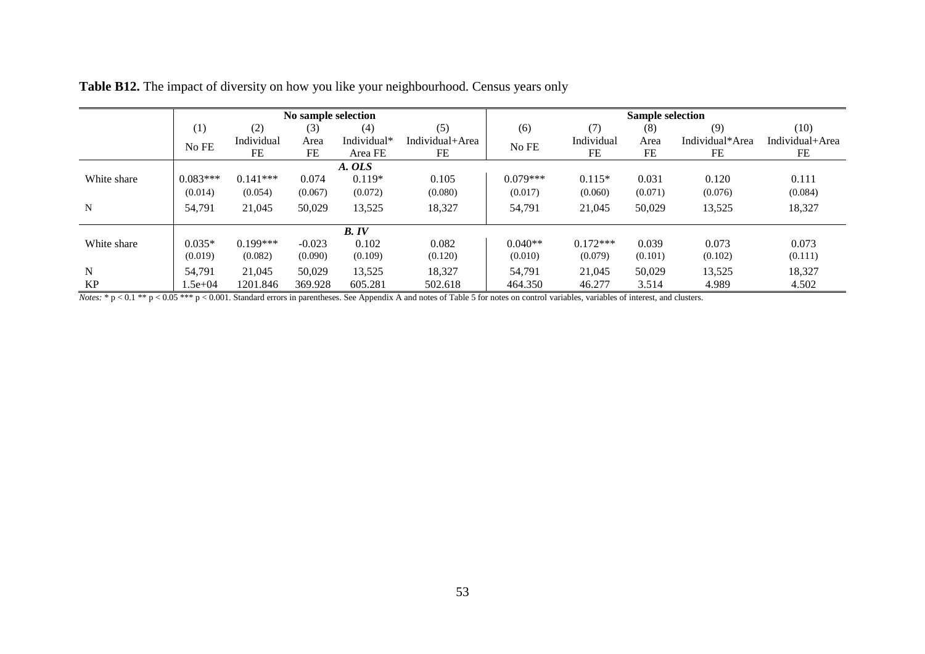|             |            |            | No sample selection |             |                 |            |            |         | <b>Sample selection</b><br>(9)<br>(8)<br>Individual*Area<br>FE<br>FE<br>0.120<br>(0.076)<br>13,525<br>0.073 |                 |
|-------------|------------|------------|---------------------|-------------|-----------------|------------|------------|---------|-------------------------------------------------------------------------------------------------------------|-----------------|
|             | (1)        | (2)        | (3)                 | (4)         | (5)             | (6)        | (7)        |         |                                                                                                             | (10)            |
|             | No FE      | Individual | Area                | Individual* | Individual+Area | No FE      | Individual | Area    |                                                                                                             | Individual+Area |
|             |            | FE         | FE                  | Area FE     | FE              |            | FE         |         |                                                                                                             | FE              |
|             |            |            |                     | A. OLS      |                 |            |            |         |                                                                                                             |                 |
| White share | $0.083***$ | $0.141***$ | 0.074               | $0.119*$    | 0.105           | $0.079***$ | $0.115*$   | 0.031   |                                                                                                             | 0.111           |
|             | (0.014)    | (0.054)    | (0.067)             | (0.072)     | (0.080)         | (0.017)    | (0.060)    | (0.071) |                                                                                                             | (0.084)         |
| N           | 54,791     | 21,045     | 50,029              | 13,525      | 18,327          | 54,791     | 21,045     | 50,029  |                                                                                                             | 18,327          |
|             |            |            |                     | B. IV       |                 |            |            |         |                                                                                                             |                 |
| White share | $0.035*$   | $0.199***$ | $-0.023$            | 0.102       | 0.082           | $0.040**$  | $0.172***$ | 0.039   |                                                                                                             | 0.073           |
|             | (0.019)    | (0.082)    | (0.090)             | (0.109)     | (0.120)         | (0.010)    | (0.079)    | (0.101) | (0.102)                                                                                                     | (0.111)         |
| N           | 54.791     | 21,045     | 50,029              | 13,525      | 18,327          | 54,791     | 21,045     | 50,029  | 13,525                                                                                                      | 18,327          |
| <b>KP</b>   | $1.5e+04$  | 1201.846   | 369.928             | 605.281     | 502.618         | 464.350    | 46.277     | 3.514   | 4.989                                                                                                       | 4.502           |

|  |  | Table B12. The impact of diversity on how you like your neighbourhood. Census years only |  |
|--|--|------------------------------------------------------------------------------------------|--|
|  |  |                                                                                          |  |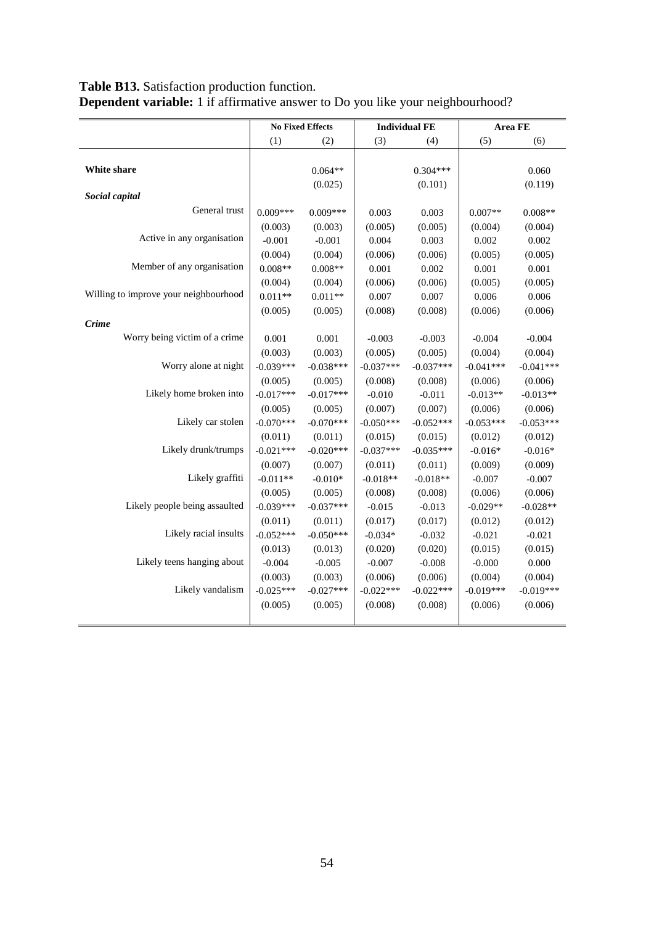|                                       |             | <b>No Fixed Effects</b> | <b>Individual FE</b> |             |             | Area FE     |
|---------------------------------------|-------------|-------------------------|----------------------|-------------|-------------|-------------|
|                                       | (1)         | (2)                     | (3)                  | (4)         | (5)         | (6)         |
|                                       |             |                         |                      |             |             |             |
| White share                           |             | $0.064**$               |                      | $0.304***$  |             | 0.060       |
|                                       |             | (0.025)                 |                      | (0.101)     |             | (0.119)     |
| Social capital                        |             |                         |                      |             |             |             |
| General trust                         | $0.009***$  | $0.009***$              | 0.003                | 0.003       | $0.007**$   | $0.008**$   |
|                                       | (0.003)     | (0.003)                 | (0.005)              | (0.005)     | (0.004)     | (0.004)     |
| Active in any organisation            | $-0.001$    | $-0.001$                | 0.004                | 0.003       | 0.002       | 0.002       |
|                                       | (0.004)     | (0.004)                 | (0.006)              | (0.006)     | (0.005)     | (0.005)     |
| Member of any organisation            | $0.008**$   | $0.008**$               | 0.001                | 0.002       | 0.001       | 0.001       |
|                                       | (0.004)     | (0.004)                 | (0.006)              | (0.006)     | (0.005)     | (0.005)     |
| Willing to improve your neighbourhood | $0.011**$   | $0.011**$               | 0.007                | 0.007       | 0.006       | 0.006       |
|                                       | (0.005)     | (0.005)                 | (0.008)              | (0.008)     | (0.006)     | (0.006)     |
| <b>Crime</b>                          |             |                         |                      |             |             |             |
| Worry being victim of a crime         | 0.001       | 0.001                   | $-0.003$             | $-0.003$    | $-0.004$    | $-0.004$    |
|                                       | (0.003)     | (0.003)                 | (0.005)              | (0.005)     | (0.004)     | (0.004)     |
| Worry alone at night                  | $-0.039***$ | $-0.038***$             | $-0.037***$          | $-0.037***$ | $-0.041***$ | $-0.041***$ |
|                                       | (0.005)     | (0.005)                 | (0.008)              | (0.008)     | (0.006)     | (0.006)     |
| Likely home broken into               | $-0.017***$ | $-0.017***$             | $-0.010$             | $-0.011$    | $-0.013**$  | $-0.013**$  |
|                                       | (0.005)     | (0.005)                 | (0.007)              | (0.007)     | (0.006)     | (0.006)     |
| Likely car stolen                     | $-0.070***$ | $-0.070***$             | $-0.050***$          | $-0.052***$ | $-0.053***$ | $-0.053***$ |
|                                       | (0.011)     | (0.011)                 | (0.015)              | (0.015)     | (0.012)     | (0.012)     |
| Likely drunk/trumps                   | $-0.021***$ | $-0.020***$             | $-0.037***$          | $-0.035***$ | $-0.016*$   | $-0.016*$   |
|                                       | (0.007)     | (0.007)                 | (0.011)              | (0.011)     | (0.009)     | (0.009)     |
| Likely graffiti                       | $-0.011**$  | $-0.010*$               | $-0.018**$           | $-0.018**$  | $-0.007$    | $-0.007$    |
|                                       | (0.005)     | (0.005)                 | (0.008)              | (0.008)     | (0.006)     | (0.006)     |
| Likely people being assaulted         | $-0.039***$ | $-0.037***$             | $-0.015$             | $-0.013$    | $-0.029**$  | $-0.028**$  |
|                                       | (0.011)     | (0.011)                 | (0.017)              | (0.017)     | (0.012)     | (0.012)     |
| Likely racial insults                 | $-0.052***$ | $-0.050***$             | $-0.034*$            | $-0.032$    | $-0.021$    | $-0.021$    |
|                                       | (0.013)     | (0.013)                 | (0.020)              | (0.020)     | (0.015)     | (0.015)     |
| Likely teens hanging about            | $-0.004$    | $-0.005$                | $-0.007$             | $-0.008$    | $-0.000$    | 0.000       |
|                                       | (0.003)     | (0.003)                 | (0.006)              | (0.006)     | (0.004)     | (0.004)     |
| Likely vandalism                      | $-0.025***$ | $-0.027***$             | $-0.022***$          | $-0.022***$ | $-0.019***$ | $-0.019***$ |
|                                       | (0.005)     | (0.005)                 | (0.008)              | (0.008)     | (0.006)     | (0.006)     |
|                                       |             |                         |                      |             |             |             |

# **Table B13.** Satisfaction production function. **Dependent variable:** 1 if affirmative answer to Do you like your neighbourhood?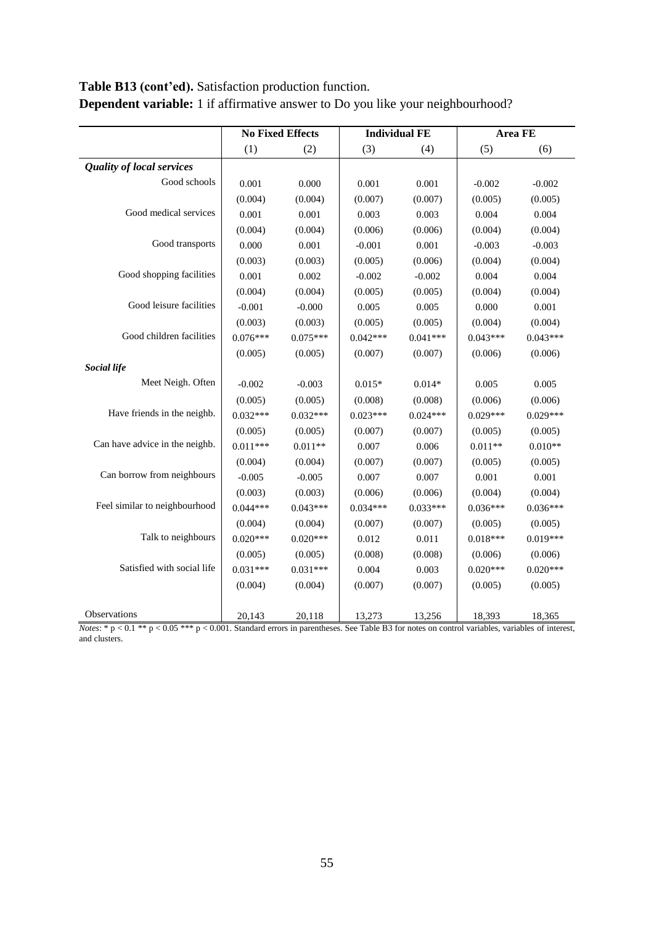# **Table B13 (cont'ed).** Satisfaction production function.

|                                  |            | <b>No Fixed Effects</b> |            | <b>Individual FE</b> |            | Area FE    |
|----------------------------------|------------|-------------------------|------------|----------------------|------------|------------|
|                                  | (1)        | (2)                     | (3)        | (4)                  | (5)        | (6)        |
| <b>Quality of local services</b> |            |                         |            |                      |            |            |
| Good schools                     | 0.001      | 0.000                   | 0.001      | 0.001                | $-0.002$   | $-0.002$   |
|                                  | (0.004)    | (0.004)                 | (0.007)    | (0.007)              | (0.005)    | (0.005)    |
| Good medical services            | 0.001      | 0.001                   | 0.003      | 0.003                | 0.004      | 0.004      |
|                                  | (0.004)    | (0.004)                 | (0.006)    | (0.006)              | (0.004)    | (0.004)    |
| Good transports                  | 0.000      | 0.001                   | $-0.001$   | 0.001                | $-0.003$   | $-0.003$   |
|                                  | (0.003)    | (0.003)                 | (0.005)    | (0.006)              | (0.004)    | (0.004)    |
| Good shopping facilities         | 0.001      | 0.002                   | $-0.002$   | $-0.002$             | 0.004      | 0.004      |
|                                  | (0.004)    | (0.004)                 | (0.005)    | (0.005)              | (0.004)    | (0.004)    |
| Good leisure facilities          | $-0.001$   | $-0.000$                | 0.005      | 0.005                | 0.000      | 0.001      |
|                                  | (0.003)    | (0.003)                 | (0.005)    | (0.005)              | (0.004)    | (0.004)    |
| Good children facilities         | $0.076***$ | $0.075***$              | $0.042***$ | $0.041***$           | $0.043***$ | $0.043***$ |
|                                  | (0.005)    | (0.005)                 | (0.007)    | (0.007)              | (0.006)    | (0.006)    |
| <b>Social life</b>               |            |                         |            |                      |            |            |
| Meet Neigh. Often                | $-0.002$   | $-0.003$                | $0.015*$   | $0.014*$             | 0.005      | 0.005      |
|                                  | (0.005)    | (0.005)                 | (0.008)    | (0.008)              | (0.006)    | (0.006)    |
| Have friends in the neighb.      | $0.032***$ | $0.032***$              | $0.023***$ | $0.024***$           | $0.029***$ | $0.029***$ |
|                                  | (0.005)    | (0.005)                 | (0.007)    | (0.007)              | (0.005)    | (0.005)    |
| Can have advice in the neighb.   | $0.011***$ | $0.011**$               | 0.007      | 0.006                | $0.011**$  | $0.010**$  |
|                                  | (0.004)    | (0.004)                 | (0.007)    | (0.007)              | (0.005)    | (0.005)    |
| Can borrow from neighbours       | $-0.005$   | $-0.005$                | 0.007      | 0.007                | 0.001      | 0.001      |
|                                  | (0.003)    | (0.003)                 | (0.006)    | (0.006)              | (0.004)    | (0.004)    |
| Feel similar to neighbourhood    | $0.044***$ | $0.043***$              | $0.034***$ | $0.033***$           | $0.036***$ | $0.036***$ |
|                                  | (0.004)    | (0.004)                 | (0.007)    | (0.007)              | (0.005)    | (0.005)    |
| Talk to neighbours               | $0.020***$ | $0.020***$              | 0.012      | 0.011                | $0.018***$ | $0.019***$ |
|                                  | (0.005)    | (0.005)                 | (0.008)    | (0.008)              | (0.006)    | (0.006)    |
| Satisfied with social life       | $0.031***$ | $0.031***$              | 0.004      | 0.003                | $0.020***$ | $0.020***$ |
|                                  | (0.004)    | (0.004)                 | (0.007)    | (0.007)              | (0.005)    | (0.005)    |
| Observations                     | 20,143     | 20,118                  | 13,273     | 13,256               | 18,393     | 18,365     |

**Dependent variable:** 1 if affirmative answer to Do you like your neighbourhood?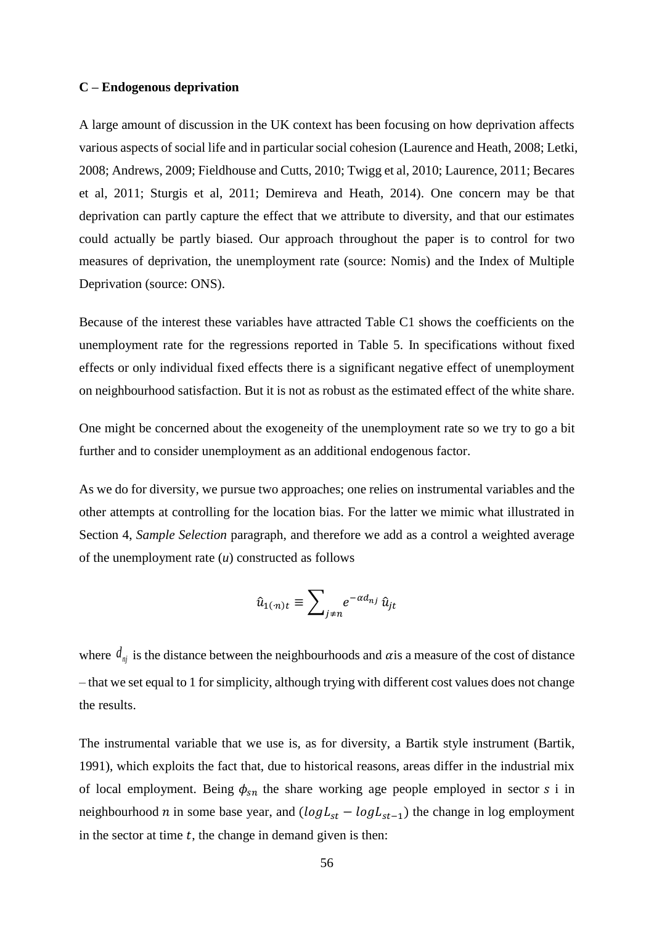#### **C – Endogenous deprivation**

A large amount of discussion in the UK context has been focusing on how deprivation affects various aspects of social life and in particular social cohesion (Laurence and Heath, 2008; Letki, 2008; Andrews, 2009; Fieldhouse and Cutts, 2010; Twigg et al, 2010; Laurence, 2011; Becares et al, 2011; Sturgis et al, 2011; Demireva and Heath, 2014). One concern may be that deprivation can partly capture the effect that we attribute to diversity, and that our estimates could actually be partly biased. Our approach throughout the paper is to control for two measures of deprivation, the unemployment rate (source: Nomis) and the Index of Multiple Deprivation (source: ONS).

Because of the interest these variables have attracted Table C1 shows the coefficients on the unemployment rate for the regressions reported in Table 5. In specifications without fixed effects or only individual fixed effects there is a significant negative effect of unemployment on neighbourhood satisfaction. But it is not as robust as the estimated effect of the white share.

One might be concerned about the exogeneity of the unemployment rate so we try to go a bit further and to consider unemployment as an additional endogenous factor.

As we do for diversity, we pursue two approaches; one relies on instrumental variables and the other attempts at controlling for the location bias. For the latter we mimic what illustrated in Section 4, *Sample Selection* paragraph, and therefore we add as a control a weighted average of the unemployment rate (*u*) constructed as follows

$$
\hat{u}_{1(n)t} \equiv \sum_{j \neq n} e^{-\alpha d_{nj}} \hat{u}_{jt}
$$

where  $d_{nj}$  is the distance between the neighbourhoods and  $\alpha$  is a measure of the cost of distance – that we set equal to 1 for simplicity, although trying with different cost values does not change the results.

The instrumental variable that we use is, as for diversity, a Bartik style instrument (Bartik, 1991), which exploits the fact that, due to historical reasons, areas differ in the industrial mix of local employment. Being  $\phi_{sn}$  the share working age people employed in sector *s* i in neighbourhood *n* in some base year, and  $(log L<sub>st</sub> - log L<sub>st-1</sub>)$  the change in log employment in the sector at time  $t$ , the change in demand given is then: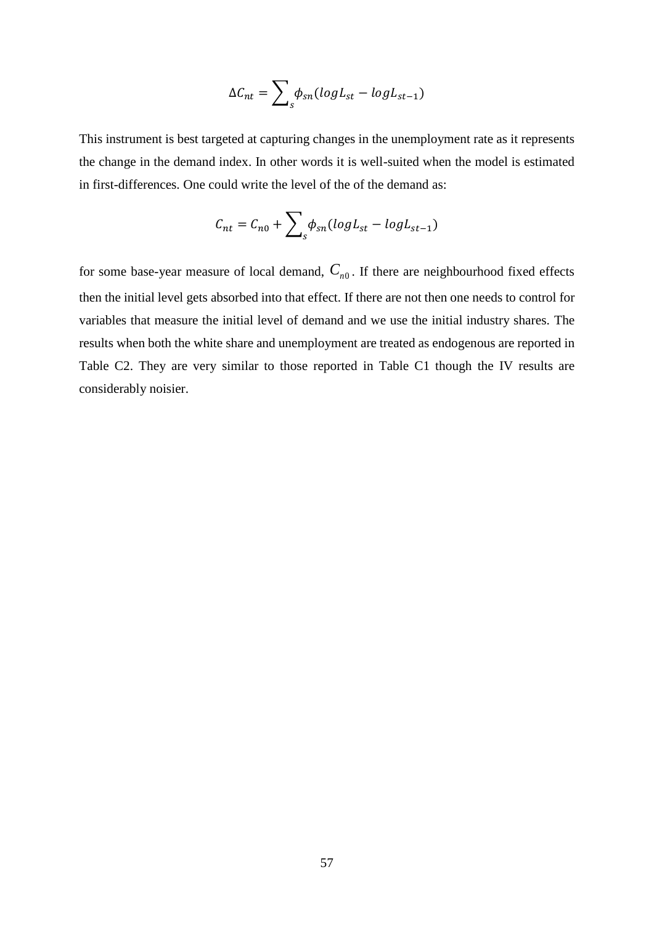$$
\Delta C_{nt} = \sum_{s} \phi_{sn} (log L_{st} - log L_{st-1})
$$

This instrument is best targeted at capturing changes in the unemployment rate as it represents the change in the demand index. In other words it is well-suited when the model is estimated in first-differences. One could write the level of the of the demand as:

$$
C_{nt} = C_{n0} + \sum_{s} \phi_{sn} (log L_{st} - log L_{st-1})
$$

for some base-year measure of local demand,  $C_{n0}$ . If there are neighbourhood fixed effects then the initial level gets absorbed into that effect. If there are not then one needs to control for variables that measure the initial level of demand and we use the initial industry shares. The results when both the white share and unemployment are treated as endogenous are reported in Table C2. They are very similar to those reported in Table C1 though the IV results are considerably noisier.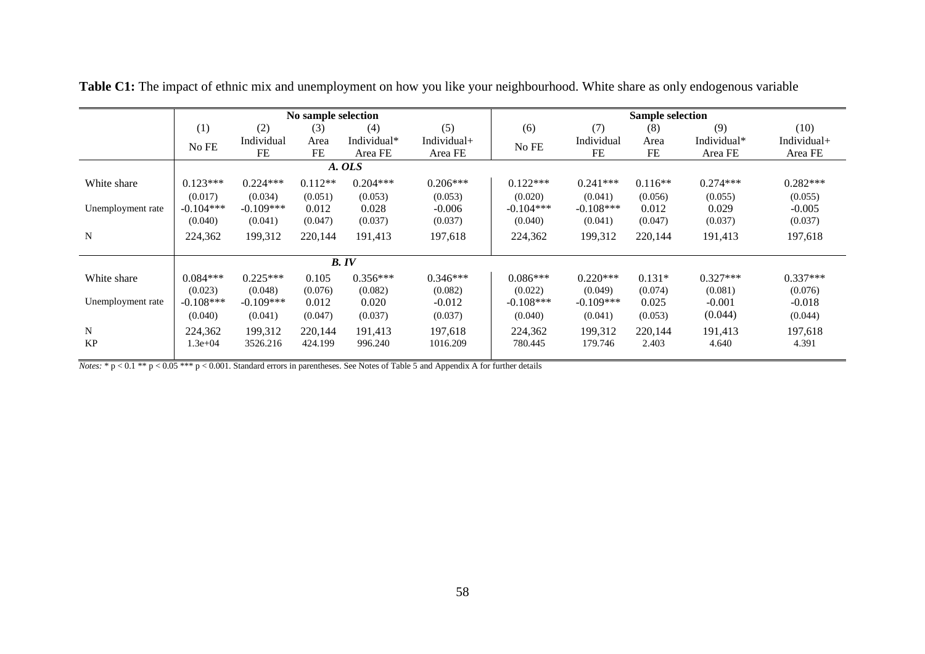|                   |             |             | No sample selection |             |             | <b>Sample selection</b> |             |           |             |             |  |  |
|-------------------|-------------|-------------|---------------------|-------------|-------------|-------------------------|-------------|-----------|-------------|-------------|--|--|
|                   | (1)         | (2)         | (3)                 | (4)         | (5)         | (6)                     | (7)         | (8)       | (9)         | (10)        |  |  |
|                   | No FE       | Individual  | Area                | Individual* | Individual+ | No FE                   | Individual  | Area      | Individual* | Individual+ |  |  |
|                   |             | FE          | FE                  | Area FE     | Area FE     |                         | FE          | FE        | Area FE     | Area FE     |  |  |
|                   |             |             |                     | A. OLS      |             |                         |             |           |             |             |  |  |
| White share       | $0.123***$  | $0.224***$  | $0.112**$           | $0.204***$  | $0.206***$  | $0.122***$              | $0.241***$  | $0.116**$ | $0.274***$  | $0.282***$  |  |  |
|                   | (0.017)     | (0.034)     | (0.051)             | (0.053)     | (0.053)     | (0.020)                 | (0.041)     | (0.056)   | (0.055)     | (0.055)     |  |  |
| Unemployment rate | $-0.104***$ | $-0.109***$ | 0.012               | 0.028       | $-0.006$    | $-0.104***$             | $-0.108***$ | 0.012     | 0.029       | $-0.005$    |  |  |
|                   | (0.040)     | (0.041)     | (0.047)             | (0.037)     | (0.037)     | (0.040)                 | (0.041)     | (0.047)   | (0.037)     | (0.037)     |  |  |
| N                 | 224,362     | 199,312     | 220,144             | 191,413     | 197,618     | 224,362                 | 199,312     | 220,144   | 191,413     | 197,618     |  |  |
|                   |             |             |                     |             |             |                         |             |           |             |             |  |  |
|                   |             |             |                     | B. IV       |             |                         |             |           |             |             |  |  |
| White share       | $0.084***$  | $0.225***$  | 0.105               | $0.356***$  | $0.346***$  | $0.086***$              | $0.220***$  | $0.131*$  | $0.327***$  | $0.337***$  |  |  |
|                   | (0.023)     | (0.048)     | (0.076)             | (0.082)     | (0.082)     | (0.022)                 | (0.049)     | (0.074)   | (0.081)     | (0.076)     |  |  |
| Unemployment rate | $-0.108***$ | $-0.109***$ | 0.012               | 0.020       | $-0.012$    | $-0.108***$             | $-0.109***$ | 0.025     | $-0.001$    | $-0.018$    |  |  |
|                   | (0.040)     | (0.041)     | (0.047)             | (0.037)     | (0.037)     | (0.040)                 | (0.041)     | (0.053)   | (0.044)     | (0.044)     |  |  |
| N                 | 224,362     | 199.312     | 220.144             | 191.413     | 197.618     | 224,362                 | 199,312     | 220.144   | 191,413     | 197,618     |  |  |
| <b>KP</b>         | $2e+04$     | 3526.216    | 424.199             | 996.240     | 1016.209    | 780.445                 | 179.746     | 2.403     | 4.640       | 4.391       |  |  |
|                   |             |             |                     |             |             |                         |             |           |             |             |  |  |

**Table C1:** The impact of ethnic mix and unemployment on how you like your neighbourhood. White share as only endogenous variable

*Notes:* \*  $p < 0.1$  \*\*  $p < 0.05$  \*\*\*  $p < 0.001$ . Standard errors in parentheses. See Notes of Table 5 and Appendix A for further details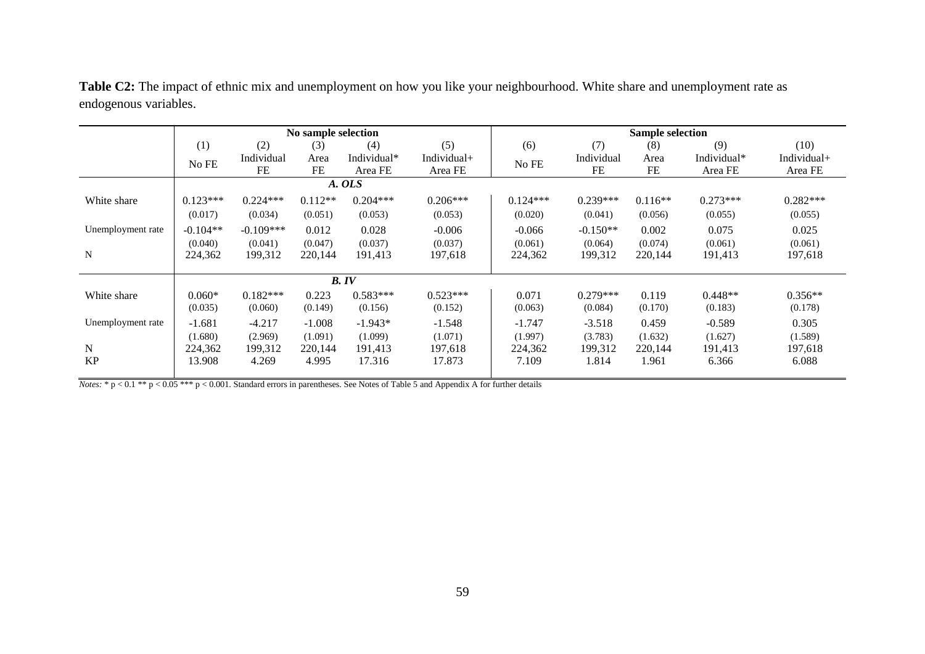|                   |            |             | No sample selection |                    |             | <b>Sample selection</b> |            |           |             |             |
|-------------------|------------|-------------|---------------------|--------------------|-------------|-------------------------|------------|-----------|-------------|-------------|
|                   | (1)        | (2)         | (3)                 | (4)                | (5)         | (6)                     | (7)        | (8)       | (9)         | (10)        |
|                   | No FE      | Individual  | Area                | Individual*        | Individual+ | No FE                   | Individual | Area      | Individual* | Individual+ |
|                   |            | FE          | <b>FE</b>           | Area FE<br>Area FE | FE          | <b>FE</b>               | Area FE    | Area FE   |             |             |
|                   | A. OLS     |             |                     |                    |             |                         |            |           |             |             |
| White share       | $0.123***$ | $0.224***$  | $0.112**$           | $0.204***$         | $0.206***$  | $0.124***$              | $0.239***$ | $0.116**$ | $0.273***$  | $0.282***$  |
|                   | (0.017)    | (0.034)     | (0.051)             | (0.053)            | (0.053)     | (0.020)                 | (0.041)    | (0.056)   | (0.055)     | (0.055)     |
| Unemployment rate | $-0.104**$ | $-0.109***$ | 0.012               | 0.028              | $-0.006$    | $-0.066$                | $-0.150**$ | 0.002     | 0.075       | 0.025       |
|                   | (0.040)    | (0.041)     | (0.047)             | (0.037)            | (0.037)     | (0.061)                 | (0.064)    | (0.074)   | (0.061)     | (0.061)     |
| N                 | 224,362    | 199,312     | 220,144             | 191,413            | 197,618     | 224,362                 | 199,312    | 220,144   | 191,413     | 197,618     |
|                   |            |             |                     |                    |             |                         |            |           |             |             |
|                   |            |             |                     | B. IV              |             |                         |            |           |             |             |
| White share       | $0.060*$   | $0.182***$  | 0.223               | $0.583***$         | $0.523***$  | 0.071                   | $0.279***$ | 0.119     | $0.448**$   | $0.356**$   |
|                   | (0.035)    | (0.060)     | (0.149)             | (0.156)            | (0.152)     | (0.063)                 | (0.084)    | (0.170)   | (0.183)     | (0.178)     |
| Unemployment rate | $-1.681$   | $-4.217$    | $-1.008$            | $-1.943*$          | $-1.548$    | $-1.747$                | $-3.518$   | 0.459     | $-0.589$    | 0.305       |
|                   | (1.680)    | (2.969)     | (1.091)             | (1.099)            | (1.071)     | (1.997)                 | (3.783)    | (1.632)   | (1.627)     | (1.589)     |
| N                 | 224,362    | 199,312     | 220,144             | 191.413            | 197,618     | 224,362                 | 199,312    | 220,144   | 191,413     | 197,618     |
| <b>KP</b>         | 13.908     | 4.269       | 4.995               | 17.316             | 17.873      | 7.109                   | 1.814      | 1.961     | 6.366       | 6.088       |
|                   |            |             |                     |                    |             |                         |            |           |             |             |

**Table C2:** The impact of ethnic mix and unemployment on how you like your neighbourhood. White share and unemployment rate as endogenous variables.

 $\overline{Notes: * p < 0.1 ** p < 0.05 *** p < 0.001$ . Standard errors in parentheses. See Notes of Table 5 and Appendix A for further details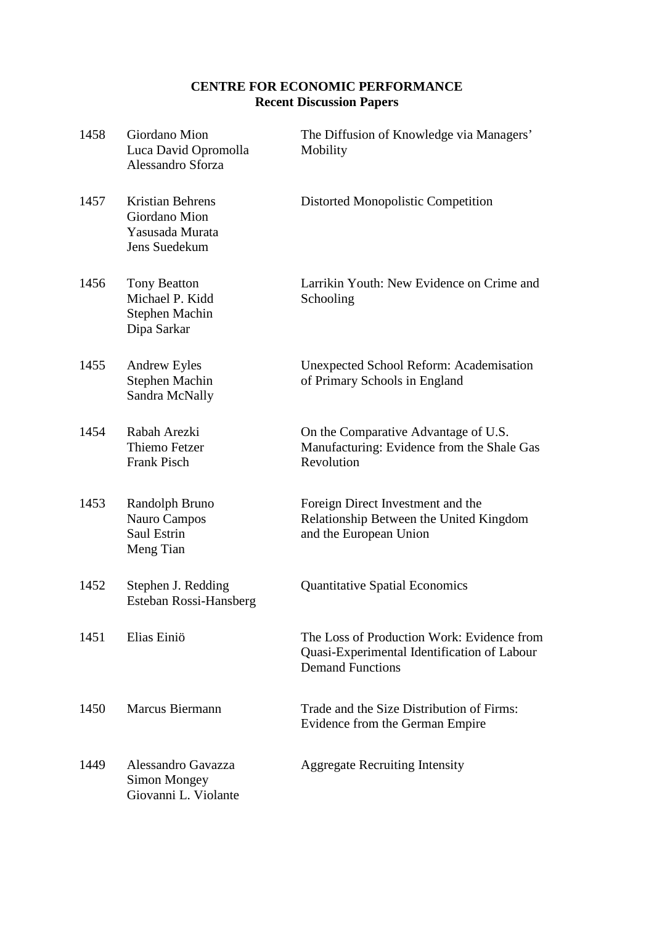# **CENTRE FOR ECONOMIC PERFORMANCE Recent Discussion Papers**

| 1458 | Giordano Mion<br>Luca David Opromolla<br>Alessandro Sforza                   | The Diffusion of Knowledge via Managers'<br>Mobility                                                                 |
|------|------------------------------------------------------------------------------|----------------------------------------------------------------------------------------------------------------------|
| 1457 | <b>Kristian Behrens</b><br>Giordano Mion<br>Yasusada Murata<br>Jens Suedekum | Distorted Monopolistic Competition                                                                                   |
| 1456 | <b>Tony Beatton</b><br>Michael P. Kidd<br>Stephen Machin<br>Dipa Sarkar      | Larrikin Youth: New Evidence on Crime and<br>Schooling                                                               |
| 1455 | <b>Andrew Eyles</b><br>Stephen Machin<br>Sandra McNally                      | <b>Unexpected School Reform: Academisation</b><br>of Primary Schools in England                                      |
| 1454 | Rabah Arezki<br>Thiemo Fetzer<br>Frank Pisch                                 | On the Comparative Advantage of U.S.<br>Manufacturing: Evidence from the Shale Gas<br>Revolution                     |
| 1453 | Randolph Bruno<br>Nauro Campos<br>Saul Estrin<br>Meng Tian                   | Foreign Direct Investment and the<br>Relationship Between the United Kingdom<br>and the European Union               |
| 1452 | Stephen J. Redding<br>Esteban Rossi-Hansberg                                 | <b>Quantitative Spatial Economics</b>                                                                                |
| 1451 | Elias Einiö                                                                  | The Loss of Production Work: Evidence from<br>Quasi-Experimental Identification of Labour<br><b>Demand Functions</b> |
| 1450 | Marcus Biermann                                                              | Trade and the Size Distribution of Firms:<br>Evidence from the German Empire                                         |
| 1449 | Alessandro Gavazza<br>Simon Mongey<br>Giovanni L. Violante                   | <b>Aggregate Recruiting Intensity</b>                                                                                |